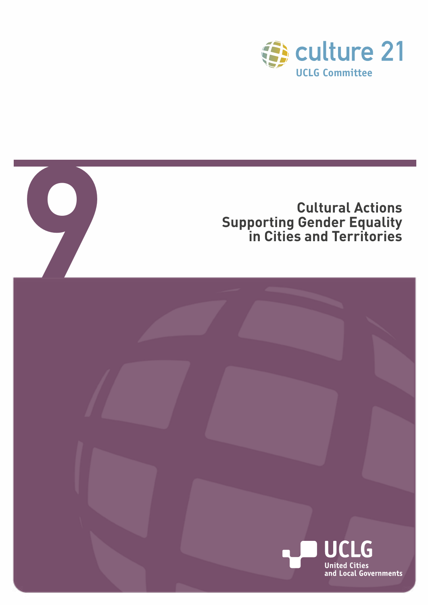

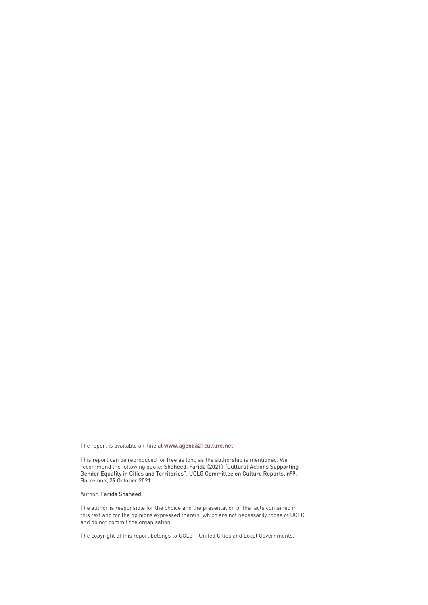The report is available on-line at **[www.agenda21culture.net](http://www.agenda21culture.net)**.

This report can be reproduced for free as long as the authorship is mentioned. We recommend the following quote: Shaheed, Farida (2021) "Cultural Actions Supporting Gender Equality in Cities and Territories", UCLG Committee on Culture Reports, nº9, Barcelona, 29 October 2021.

Author: Farida Shaheed.

The author is responsible for the choice and the presentation of the facts contained in this text and for the opinions expressed therein, which are not necessarily those of UCLG and do not commit the organisation.

The copyright of this report belongs to UCLG – United Cities and Local Governments.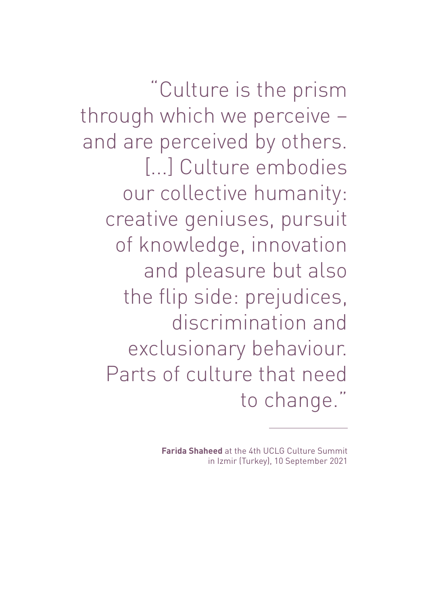"Culture is the prism through which we perceive – and are perceived by others. [...] Culture embodies our collective humanity: creative geniuses, pursuit of knowledge, innovation and pleasure but also the flip side: prejudices, discrimination and exclusionary behaviour. Parts of culture that need to change."

> **Farida Shaheed** at the 4th UCLG Culture Summit in Izmir (Turkey), 10 September 2021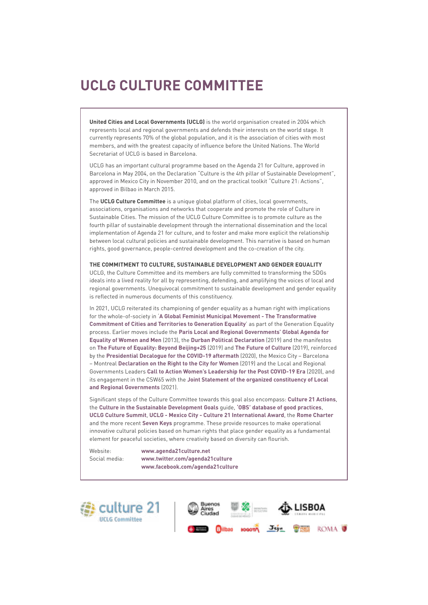## **UCLG CULTURE COMMITTEE**

**United Cities and Local Governments (UCLG)** is the world organisation created in 2004 which represents local and regional governments and defends their interests on the world stage. It currently represents 70% of the global population, and it is the association of cities with most members, and with the greatest capacity of influence before the United Nations. The World Secretariat of UCLG is based in Barcelona.

UCLG has an important cultural programme based on the Agenda 21 for Culture, approved in Barcelona in May 2004, on the Declaration "Culture is the 4th pillar of Sustainable Development", approved in Mexico City in November 2010, and on the practical toolkit "Culture 21: Actions", approved in Bilbao in March 2015.

The **UCLG Culture Committee** is a unique global platform of cities, local governments, associations, organisations and networks that cooperate and promote the role of Culture in Sustainable Cities. The mission of the UCLG Culture Committee is to promote culture as the fourth pillar of sustainable development through the international dissemination and the local implementation of Agenda 21 for culture, and to foster and make more explicit the relationship between local cultural policies and sustainable development. This narrative is based on human rights, good governance, people-centred development and the co-creation of the city.

#### **THE COMMITMENT TO CULTURE, SUSTAINABLE DEVELOPMENT AND GENDER EQUALITY**

UCLG, the Culture Committee and its members are fully committed to transforming the SDGs ideals into a lived reality for all by representing, defending, and amplifying the voices of local and regional governments. Unequivocal commitment to sustainable development and gender equality is reflected in numerous documents of this constituency.

In 2021, UCLG reiterated its championing of gender equality as a human right with implications for the whole-of-society in '**[A Global Feminist Municipal Movement - The Transformative](https://www.uclg-cglu.org/sites/default/files/the_transformative_commitment_of_cities_and_territories_to_generation_equality.pdf)  [Commitment of Cities and Territories to Generation Equality](https://www.uclg-cglu.org/sites/default/files/the_transformative_commitment_of_cities_and_territories_to_generation_equality.pdf)**' as part of the Generation Equality process. Earlier moves include the **[Paris Local and Regional Governments' Global Agenda for](https://www.uclg.org/sites/default/files/ENG_Amended Paris Declaration@31.pdf)  [Equality of Women and Men](https://www.uclg.org/sites/default/files/ENG_Amended Paris Declaration@31.pdf)** (2013), the **[Durban Political Declaration](https://www.uclg.org/sites/default/files/uclg_thedurbanpoliticaldeclaration_en_rv.pdf)** (2019) and the manifestos on **[The Future of Equality: Beyond Beijing+25](https://www.uclg.org/sites/default/files/manifesto_en_gender.pdf)** (2019) and **[The Future of Culture](https://www.uclg.org/sites/default/files/en_manifesto_culture.pdf)** (2019), reinforced by the **[Presidential Decalogue for the COVID-19 aftermath](https://www.uclg.org/sites/default/files/decalogue_for_the_post_covid-19_era.pdf)** (2020), the Mexico City – Barcelona – Montreal **[Declaration on the Right to the City for Women](https://www.uclg-cisdp.org/en/news/latest-news/right-city-women-open-letter-mayors-mexico-city-montreal-and-barcelona)** (2019) and the Local and Regional Governments Leaders **[Call to Action Women's Leadership for the Post COVID-19 Era](https://www.uclg.org/sites/default/files/uclgwomen_calltoaction_en.pdf)** (2020), and its engagement in the CSW65 with the **[Joint Statement of the organized constituency of Local](https://www.uclg.org/sites/default/files/joint_statement_to_csw65_lrgs.pdf)  [and Regional Governments](https://www.uclg.org/sites/default/files/joint_statement_to_csw65_lrgs.pdf)** (2021).

Significant steps of the Culture Committee towards this goal also encompass: **[Culture 21 Actions](http://agenda21culture.net/sites/default/files/files/culture21-actions/c21_015_en.pdf)**, the **[Culture in the Sustainable Development Goals](http://www.agenda21culture.net/sites/default/files/culturesdgs_web_en.pdf)** guide, **['OBS' database of good practices](http://obs.agenda21culture.net/en/home-grid)**, **[UCLG Culture Summit](http://www.agenda21culture.net/summit/uclg-culture-summit-2021)**, **[UCLG - Mexico City - Culture 21 International Award](http://www.agenda21culture.net/award)**, the **[Rome Charter](https://www.2020romecharter.org/)** and the more recent **[Seven Keys](http://www.agenda21culture.net/our-cities/seven-keys)** programme. These provide resources to make operational innovative cultural policies based on human rights that place gender equality as a fundamental element for peaceful societies, where creativity based on diversity can flourish.

Website: **[www.agenda21culture.net](http://www.agenda21culture.net/
)** Social media: **www[.twitter.com/agenda21culture](https://twitter.com/agenda21culture   https://www.facebook.com/agenda21culture/
)  [www.facebook.com/agenda21culture](https://twitter.com/agenda21culture   https://www.facebook.com/agenda21culture/
)**



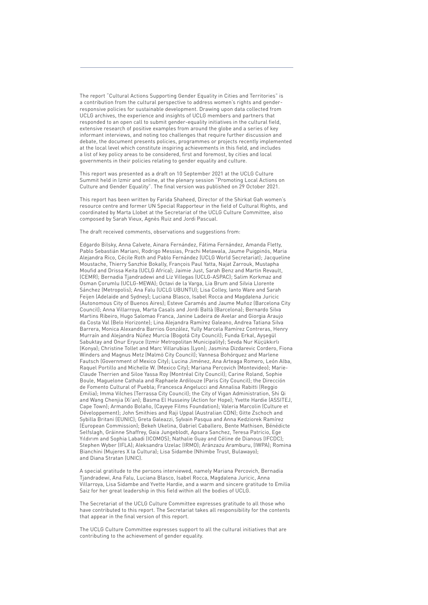The report "Cultural Actions Supporting Gender Equality in Cities and Territories" is a contribution from the cultural perspective to address women's rights and genderresponsive policies for sustainable development. Drawing upon data collected from UCLG archives, the experience and insights of UCLG members and partners that responded to an open call to submit gender-equality initiatives in the cultural field, extensive research of positive examples from around the globe and a series of key informant interviews, and noting too challenges that require further discussion and debate, the document presents policies, programmes or projects recently implemented at the local level which constitute inspiring achievements in this field, and includes a list of key policy areas to be considered, first and foremost, by cities and local governments in their policies relating to gender equality and culture.

This report was presented as a draft on 10 September 2021 at the UCLG Culture Summit held in Izmir and online, at the plenary session "Promoting Local Actions on Culture and Gender Equality". The final version was published on 29 October 2021.

This report has been written by Farida Shaheed, Director of the Shirkat Gah women's resource centre and former UN Special Rapporteur in the field of Cultural Rights, and coordinated by Marta Llobet at the Secretariat of the UCLG Culture Committee, also composed by Sarah Vieux, Agnès Ruiz and Jordi Pascual.

#### The draft received comments, observations and suggestions from:

Edgardo Bilsky, Anna Calvete, Ainara Fernández, Fátima Fernández, Amanda Fletty, Pablo Sebastián Mariani, Rodrigo Messias, Prachi Metawala, Jaume Puigpinós, Maria Alejandra Rico, Cécile Roth and Pablo Fernández (UCLG World Secretariat); Jacqueline Moustache, Thierry Sanzhie Bokally, François Paul Yatta, Najat Zarrouk, Mustapha Moufid and Drissa Keita (UCLG Africa); Jaimie Just, Sarah Benz and Martin Revault, (CEMR); Bernadia Tjandradewi and Liz Villegas (UCLG-ASPAC); Salim Korkmaz and Osman Çorumlu (UCLG-MEWA); Octavi de la Varga, Lia Brum and Silvia Llorente Sánchez (Metropolis); Ana Falu (UCLG UBUNTU); Lisa Colley, Ianto Ware and Sarah Feijen (Adelaide and Sydney); Luciana Blasco, Isabel Rocca and Magdalena Juricic (Autonomous City of Buenos Aires); Esteve Caramés and Jaume Muñoz (Barcelona City Council); Anna Villarroya, Marta Casals and Jordi Baltà (Barcelona); Bernardo Silva Martins Ribeiro, Hugo Salomao Franca, Janine Ladeira de Avelar and Giorgia Araujo da Costa Val (Belo Horizonte); Lina Alejandra Ramírez Galeano, Andrea Tatiana Silva Barrera, Monica Alexandra Barrios González, Yully Marcela Ramírez Contreras, Henry Murraín and Alejandra Núñez Murcia (Bogotá City Council); Funda Erkal, Ayşegül Sabuktay and Onur Eryuce (Izmir Metropolitan Municipality); Sevda Nur Küçükkırlı (Konya); Christine Tollet and Marc Villarubias (Lyon); Jasmina Dizdarevic Cordero, Fiona Winders and Magnus Metz (Malmö City Council); Vannesa Bohórquez and Marlene Fautsch (Government of Mexico City); Lucina Jiménez, Ana Arteaga Romero, León Alba, Raquel Portillo and Michelle W. (Mexico City); Mariana Percovich (Montevideo); Marie-Claude Therrien and Siloe Yassa Roy (Montréal City Council); Carine Roland, Sophie Boule, Maguelone Cathala and Raphaele Ardilouze (Paris City Council); the Dirección de Fomento Cultural of Puebla; Francesca Angelucci and Annalisa Rabitti (Reggio Emilia); Imma Vilches (Terrassa City Council); the City of Vigan Administration, Shi Qi and Wang Chenjia (Xi'an); Basma El Husseiny (Action for Hope); Yvette Hardie (ASSITEJ, Cape Town); Armando Bolaño, (Cayeye Films Foundation); Valeria Marcolin (Culture et Développement); John Smithies and Raji Uppal (Australian CDN); Gitte Zschoch and Sybilla Britani (EUNIC); Greta Galeazzi, Sylvain Pasqua and Anna Kedziorek Ramírez (European Commission); Bekeh Ukelina, Gabriel Caballero, Bente Mathisen, Bénédicte Selfslagh, Gráinne Shaffrey, Gaia Jungeblodt, Apsara Sanchez, Teresa Patricio, Ege Yıldırım and Sophia Labadi (ICOMOS); Nathalie Guay and Céline de Dianous (IFCDC); Stephen Wyber (IFLA); Aleksandra Uzelac (IRMO); Aránzazu Aramburu, (IWPA); Romina Bianchini (Mujeres X la Cultura); Lisa Sidambe (Nhimbe Trust, Bulawayo); and Diana Stratan (UNIC).

A special gratitude to the persons interviewed, namely Mariana Percovich, Bernadia Tjandradewi, Ana Falu, Luciana Blasco, Isabel Rocca, Magdalena Juricic, Anna Villarroya, Lisa Sidambe and Yvette Hardie, and a warm and sincere gratitude to Emilia Saiz for her great leadership in this field within all the bodies of UCLG.

The Secretariat of the UCLG Culture Committee expresses gratitude to all those who have contributed to this report. The Secretariat takes all responsibility for the contents that appear in the final version of this report.

The UCLG Culture Committee expresses support to all the cultural initiatives that are contributing to the achievement of gender equality.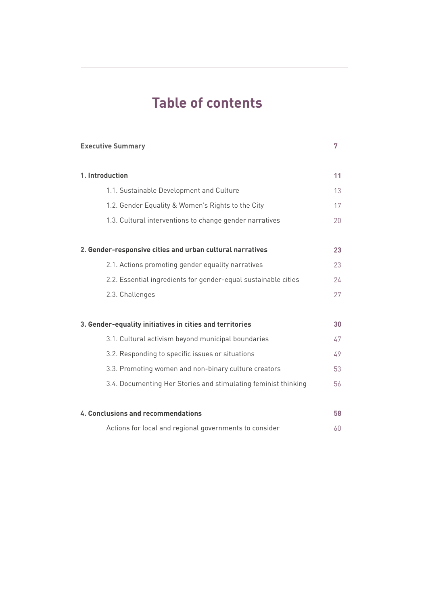## **Table of contents**

**7**

**Executive Summary**

| 1. Introduction                                                | 11 |
|----------------------------------------------------------------|----|
| 1.1. Sustainable Development and Culture                       | 13 |
| 1.2. Gender Equality & Women's Rights to the City              | 17 |
| 1.3. Cultural interventions to change gender narratives        | 20 |
| 2. Gender-responsive cities and urban cultural narratives      | 23 |
| 2.1. Actions promoting gender equality narratives              | 23 |
| 2.2. Essential ingredients for gender-equal sustainable cities | 24 |
| 2.3. Challenges                                                | 27 |
|                                                                |    |
| 3. Gender-equality initiatives in cities and territories       | 30 |
| 3.1. Cultural activism beyond municipal boundaries             | 47 |
| 3.2. Responding to specific issues or situations               | 49 |
| 3.3. Promoting women and non-binary culture creators           | 53 |
| 3.4. Documenting Her Stories and stimulating feminist thinking | 56 |
| 4. Conclusions and recommendations                             | 58 |
| Actions for local and regional governments to consider         | 60 |
|                                                                |    |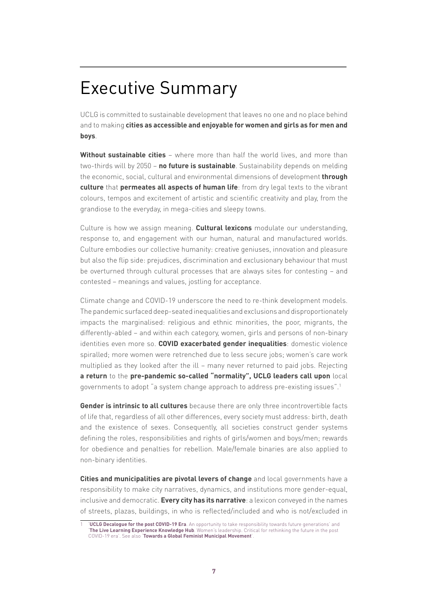# Executive Summary

UCLG is committed to sustainable development that leaves no one and no place behind and to making **cities as accessible and enjoyable for women and girls as for men and boys**.

**Without sustainable cities** – where more than half the world lives, and more than two-thirds will by 2050 – **no future is sustainable**. Sustainability depends on melding the economic, social, cultural and environmental dimensions of development **through culture** that **permeates all aspects of human life**: from dry legal texts to the vibrant colours, tempos and excitement of artistic and scientific creativity and play, from the grandiose to the everyday, in mega-cities and sleepy towns.

Culture is how we assign meaning. **Cultural lexicons** modulate our understanding, response to, and engagement with our human, natural and manufactured worlds. Culture embodies our collective humanity: creative geniuses, innovation and pleasure but also the flip side: prejudices, discrimination and exclusionary behaviour that must be overturned through cultural processes that are always sites for contesting – and contested – meanings and values, jostling for acceptance.

Climate change and COVID-19 underscore the need to re-think development models. The pandemic surfaced deep-seated inequalities and exclusions and disproportionately impacts the marginalised: religious and ethnic minorities, the poor, migrants, the differently-abled – and within each category, women, girls and persons of non-binary identities even more so. **COVID exacerbated gender inequalities**: domestic violence spiralled; more women were retrenched due to less secure jobs; women's care work multiplied as they looked after the ill – many never returned to paid jobs. Rejecting **a return** to the **pre-pandemic so-called "normality", UCLG leaders call upon** local governments to adopt "a system change approach to address pre-existing issues".1

**Gender is intrinsic to all cultures** because there are only three incontrovertible facts of life that, regardless of all other differences, every society must address: birth, death and the existence of sexes. Consequently, all societies construct gender systems defining the roles, responsibilities and rights of girls/women and boys/men; rewards for obedience and penalties for rebellion. Male/female binaries are also applied to non-binary identities.

**Cities and municipalities are pivotal levers of change** and local governments have a responsibility to make city narratives, dynamics, and institutions more gender-equal, inclusive and democratic. **Every city has its narrative**: a lexicon conveyed in the names of streets, plazas, buildings, in who is reflected/included and who is not/excluded in

**[UCLG Decalogue for the post COVID-19 Era](https://www.uclg.org/sites/default/files/decalogue_for_the_post_covid-19_era.pdf)**. An opportunity to take responsibility towards future generations' and '**[The Live Learning Experience Knowledge Hub](https://www.beyondtheoutbreak.uclg.org/womens-leadership)**. Women's leadership. Critical for rethinking the future in the post COVID-19 era'. See also '**[Towards a Global Feminist Municipal Movement](https://women.uclg.org/sites/default/files/2021-03/Report_ Towards a global feminist municiapl movement.pdf)**'.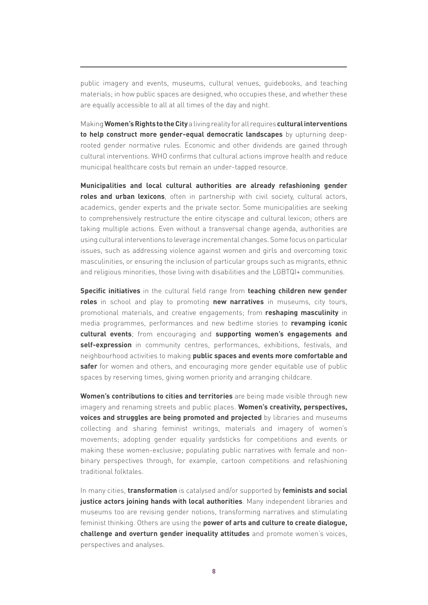public imagery and events, museums, cultural venues, guidebooks, and teaching materials; in how public spaces are designed, who occupies these, and whether these are equally accessible to all at all times of the day and night.

Making **Women's Rights to the City** a living reality for all requires **cultural interventions to help construct more gender-equal democratic landscapes** by upturning deeprooted gender normative rules. Economic and other dividends are gained through cultural interventions. WHO confirms that cultural actions improve health and reduce municipal healthcare costs but remain an under-tapped resource.

**Municipalities and local cultural authorities are already refashioning gender roles and urban lexicons**, often in partnership with civil society, cultural actors, academics, gender experts and the private sector. Some municipalities are seeking to comprehensively restructure the entire cityscape and cultural lexicon; others are taking multiple actions. Even without a transversal change agenda, authorities are using cultural interventions to leverage incremental changes. Some focus on particular issues, such as addressing violence against women and girls and overcoming toxic masculinities, or ensuring the inclusion of particular groups such as migrants, ethnic and religious minorities, those living with disabilities and the LGBTQI+ communities.

**Specific initiatives** in the cultural field range from **teaching children new gender roles** in school and play to promoting **new narratives** in museums, city tours, promotional materials, and creative engagements; from **reshaping masculinity** in media programmes, performances and new bedtime stories to **revamping iconic cultural events**; from encouraging and **supporting women's engagements and self-expression** in community centres, performances, exhibitions, festivals, and neighbourhood activities to making **public spaces and events more comfortable and safer** for women and others, and encouraging more gender equitable use of public spaces by reserving times, giving women priority and arranging childcare.

**Women's contributions to cities and territories** are being made visible through new imagery and renaming streets and public places. **Women's creativity, perspectives, voices and struggles are being promoted and projected** by libraries and museums collecting and sharing feminist writings, materials and imagery of women's movements; adopting gender equality yardsticks for competitions and events or making these women-exclusive; populating public narratives with female and nonbinary perspectives through, for example, cartoon competitions and refashioning traditional folktales.

In many cities, **transformation** is catalysed and/or supported by **feminists and social justice actors joining hands with local authorities**. Many independent libraries and museums too are revising gender notions, transforming narratives and stimulating feminist thinking. Others are using the **power of arts and culture to create dialogue, challenge and overturn gender inequality attitudes** and promote women's voices, perspectives and analyses.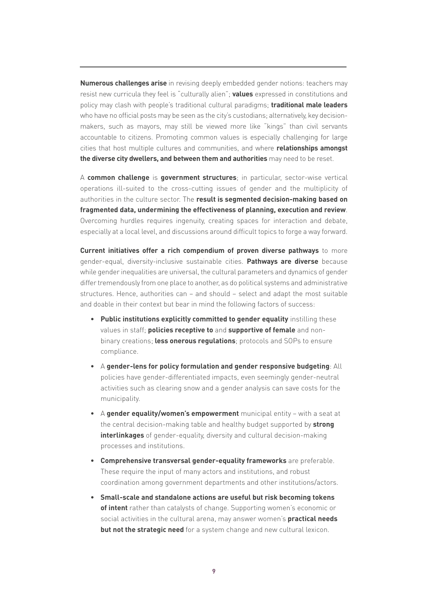**Numerous challenges arise** in revising deeply embedded gender notions: teachers may resist new curricula they feel is "culturally alien"; **values** expressed in constitutions and policy may clash with people's traditional cultural paradigms; **traditional male leaders** who have no official posts may be seen as the city's custodians; alternatively, key decisionmakers, such as mayors, may still be viewed more like "kings" than civil servants accountable to citizens. Promoting common values is especially challenging for large cities that host multiple cultures and communities, and where **relationships amongst the diverse city dwellers, and between them and authorities** may need to be reset.

A **common challenge** is **government structures**; in particular, sector-wise vertical operations ill-suited to the cross-cutting issues of gender and the multiplicity of authorities in the culture sector. The **result is segmented decision-making based on fragmented data, undermining the effectiveness of planning, execution and review**. Overcoming hurdles requires ingenuity, creating spaces for interaction and debate, especially at a local level, and discussions around difficult topics to forge a way forward.

**Current initiatives offer a rich compendium of proven diverse pathways** to more gender-equal, diversity-inclusive sustainable cities. **Pathways are diverse** because while gender inequalities are universal, the cultural parameters and dynamics of gender differ tremendously from one place to another, as do political systems and administrative structures. Hence, authorities can – and should – select and adapt the most suitable and doable in their context but bear in mind the following factors of success:

- **Public institutions explicitly committed to gender equality** instilling these values in staff; **policies receptive to** and **supportive of female** and nonbinary creations; **less onerous regulations**; protocols and SOPs to ensure compliance.
- A **gender-lens for policy formulation and gender responsive budgeting**: All policies have gender-differentiated impacts, even seemingly gender-neutral activities such as clearing snow and a gender analysis can save costs for the municipality.
- A **gender equality/women's empowerment** municipal entity with a seat at the central decision-making table and healthy budget supported by **strong interlinkages** of gender-equality, diversity and cultural decision-making processes and institutions.
- **Comprehensive transversal gender-equality frameworks** are preferable. These require the input of many actors and institutions, and robust coordination among government departments and other institutions/actors.
- **Small-scale and standalone actions are useful but risk becoming tokens of intent** rather than catalysts of change. Supporting women's economic or social activities in the cultural arena, may answer women's **practical needs but not the strategic need** for a system change and new cultural lexicon.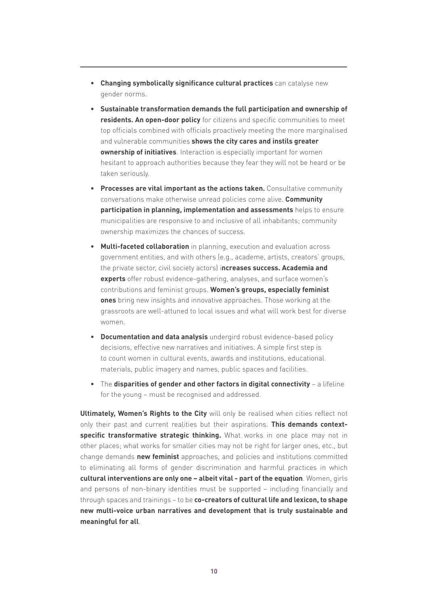- **Changing symbolically significance cultural practices** can catalyse new gender norms.
- **Sustainable transformation demands the full participation and ownership of residents. An open-door policy** for citizens and specific communities to meet top officials combined with officials proactively meeting the more marginalised and vulnerable communities **shows the city cares and instils greater ownership of initiatives**. Interaction is especially important for women hesitant to approach authorities because they fear they will not be heard or be taken seriously.
- **Processes are vital important as the actions taken.** Consultative community conversations make otherwise unread policies come alive. **Community participation in planning, implementation and assessments** helps to ensure municipalities are responsive to and inclusive of all inhabitants; community ownership maximizes the chances of success.
- **Multi-faceted collaboration** in planning, execution and evaluation across government entities, and with others (e.g., academe, artists, creators' groups, the private sector, civil society actors) i**ncreases success. Academia and experts** offer robust evidence-gathering, analyses, and surface women's contributions and feminist groups. **Women's groups, especially feminist ones** bring new insights and innovative approaches. Those working at the grassroots are well-attuned to local issues and what will work best for diverse women.
- **Documentation and data analysis** undergird robust evidence-based policy decisions, effective new narratives and initiatives. A simple first step is to count women in cultural events, awards and institutions, educational materials, public imagery and names, public spaces and facilities.
- The **disparities of gender and other factors in digital connectivity** a lifeline for the young – must be recognised and addressed.

**Ultimately, Women's Rights to the City** will only be realised when cities reflect not only their past and current realities but their aspirations. **This demands contextspecific transformative strategic thinking.** What works in one place may not in other places; what works for smaller cities may not be right for larger ones, etc., but change demands **new feminist** approaches, and policies and institutions committed to eliminating all forms of gender discrimination and harmful practices in which **cultural interventions are only one – albeit vital - part of the equation**. Women, girls and persons of non-binary identities must be supported – including financially and through spaces and trainings – to be **co-creators of cultural life and lexicon, to shape new multi-voice urban narratives and development that is truly sustainable and meaningful for all**.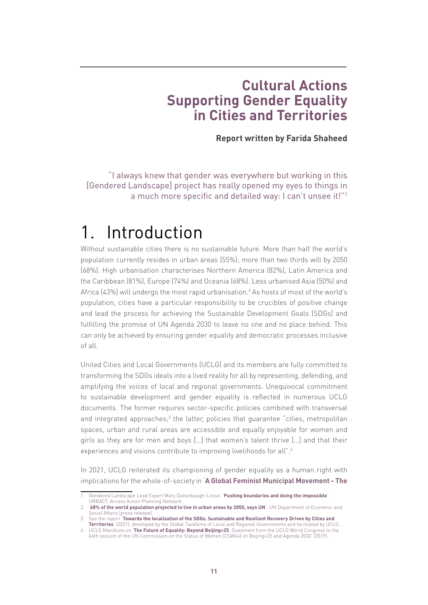## **Cultural Actions Supporting Gender Equality in Cities and Territories**

**Report written by Farida Shaheed**

"I always knew that gender was everywhere but working in this [Gendered Landscape] project has really opened my eyes to things in a much more specific and detailed way: I can't unsee it!"1

# 1. Introduction

Without sustainable cities there is no sustainable future. More than half the world's population currently resides in urban areas (55%); more than two thirds will by 2050 (68%). High urbanisation characterises Northern America (82%), Latin America and the Caribbean (81%), Europe (74%) and Oceania (68%). Less urbanised Asia (50%) and Africa (43%) will undergo the most rapid urbanisation.<sup>2</sup> As hosts of most of the world's population, cities have a particular responsibility to be crucibles of positive change and lead the process for achieving the Sustainable Development Goals (SDGs) and fulfilling the promise of UN Agenda 2030 to leave no one and no place behind. This can only be achieved by ensuring gender equality and democratic processes inclusive of all.

United Cities and Local Governments (UCLG) and its members are fully committed to transforming the SDGs ideals into a lived reality for all by representing, defending, and amplifying the voices of local and regional governments. Unequivocal commitment to sustainable development and gender equality is reflected in numerous UCLG documents. The former requires sector-specific policies combined with transversal and integrated approaches;<sup>3</sup> the latter, policies that guarantee "cities, metropolitan spaces, urban and rural areas are accessible and equally enjoyable for women and girls as they are for men and boys […] that women's talent thrive […] and that their experiences and visions contribute to improving livelihoods for all".4

In 2021, UCLG reiterated its championing of gender equality as a human right with implications for the whole-of-society in '**[A Global Feminist Municipal Movement - The](https://www.uclg-cglu.org/sites/default/files/the_transformative_commitment_of_cities_and_territories_to_generation_equality.pdf)** 

<sup>1</sup> Gendered Landscape Lead Expert Mary Dellenbaugh-Losse. '**[Pushing boundaries and doing the impossible](https://urbact.eu/pushing-boundaries-and-doing-impossible)**'. URBACT. Access Action Planning Network.

**[<sup>68%</sup> of the world population projected to live in urban areas by 2050, says UN](https://www.un.org/development/desa/en/news/population/2018-revision-of-world-urbanization-prospects.html)**'. UN Department of Economic and Social Affairs (press release).

<sup>3</sup> See the report '**[Towards the localization of the SDGs. Sustainable and Resilient Recovery Driven by Cities and](https://www.uclg.org/sites/default/files/5th_report_gtf_hlpf_2021.pdf)  [Territories](https://www.uclg.org/sites/default/files/5th_report_gtf_hlpf_2021.pdf)**' (2021), developed by the Global Taskforce of Local and Regional Governments and facilitated by UCLG.

<sup>4</sup> UCLG Manifesto on '**[The Future of Equality: Beyond Beijing+25](https://www.uclg-cglu.org/sites/default/files/manifesto_en_gender.pdf)**. Statement from the UCLG World Congress to the 64th session of the UN Commission on the Status of Women (CSW64) on Beijing+25 and Agenda 2030' (2019).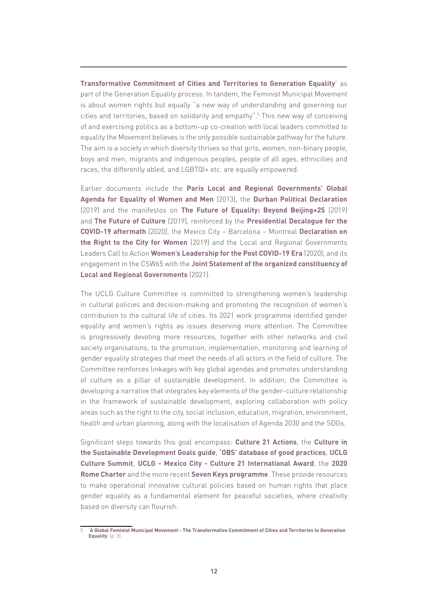**[Transformative Commitment of Cities and Territories to Generation Equality](https://www.uclg-cglu.org/sites/default/files/the_transformative_commitment_of_cities_and_territories_to_generation_equality.pdf)**' as part of the Generation Equality process. In tandem, the Feminist Municipal Movement is about women rights but equally "a new way of understanding and governing our cities and territories, based on solidarity and empathy".5 This new way of conceiving of and exercising politics as a bottom-up co-creation with local leaders committed to equality the Movement believes is the only possible sustainable pathway for the future. The aim is a society in which diversity thrives so that girls, women, non-binary people, boys and men, migrants and indigenous peoples, people of all ages, ethnicities and races, the differently abled, and LGBTQI+ etc. are equally empowered.

Earlier documents include the **[Paris Local and Regional Governments' Global](https://www.uclg.org/sites/default/files/ENG_Amended Paris Declaration@31.pdf) [Agenda for Equality of Women and Men](https://www.uclg.org/sites/default/files/ENG_Amended Paris Declaration@31.pdf)** (2013), the **[Durban Political Declaration](https://www.uclg.org/sites/default/files/uclg_thedurbanpoliticaldeclaration_en_rv.pdf)** (2019) and the manifestos on **[The Future of Equality: Beyond Beijing+25](https://www.uclg.org/sites/default/files/manifesto_en_gender.pdf)** (2019) and **[The Future of Culture](https://www.uclg.org/sites/default/files/en_manifesto_culture.pdf)** (2019), reinforced by the **[Presidential Decalogue for the](https://www.uclg.org/sites/default/files/decalogue_for_the_post_covid-19_era.pdf) [COVID-19 aftermath](https://www.uclg.org/sites/default/files/decalogue_for_the_post_covid-19_era.pdf)** (2020), the Mexico City – Barcelona – Montreal **[Declaration on](https://www.uclg-cisdp.org/en/news/latest-news/right-city-women-open-letter-mayors-mexico-city-montreal-and-barcelona) [the Right to the City for Women](https://www.uclg-cisdp.org/en/news/latest-news/right-city-women-open-letter-mayors-mexico-city-montreal-and-barcelona)** (2019) and the Local and Regional Governments Leaders Call to Action **[Women's Leadership for the Post COVID-19 Era](https://www.uclg.org/sites/default/files/uclgwomen_calltoaction_en.pdf)** (2020), and its engagement in the CSW65 with the **[Joint Statement of the organized constituency of](https://www.uclg.org/sites/default/files/joint_statement_to_csw65_lrgs.pdf) [Local and Regional Governments](https://www.uclg.org/sites/default/files/joint_statement_to_csw65_lrgs.pdf)** (2021).

The UCLG Culture Committee is committed to strengthening women's leadership in cultural policies and decision-making and promoting the recognition of women's contribution to the cultural life of cities. Its 2021 work programme identified gender equality and women's rights as issues deserving more attention. The Committee is progressively devoting more resources, together with other networks and civil society organisations, to the promotion, implementation, monitoring and learning of gender equality strategies that meet the needs of all actors in the field of culture. The Committee reinforces linkages with key global agendas and promotes understanding of culture as a pillar of sustainable development. In addition, the Committee is developing a narrative that integrates key elements of the gender-culture relationship in the framework of sustainable development, exploring collaboration with policy areas such as the right to the city, social inclusion, education, migration, environment, health and urban planning, along with the localisation of Agenda 2030 and the SDGs.

Significant steps towards this goal encompass: **[Culture 21 Actions](http://agenda21culture.net/sites/default/files/files/culture21-actions/c21_015_en.pdf)**, the **[Culture in](http://www.agenda21culture.net/sites/default/files/culturesdgs_web_en.pdf) [the Sustainable Development Goals guide](http://www.agenda21culture.net/sites/default/files/culturesdgs_web_en.pdf)**, **['OBS' database of good practices](http://obs.agenda21culture.net/en/home-grid)**, **[UCLG](http://www.agenda21culture.net/summit/uclg-culture-summit-2021) [Culture Summit](http://www.agenda21culture.net/summit/uclg-culture-summit-2021)**, **[UCLG - Mexico City - Culture 21 International Award](http://www.agenda21culture.net/award)**, the **[2020](https://www.2020romecharter.org/) [Rome Charter](https://www.2020romecharter.org/)** and the more recent **[Seven Keys programme](http://www.agenda21culture.net/our-cities/seven-keys)**. These provide resources to make operational innovative cultural policies based on human rights that place gender equality as a fundamental element for peaceful societies, where creativity based on diversity can flourish.

<sup>5</sup> '**[A Global Feminist Municipal Movement - The Transformative Commitment of Cities and Territories to Generation](https://www.uclg-cglu.org/sites/default/files/the_transformative_commitment_of_cities_and_territories_to_generation_equality.pdf)  [Equality](https://www.uclg-cglu.org/sites/default/files/the_transformative_commitment_of_cities_and_territories_to_generation_equality.pdf)**' (p. 3).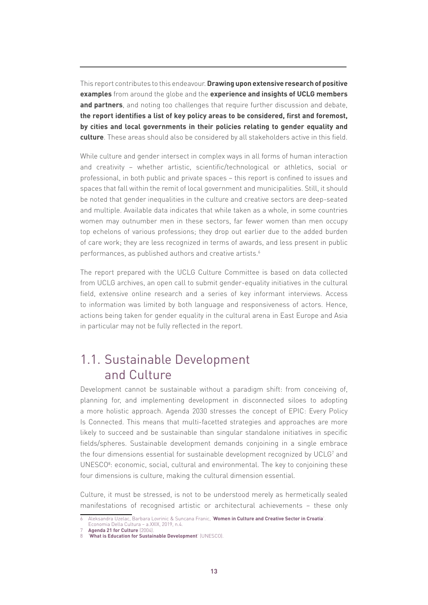This report contributes to this endeavour. **Drawing upon extensive research of positive examples** from around the globe and the **experience and insights of UCLG members and partners**, and noting too challenges that require further discussion and debate, **the report identifies a list of key policy areas to be considered, first and foremost, by cities and local governments in their policies relating to gender equality and culture**. These areas should also be considered by all stakeholders active in this field.

While culture and gender intersect in complex ways in all forms of human interaction and creativity – whether artistic, scientific/technological or athletics, social or professional, in both public and private spaces – this report is confined to issues and spaces that fall within the remit of local government and municipalities. Still, it should be noted that gender inequalities in the culture and creative sectors are deep-seated and multiple. Available data indicates that while taken as a whole, in some countries women may outnumber men in these sectors, far fewer women than men occupy top echelons of various professions; they drop out earlier due to the added burden of care work; they are less recognized in terms of awards, and less present in public performances, as published authors and creative artists.<sup>6</sup>

The report prepared with the UCLG Culture Committee is based on data collected from UCLG archives, an open call to submit gender-equality initiatives in the cultural field, extensive online research and a series of key informant interviews. Access to information was limited by both language and responsiveness of actors. Hence, actions being taken for gender equality in the cultural arena in East Europe and Asia in particular may not be fully reflected in the report.

### 1.1. Sustainable Development and Culture

Development cannot be sustainable without a paradigm shift: from conceiving of, planning for, and implementing development in disconnected siloes to adopting a more holistic approach. Agenda 2030 stresses the concept of EPIC: Every Policy Is Connected. This means that multi-facetted strategies and approaches are more likely to succeed and be sustainable than singular standalone initiatives in specific fields/spheres. Sustainable development demands conjoining in a single embrace the four dimensions essential for sustainable development recognized by UCLG<sup>7</sup> and UNESCO<sup>8</sup>: economic, social, cultural and environmental. The key to conjoining these four dimensions is culture, making the cultural dimension essential.

Culture, it must be stressed, is not to be understood merely as hermetically sealed manifestations of recognised artistic or architectural achievements – these only

<sup>6</sup> Aleksandra Uzelac, Barbara Lovrinic & Suncana Franic, '**[Women in Culture and Creative Sector in Croatia](https://www.bib.irb.hr/1061545)**'.

Economia Della Cultura – a.XXIX, 2019, n.4.

<sup>7</sup> **[Agenda 21 for Culture](https://www.agenda21culture.net/documents/agenda-21-for-culture)** (2004).

<sup>8</sup> '**[What is Education for Sustainable Development](https://en.unesco.org/themes/education-sustainable-development/what-is-esd/sd#:~:text=There%20are%20four%20dimensions%20to,an%20improved%20quality%20of%20life)**' (UNESCO).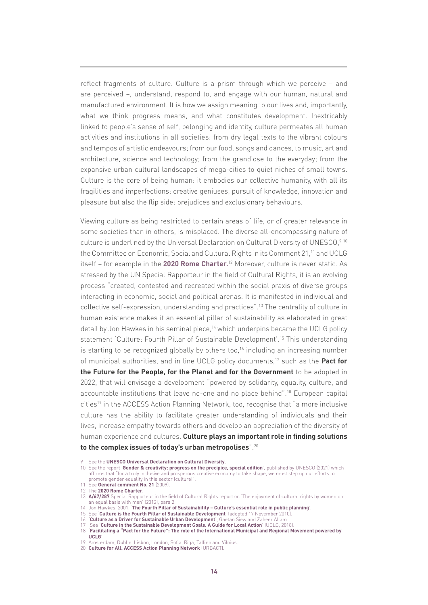reflect fragments of culture. Culture is a prism through which we perceive – and are perceived –, understand, respond to, and engage with our human, natural and manufactured environment. It is how we assign meaning to our lives and, importantly, what we think progress means, and what constitutes development. Inextricably linked to people's sense of self, belonging and identity, culture permeates all human activities and institutions in all societies: from dry legal texts to the vibrant colours and tempos of artistic endeavours; from our food, songs and dances, to music, art and architecture, science and technology; from the grandiose to the everyday; from the expansive urban cultural landscapes of mega-cities to quiet niches of small towns. Culture is the core of being human: it embodies our collective humanity, with all its fragilities and imperfections: creative geniuses, pursuit of knowledge, innovation and pleasure but also the flip side: prejudices and exclusionary behaviours.

Viewing culture as being restricted to certain areas of life, or of greater relevance in some societies than in others, is misplaced. The diverse all-encompassing nature of culture is underlined by the Universal Declaration on Cultural Diversity of UNESCO,<sup>910</sup> the Committee on Economic, Social and Cultural Rights in its Comment 21,<sup>11</sup> and UCLG itself – for example in the **[2020 Rome Charter.](https://www.2020romecharter.org/)**12 Moreover, culture is never static. As stressed by the UN Special Rapporteur in the field of Cultural Rights, it is an evolving process "created, contested and recreated within the social praxis of diverse groups interacting in economic, social and political arenas. It is manifested in individual and collective self-expression, understanding and practices".13 The centrality of culture in human existence makes it an essential pillar of sustainability as elaborated in great detail by Jon Hawkes in his seminal piece,<sup>14</sup> which underpins became the UCLG policy statement 'Culture: Fourth Pillar of Sustainable Development'.15 This understanding is starting to be recognized globally by others too.<sup>16</sup> including an increasing number of municipal authorities, and in line UCLG policy documents,17 such as the **Pact for the Future for the People, for the Planet and for the Government** to be adopted in 2022, that will envisage a development "powered by solidarity, equality, culture, and accountable institutions that leave no-one and no place behind".18 European capital cities<sup>19</sup> in the ACCESS Action Planning Network, too, recognise that "a more inclusive culture has the ability to facilitate greater understanding of individuals and their lives, increase empathy towards others and develop an appreciation of the diversity of human experience and cultures. **Culture plays an important role in finding solutions to the complex issues of today's urban metropolises**".20

- 11 See **[General comment No. 21](http://docstore.ohchr.org/SelfServices/FilesHandler.ashx?enc=4slQ6QSmlBEDzFEovLCuW1a0Szab0oXTdImnsJZZVQc5ReG9hKvddWC2ML5U76E63nT%2BeY%2BtmSVIRS0ynN0q4DVe7VNwOqDL65M0T9xmC2uem8o3Rcj9A7IcPhcoi2lc)** (2009).
- 12 The **[2020 Rome Charter](https://www.2020romecharter.org/)**.

<sup>9</sup> See the **[UNESCO Universal Declaration on Cultural Diversity](http://portal.unesco.org/en/ev.php-URL_ID=13179&URL_DO=DO_TOPIC&URL_SECTION=201.html)**.

<sup>10</sup> See the report '**[Gender & creativity: progress on the precipice, special edition](https://unesdoc.unesco.org/ark:/48223/pf0000375706)**', published by UNESCO (2021) which affirms that "for a truly inclusive and prosperous creative economy to take shape, we must step up our efforts to promote gender equality in this sector [culture]".

<sup>13</sup> **[A/67/287](https://undocs.org/en/A/67/287)** Special Rapporteur in the field of Cultural Rights report on 'The enjoyment of cultural rights by women on an equal basis with men' (2012), para 2.

<sup>14</sup> Jon Hawkes, 2001. '**[The Fourth Pillar of Sustainability – Culture's essential role in public planning](https://www.researchgate.net/publication/200029531_The_Fourth_Pillar_of_Sustainability_Culture)**'.

<sup>15</sup> See '**[Culture is the Fourth Pillar of Sustainable Development](http://www.agenda21culture.net/documents/culture-the-fourth-pillar-of-sustainability)**' (adopted 17 November 2010).

<sup>16</sup> '**[Culture as a Driver for Sustainable Urban Development](https://www.academia.edu/36002120/Culture_as_a_Driver_for_Sustainable_Urban_Development)**', Gaetan Siew and Zaheer Allam. 17 See '**[Culture in the Sustainable Development Goals. A Guide for Local Action](http://www.agenda21culture.net/sites/default/files/culturesdgs_web_en.pdf)**' (UCLG, 2018).

<sup>18</sup> '**[Facilitating a "Pact for the Future": The role of the International Municipal and Regional Movement powered by](https://www.uclg.org/en/media/news/facilitating-pact-future-role-international-municipal-and-regional-movement-powered-uclg)  [UCLG](https://www.uclg.org/en/media/news/facilitating-pact-future-role-international-municipal-and-regional-movement-powered-uclg)**'.

<sup>19</sup> Amsterdam, Dublin, Lisbon, London, Sofia, Riga, Tallinn and Vilnius. 20 **[Culture for All. ACCESS Action Planning Network](https://urbact.eu/access)** (URBACT).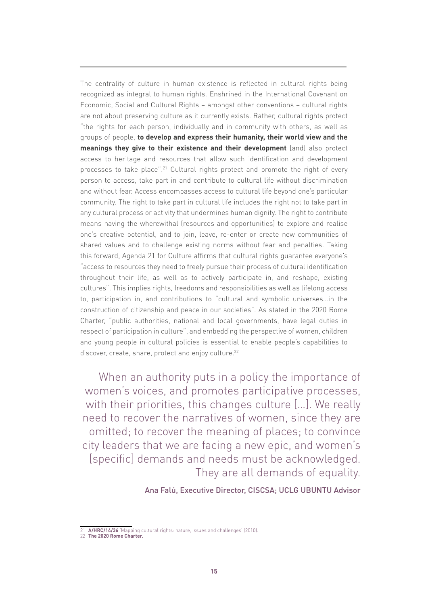The centrality of culture in human existence is reflected in cultural rights being recognized as integral to human rights. Enshrined in the International Covenant on Economic, Social and Cultural Rights – amongst other conventions – cultural rights are not about preserving culture as it currently exists. Rather, cultural rights protect "the rights for each person, individually and in community with others, as well as groups of people, **to develop and express their humanity, their world view and the meanings they give to their existence and their development** [and] also protect access to heritage and resources that allow such identification and development processes to take place".<sup>21</sup> Cultural rights protect and promote the right of every person to access, take part in and contribute to cultural life without discrimination and without fear. Access encompasses access to cultural life beyond one's particular community. The right to take part in cultural life includes the right not to take part in any cultural process or activity that undermines human dignity. The right to contribute means having the wherewithal (resources and opportunities) to explore and realise one's creative potential, and to join, leave, re-enter or create new communities of shared values and to challenge existing norms without fear and penalties. Taking this forward, Agenda 21 for Culture affirms that cultural rights guarantee everyone's "access to resources they need to freely pursue their process of cultural identification throughout their life, as well as to actively participate in, and reshape, existing cultures". This implies rights, freedoms and responsibilities as well as lifelong access to, participation in, and contributions to "cultural and symbolic universes…in the construction of citizenship and peace in our societies". As stated in the 2020 Rome Charter, "public authorities, national and local governments, have legal duties in respect of participation in culture", and embedding the perspective of women, children and young people in cultural policies is essential to enable people's capabilities to discover, create, share, protect and enjoy culture.<sup>22</sup>

When an authority puts in a policy the importance of women's voices, and promotes participative processes, with their priorities, this changes culture […]. We really need to recover the narratives of women, since they are omitted; to recover the meaning of places; to convince city leaders that we are facing a new epic, and women's [specific] demands and needs must be acknowledged. They are all demands of equality.

#### Ana Falú, Executive Director, CISCSA; UCLG UBUNTU Advisor

[A/HRC/14/36](https://undocs.org/en/A/HRC/14/36) Mapping cultural rights: nature, issues and challenges' (2010). **21 A/HRC/14/36 Mapping C22 [The 2020 Rome Charter.](https://www.2020romecharter.org/)**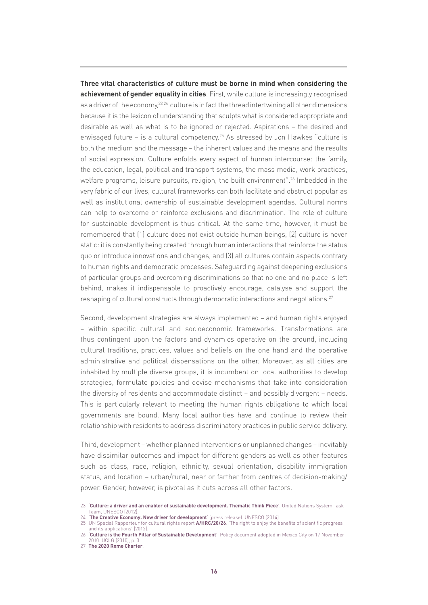**Three vital characteristics of culture must be borne in mind when considering the achievement of gender equality in cities**. First, while culture is increasingly recognised as a driver of the economy,<sup>23 24</sup> culture is in fact the thread intertwining all other dimensions because it is the lexicon of understanding that sculpts what is considered appropriate and desirable as well as what is to be ignored or rejected. Aspirations – the desired and envisaged future - is a cultural competency.<sup>25</sup> As stressed by Jon Hawkes "culture is both the medium and the message – the inherent values and the means and the results of social expression. Culture enfolds every aspect of human intercourse: the family, the education, legal, political and transport systems, the mass media, work practices, welfare programs, leisure pursuits, religion, the built environment".<sup>26</sup> Imbedded in the very fabric of our lives, cultural frameworks can both facilitate and obstruct popular as well as institutional ownership of sustainable development agendas. Cultural norms can help to overcome or reinforce exclusions and discrimination. The role of culture for sustainable development is thus critical. At the same time, however, it must be remembered that (1) culture does not exist outside human beings, (2) culture is never static: it is constantly being created through human interactions that reinforce the status quo or introduce innovations and changes, and (3) all cultures contain aspects contrary to human rights and democratic processes. Safeguarding against deepening exclusions of particular groups and overcoming discriminations so that no one and no place is left behind, makes it indispensable to proactively encourage, catalyse and support the reshaping of cultural constructs through democratic interactions and negotiations.27

Second, development strategies are always implemented – and human rights enjoyed – within specific cultural and socioeconomic frameworks. Transformations are thus contingent upon the factors and dynamics operative on the ground, including cultural traditions, practices, values and beliefs on the one hand and the operative administrative and political dispensations on the other. Moreover, as all cities are inhabited by multiple diverse groups, it is incumbent on local authorities to develop strategies, formulate policies and devise mechanisms that take into consideration the diversity of residents and accommodate distinct – and possibly divergent – needs. This is particularly relevant to meeting the human rights obligations to which local governments are bound. Many local authorities have and continue to review their relationship with residents to address discriminatory practices in public service delivery.

Third, development – whether planned interventions or unplanned changes – inevitably have dissimilar outcomes and impact for different genders as well as other features such as class, race, religion, ethnicity, sexual orientation, disability immigration status, and location – urban/rural, near or farther from centres of decision-making/ power. Gender, however, is pivotal as it cuts across all other factors.

<sup>23</sup> '**[Culture: a driver and an enabler of sustainable development. Thematic Think Piece](https://www.un.org/millenniumgoals/pdf/Think Pieces/2_culture.pdf)**'. United Nations System Task Team, UNESCO (2012).

<sup>24</sup> '**[The Creative Economy. New driver for development](https://en.unesco.org/news/creative-economy-new-driver-development)**' (press release). UNESCO (2014).

<sup>25</sup> UN Special Rapporteur for cultural rights report **[A/HRC/20/26](https://undocs.org/en/A/HRC/20/26)**. 'The right to enjoy the benefits of scientific progress and its applications' (2012).

<sup>26</sup> '**[Culture is the Fourth Pillar of Sustainable Development](http://www.agenda21culture.net/documents/culture-the-fourth-pillar-of-sustainability)**'. Policy document adopted in Mexico City on 17 November 2010. UCLG (2010), p. 3.

<sup>27</sup> **[The 2020 Rome Charter](https://www.2020romecharter.org/)**.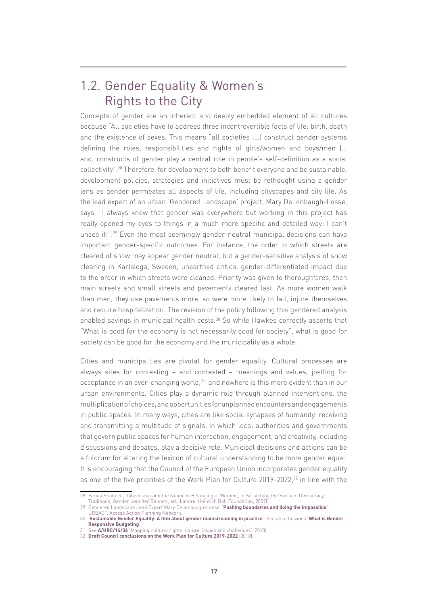### 1.2. Gender Equality & Women's Rights to the City

Concepts of gender are an inherent and deeply embedded element of all cultures because "All societies have to address three incontrovertible facts of life: birth, death and the existence of sexes. This means "all societies […] construct gender systems defining the roles, responsibilities and rights of girls/women and boys/men [… and] constructs of gender play a central role in people's self-definition as a social collectivity".28 Therefore, for development to both benefit everyone and be sustainable, development policies, strategies and initiatives must be rethought using a gender lens as gender permeates all aspects of life, including cityscapes and city life. As the lead expert of an urban 'Gendered Landscape' project, Mary Dellenbaugh-Losse, says, "I always knew that gender was everywhere but working in this project has really opened my eyes to things in a much more specific and detailed way: I can't unsee it!".<sup>29</sup> Even the most seemingly gender-neutral municipal decisions can have important gender-specific outcomes. For instance, the order in which streets are cleared of snow may appear gender neutral, but a gender-sensitive analysis of snow clearing in Karlsloga, Sweden, unearthed critical gender-differentiated impact due to the order in which streets were cleaned. Priority was given to thoroughfares, then main streets and small streets and pavements cleared last. As more women walk than men, they use pavements more, so were more likely to fall, injure themselves and require hospitalization. The revision of the policy following this gendered analysis enabled savings in municipal health costs.<sup>30</sup> So while Hawkes correctly asserts that "What is good for the economy is not necessarily good for society", what is good for society can be good for the economy and the municipality as a whole.

Cities and municipalities are pivotal for gender equality. Cultural processes are always sites for contesting – and contested – meanings and values, jostling for acceptance in an ever-changing world, $31$  and nowhere is this more evident than in our urban environments. Cities play a dynamic role through planned interventions, the multiplication of choices, and opportunities for unplanned encounters and engagements in public spaces. In many ways, cities are like social synapses of humanity: receiving and transmitting a multitude of signals, in which local authorities and governments that govern public spaces for human interaction, engagement, and creativity, including discussions and debates, play a decisive role. Municipal decisions and actions can be a fulcrum for altering the lexicon of cultural understanding to be more gender equal. It is encouraging that the Council of the European Union incorporates gender equality as one of the five priorities of the Work Plan for Culture 2019-2022,<sup>32</sup> in line with the

<sup>28</sup> Farida Shaheed, 'Citizenship and the Nuanced Belonging of Women', in Scratching the Surface: Democracy, Traditions, Gender, Jennifer Bennett, ed. (Lahore, Heinrich Böll Foundation, 2007).

<sup>29</sup> Gendered Landscape Lead Expert Mary Dellenbaugh-Losse. '**[Pushing boundaries and doing the impossible](https://urbact.eu/pushing-boundaries-and-doing-impossible)**'. URBACT. Access Action Planning Network.

<sup>30</sup> '**[Sustainable Gender Equality. A film about gender mainstreaming in practice](https://www.youtube.com/watch?v=udSjBbGwJEg)**'. See also the video '**[What is Gender](https://www.bing.com/videos/search?q=video+gender+responsive+budgetting+UN+Women&view=detail&mid=B028BABEC14CCBF0869CB028BABEC14CCBF0869C&FORM=VIRE)  [Responsive Budgeting](https://www.bing.com/videos/search?q=video+gender+responsive+budgetting+UN+Women&view=detail&mid=B028BABEC14CCBF0869CB028BABEC14CCBF0869C&FORM=VIRE)**'.

<sup>31</sup> See **[A/HRC/14/36](https://undocs.org/en/A/HRC/14/36)** 'Mapping cultural rights: nature, issues and challenges' (2010). 32 **[Draft Council conclusions on the Work Plan for Culture 2019-2022](https://data.consilium.europa.eu/doc/document/ST-13948-2018-INIT/en/pdf)** (2018).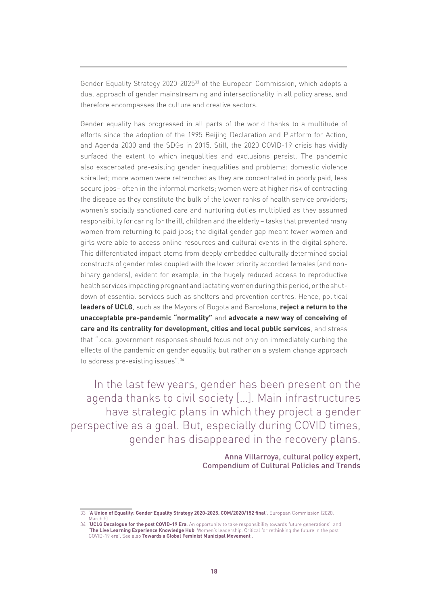Gender Equality Strategy 2020-202533 of the European Commission, which adopts a dual approach of gender mainstreaming and intersectionality in all policy areas, and therefore encompasses the culture and creative sectors.

Gender equality has progressed in all parts of the world thanks to a multitude of efforts since the adoption of the 1995 Beijing Declaration and Platform for Action, and Agenda 2030 and the SDGs in 2015. Still, the 2020 COVID-19 crisis has vividly surfaced the extent to which inequalities and exclusions persist. The pandemic also exacerbated pre-existing gender inequalities and problems: domestic violence spiralled; more women were retrenched as they are concentrated in poorly paid, less secure jobs– often in the informal markets; women were at higher risk of contracting the disease as they constitute the bulk of the lower ranks of health service providers; women's socially sanctioned care and nurturing duties multiplied as they assumed responsibility for caring for the ill, children and the elderly – tasks that prevented many women from returning to paid jobs; the digital gender gap meant fewer women and girls were able to access online resources and cultural events in the digital sphere. This differentiated impact stems from deeply embedded culturally determined social constructs of gender roles coupled with the lower priority accorded females (and nonbinary genders), evident for example, in the hugely reduced access to reproductive health services impacting pregnant and lactating women during this period, or the shutdown of essential services such as shelters and prevention centres. Hence, political **leaders of UCLG**, such as the Mayors of Bogota and Barcelona, **reject a return to the unacceptable pre-pandemic "normality"** and **advocate a new way of conceiving of care and its centrality for development, cities and local public services**, and stress that "local government responses should focus not only on immediately curbing the effects of the pandemic on gender equality, but rather on a system change approach to address pre-existing issues".34

In the last few years, gender has been present on the agenda thanks to civil society […]. Main infrastructures have strategic plans in which they project a gender perspective as a goal. But, especially during COVID times, gender has disappeared in the recovery plans.

> Anna Villarroya, cultural policy expert, Compendium of Cultural Policies and Trends

<sup>33</sup> '**[A Union of Equality: Gender Equality Strategy 2020-2025. COM/2020/152 final](https://ec.europa.eu/info/policies/justice-and-fundamental-rights/gender-equality/gender-equality-strategy_en)**'. European Commission (2020, March 5).

<sup>34</sup> '**[UCLG Decalogue for the post COVID-19 Era](https://www.uclg.org/sites/default/files/decalogue_for_the_post_covid-19_era.pdf)**. An opportunity to take responsibility towards future generations' and '**[The Live Learning Experience Knowledge Hub](https://www.beyondtheoutbreak.uclg.org/womens-leadership)**. Women's leadership. Critical for rethinking the future in the post COVID-19 era'. See also **[Towards a Global Feminist Municipal Movement](https://women.uclg.org/sites/default/files/2021-03/Report_ Towards a global feminist municiapl movement.pdf)**'.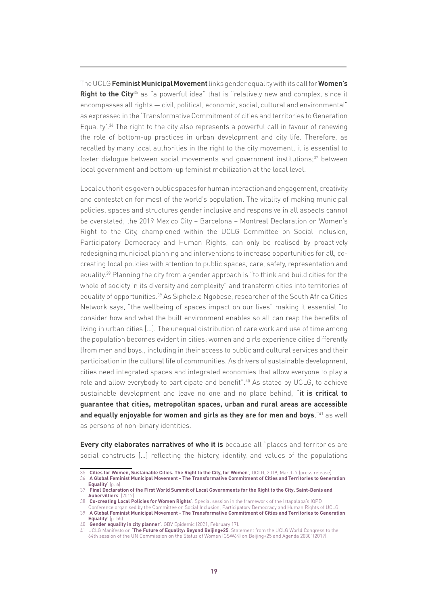The UCLG **Feminist Municipal Movement** links gender equality with its call for **Women's Right to the City**<sup>35</sup> as "a powerful idea" that is "relatively new and complex, since it encompasses all rights — civil, political, economic, social, cultural and environmental" as expressed in the 'Transformative Commitment of cities and territories to Generation Equality<sup>'.36</sup> The right to the city also represents a powerful call in favour of renewing the role of bottom-up practices in urban development and city life. Therefore, as recalled by many local authorities in the right to the city movement, it is essential to foster dialogue between social movements and government institutions; $37$  between local government and bottom-up feminist mobilization at the local level.

Local authorities govern public spaces for human interaction and engagement, creativity and contestation for most of the world's population. The vitality of making municipal policies, spaces and structures gender inclusive and responsive in all aspects cannot be overstated; the 2019 Mexico City – Barcelona – Montreal Declaration on Women's Right to the City, championed within the UCLG Committee on Social Inclusion, Participatory Democracy and Human Rights, can only be realised by proactively redesigning municipal planning and interventions to increase opportunities for all, cocreating local policies with attention to public spaces, care, safety, representation and equality.38 Planning the city from a gender approach is "to think and build cities for the whole of society in its diversity and complexity" and transform cities into territories of equality of opportunities.39 As Siphelele Ngobese, researcher of the South Africa Cities Network says, "the wellbeing of spaces impact on our lives" making it essential "to consider how and what the built environment enables so all can reap the benefits of living in urban cities […]. The unequal distribution of care work and use of time among the population becomes evident in cities; women and girls experience cities differently [from men and boys], including in their access to public and cultural services and their participation in the cultural life of communities. As drivers of sustainable development, cities need integrated spaces and integrated economies that allow everyone to play a role and allow everybody to participate and benefit".<sup>40</sup> As stated by UCLG, to achieve sustainable development and leave no one and no place behind, "**it is critical to guarantee that cities, metropolitan spaces, urban and rural areas are accessible**  and equally enjoyable for women and girls as they are for men and boys,<sup>"41</sup> as well as persons of non-binary identities.

**Every city elaborates narratives of who it is** because all "places and territories are social constructs […] reflecting the history, identity, and values of the populations

<sup>35</sup> '**[Cities for Women, Sustainable Cities. The Right to the City, for Women](https://www.uclg.org/en/media/news/cities-women-sustainable-cities-right-city-women)**', UCLG, 2019, March 7 (press release).

<sup>36</sup> '**[A Global Feminist Municipal Movement - The Transformative Commitment of Cities and Territories to Generation](https://www.uclg-cglu.org/sites/default/files/the_transformative_commitment_of_cities_and_territories_to_generation_equality.pdf)  [Equality](https://www.uclg-cglu.org/sites/default/files/the_transformative_commitment_of_cities_and_territories_to_generation_equality.pdf)**<sup>'</sup> (p. 6)

<sup>37</sup> '**[Final Declaration of the First World Summit of Local Governments for the Right to the City. Saint-Denis and](https://www.uclg-cisdp.org/sites/default/files/documents/files/2021-06/Final_declaration_Summit_Saint_Denis_5.pdf)  [Aubervilliers](https://www.uclg-cisdp.org/sites/default/files/documents/files/2021-06/Final_declaration_Summit_Saint_Denis_5.pdf)**' (2012). 38 '**[Co-creating Local Policies for Women Rights](https://uclg-cisdp.org/sites/default/files/Report Women Iztapalapa_0.pdf)**'. Special session in the framework of the Iztapalapa's IOPD

Conference organised by the Committee on Social Inclusion, Participatory Democracy and Human Rights of UCLG. 39 '**[A Global Feminist Municipal Movement - The Transformative Commitment of Cities and Territories to Generation](https://www.uclg-cglu.org/sites/default/files/the_transformative_commitment_of_cities_and_territories_to_generation_equality.pdf)** 

**[Equality](https://www.uclg-cglu.org/sites/default/files/the_transformative_commitment_of_cities_and_territories_to_generation_equality.pdf)**' (p. 55). 40 '**[Gender equality in city planner](https://www.bing.com/videos/search?q=gender+equality+cities&docid=608054055101231011&mid=6FFED6366E18B9648C286FFED6366E18B9648C28&view=detail&FORM=VIRE)**'. GBV Epidemic (2021, February 17).

<sup>41</sup> UCLG Manifesto on '**[The Future of Equality: Beyond Beijing+25](https://www.uclg-cglu.org/sites/default/files/manifesto_en_gender.pdf)**. Statement from the UCLG World Congress to the

<sup>64</sup>th session of the UN Commission on the Status of Women (CSW64) on Beijing+25 and Agenda 2030' (2019).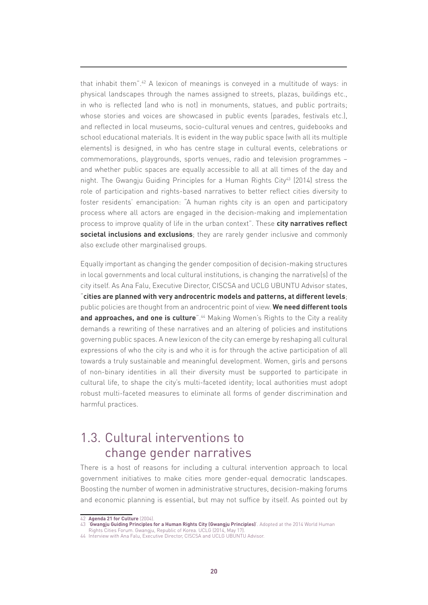that inhabit them".42 A lexicon of meanings is conveyed in a multitude of ways: in physical landscapes through the names assigned to streets, plazas, buildings etc., in who is reflected (and who is not) in monuments, statues, and public portraits; whose stories and voices are showcased in public events (parades, festivals etc.), and reflected in local museums, socio-cultural venues and centres, guidebooks and school educational materials. It is evident in the way public space (with all its multiple elements) is designed, in who has centre stage in cultural events, celebrations or commemorations, playgrounds, sports venues, radio and television programmes – and whether public spaces are equally accessible to all at all times of the day and night. The Gwangju Guiding Principles for a Human Rights City<sup>43</sup> (2014) stress the role of participation and rights-based narratives to better reflect cities diversity to foster residents' emancipation: "A human rights city is an open and participatory process where all actors are engaged in the decision-making and implementation process to improve quality of life in the urban context". These **city narratives reflect societal inclusions and exclusions**; they are rarely gender inclusive and commonly also exclude other marginalised groups.

Equally important as changing the gender composition of decision-making structures in local governments and local cultural institutions, is changing the narrative(s) of the city itself. As Ana Falu, Executive Director, CISCSA and UCLG UBUNTU Advisor states, "**cities are planned with very androcentric models and patterns, at different levels**; public policies are thought from an androcentric point of view. **We need different tools**  and approaches, and one is culture<sup>".44</sup> Making Women's Rights to the City a reality demands a rewriting of these narratives and an altering of policies and institutions governing public spaces. A new lexicon of the city can emerge by reshaping all cultural expressions of who the city is and who it is for through the active participation of all towards a truly sustainable and meaningful development. Women, girls and persons of non-binary identities in all their diversity must be supported to participate in cultural life, to shape the city's multi-faceted identity; local authorities must adopt robust multi-faceted measures to eliminate all forms of gender discrimination and harmful practices.

### 1.3. Cultural interventions to change gender narratives

There is a host of reasons for including a cultural intervention approach to local government initiatives to make cities more gender-equal democratic landscapes. Boosting the number of women in administrative structures, decision-making forums and economic planning is essential, but may not suffice by itself. As pointed out by

<sup>42</sup> **[Agenda 21 for Culture](https://www.agenda21culture.net/documents/agenda-21-for-culture)** (2004).

<sup>43</sup> '**[Gwangju Guiding Principles for a Human Rights City \(Gwangju Principles\)](https://www.uclg-cisdp.org/sites/default/files/documents/files/2021-06/Gwangju Guiding Principles for Human Rights City.pdf)**'. Adopted at the 2014 World Human

Rights Cities Forum. Gwangju, Republic of Korea. UCLG (2014, May 17).

<sup>44</sup> Interview with Ana Falu, Executive Director, CISCSA and UCLG UBUNTU Advisor.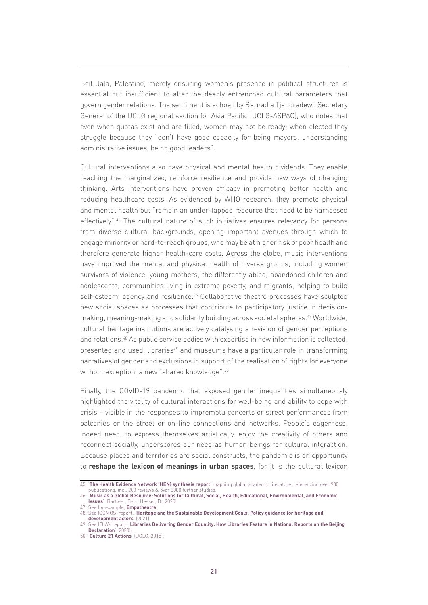Beit Jala, Palestine, merely ensuring women's presence in political structures is essential but insufficient to alter the deeply entrenched cultural parameters that govern gender relations. The sentiment is echoed by Bernadia Tjandradewi, Secretary General of the UCLG regional section for Asia Pacific (UCLG-ASPAC), who notes that even when quotas exist and are filled, women may not be ready; when elected they struggle because they "don't have good capacity for being mayors, understanding administrative issues, being good leaders".

Cultural interventions also have physical and mental health dividends. They enable reaching the marginalized, reinforce resilience and provide new ways of changing thinking. Arts interventions have proven efficacy in promoting better health and reducing healthcare costs. As evidenced by WHO research, they promote physical and mental health but "remain an under-tapped resource that need to be harnessed effectively".45 The cultural nature of such initiatives ensures relevancy for persons from diverse cultural backgrounds, opening important avenues through which to engage minority or hard-to-reach groups, who may be at higher risk of poor health and therefore generate higher health-care costs. Across the globe, music interventions have improved the mental and physical health of diverse groups, including women survivors of violence, young mothers, the differently abled, abandoned children and adolescents, communities living in extreme poverty, and migrants, helping to build self-esteem, agency and resilience.<sup>46</sup> Collaborative theatre processes have sculpted new social spaces as processes that contribute to participatory justice in decisionmaking, meaning-making and solidarity building across societal spheres.47 Worldwide, cultural heritage institutions are actively catalysing a revision of gender perceptions and relations.48 As public service bodies with expertise in how information is collected, presented and used, libraries<sup>49</sup> and museums have a particular role in transforming narratives of gender and exclusions in support of the realisation of rights for everyone without exception, a new "shared knowledge".<sup>50</sup>

Finally, the COVID-19 pandemic that exposed gender inequalities simultaneously highlighted the vitality of cultural interactions for well-being and ability to cope with crisis – visible in the responses to impromptu concerts or street performances from balconies or the street or on-line connections and networks. People's eagerness, indeed need, to express themselves artistically, enjoy the creativity of others and reconnect socially, underscores our need as human beings for cultural interaction. Because places and territories are social constructs, the pandemic is an opportunity to **reshape the lexicon of meanings in urban spaces**, for it is the cultural lexicon

<sup>45</sup> '**[The Health Evidence Network \(HEN\) synthesis report](https://apps.who.int/iris/bitstream/handle/10665/329834/9789289054553-eng.pdf)**' mapping global academic literature, referencing over 900 publications, incl. 200 reviews & over 3000 further studies.

<sup>46</sup> '**[Music as a Global Resource: Solutions for Cultural, Social, Health, Educational, Environmental, and Economic](https://www.musicasaglobalresource.org/2020compendium)  [Issues](https://www.musicasaglobalresource.org/2020compendium)**' (Bartleet, B-L., Hesser, B., 2020).

<sup>47</sup> See for example, **[Empatheatre](https://www.empatheatre.com/)**.

<sup>48</sup> See ICOMOS' report: '**[Heritage and the Sustainable Development Goals. Policy guidance for heritage and](https://www.icomos.org/images/DOCUMENTS/Secretariat/2021/SDG/ICOMOS_SDGs_Policy_Guidance_2021.pdf)  [development actors](https://www.icomos.org/images/DOCUMENTS/Secretariat/2021/SDG/ICOMOS_SDGs_Policy_Guidance_2021.pdf)**' (2021).

<sup>49</sup> See IFLA's report: '**[Libraries Delivering Gender Equality. How Libraries Feature in National Reports on the Beijing](https://www.ifla.org/publications/node/92944)  [Declaration](https://www.ifla.org/publications/node/92944)**' (2020).

<sup>50</sup> '**[Culture 21 Actions](http://agenda21culture.net/sites/default/files/files/culture21-actions/c21_015_en.pdf)**' (UCLG, 2015).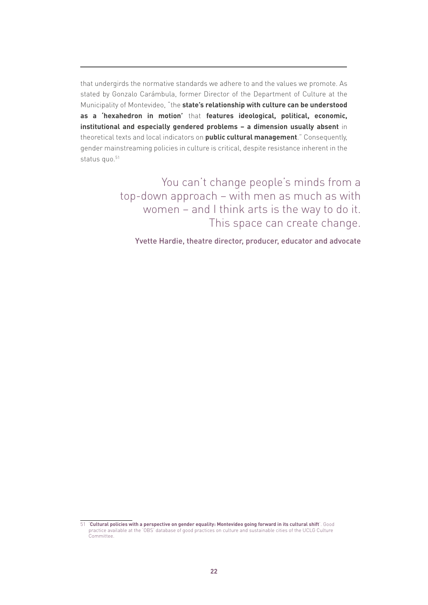that undergirds the normative standards we adhere to and the values we promote. As stated by Gonzalo Carámbula, former Director of the Department of Culture at the Municipality of Montevideo, "the **state's relationship with culture can be understood as a 'hexahedron in motion'** that **features ideological, political, economic, institutional and especially gendered problems – a dimension usually absent** in theoretical texts and local indicators on **public cultural management**." Consequently, gender mainstreaming policies in culture is critical, despite resistance inherent in the status quo.<sup>51</sup>

> You can't change people's minds from a top-down approach – with men as much as with women – and I think arts is the way to do it. This space can create change.

Yvette Hardie, theatre director, producer, educator and advocate

<sup>51</sup> '**[Cultural policies with a perspective on gender equality: Montevideo going forward in its cultural shift](https://obs.agenda21culture.net/en/good-practices/cultural-policies-perspective-gender-equality-montevideo-going-forward-its-cultural)**'. Good practice available at the 'OBS' database of good practices on culture and sustainable cities of the UCLG Culture Committee.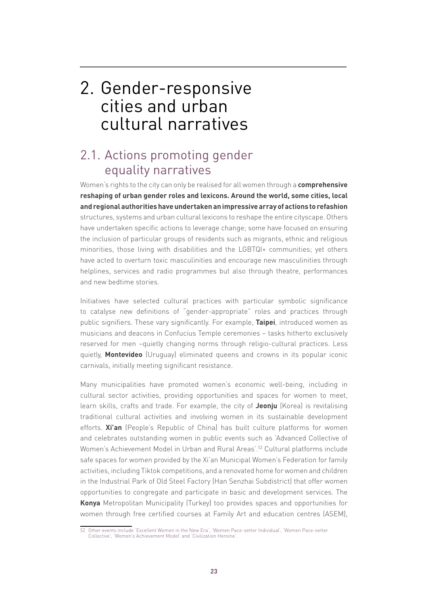# 2. Gender-responsive cities and urban cultural narratives

## 2.1. Actions promoting gender equality narratives

Women's rights to the city can only be realised for all women through a **comprehensive reshaping of urban gender roles and lexicons. Around the world, some cities, local and regional authorities have undertaken an impressive array of actions to refashion** structures, systems and urban cultural lexicons to reshape the entire cityscape. Others have undertaken specific actions to leverage change; some have focused on ensuring the inclusion of particular groups of residents such as migrants, ethnic and religious minorities, those living with disabilities and the LGBTQI+ communities; yet others have acted to overturn toxic masculinities and encourage new masculinities through helplines, services and radio programmes but also through theatre, performances and new bedtime stories.

Initiatives have selected cultural practices with particular symbolic significance to catalyse new definitions of "gender-appropriate" roles and practices through public signifiers. These vary significantly. For example, **Taipei**, introduced women as musicians and deacons in Confucius Temple ceremonies – tasks hitherto exclusively reserved for men –quietly changing norms through religio-cultural practices. Less quietly, **Montevideo** (Uruguay) eliminated queens and crowns in its popular iconic carnivals, initially meeting significant resistance.

Many municipalities have promoted women's economic well-being, including in cultural sector activities, providing opportunities and spaces for women to meet, learn skills, crafts and trade. For example, the city of **Jeonju** (Korea) is revitalising traditional cultural activities and involving women in its sustainable development efforts. **Xi'an** (People's Republic of China) has built culture platforms for women and celebrates outstanding women in public events such as 'Advanced Collective of Women's Achievement Model in Urban and Rural Areas'.<sup>52</sup> Cultural platforms include safe spaces for women provided by the Xi'an Municipal Women's Federation for family activities, including Tiktok competitions, and a renovated home for women and children in the Industrial Park of Old Steel Factory (Han Senzhai Subdistrict) that offer women opportunities to congregate and participate in basic and development services. The **Konya** Metropolitan Municipality (Turkey) too provides spaces and opportunities for women through free certified courses at Family Art and education centres (ASEM),

<sup>52</sup> Other events include 'Excellent Women in the New Era', 'Women Pace-setter Individual', 'Women Pace-setter Collective', 'Women's Achievement Model' and 'Civilization Heroine'.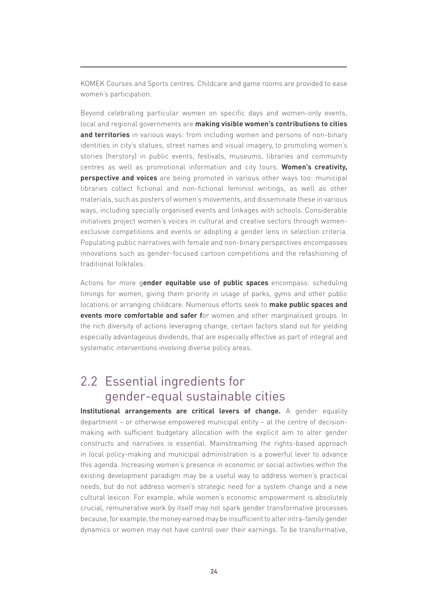KOMEK Courses and Sports centres. Childcare and game rooms are provided to ease women's participation.

Beyond celebrating particular women on specific days and women-only events, local and regional governments are **making visible women's contributions to cities and territories** in various ways: from including women and persons of non-binary identities in city's statues, street names and visual imagery, to promoting women's stories (herstory) in public events, festivals, museums, libraries and community centres as well as promotional information and city tours. **Women's creativity, perspective and voices** are being promoted in various other ways too: municipal libraries collect fictional and non-fictional feminist writings, as well as other materials, such as posters of women's movements, and disseminate these in various ways, including specially organised events and linkages with schools. Considerable initiatives project women's voices in cultural and creative sectors through womenexclusive competitions and events or adopting a gender lens in selection criteria. Populating public narratives with female and non-binary perspectives encompasses innovations such as gender-focused cartoon competitions and the refashioning of traditional folktales.

Actions for more g**ender equitable use of public spaces** encompass: scheduling timings for women, giving them priority in usage of parks, gyms and other public locations or arranging childcare. Numerous efforts seek to **make public spaces and events more comfortable and safer f**or women and other marginalised groups. In the rich diversity of actions leveraging change, certain factors stand out for yielding especially advantageous dividends, that are especially effective as part of integral and systematic interventions involving diverse policy areas.

### 2.2 Essential ingredients for gender-equal sustainable cities

**Institutional arrangements are critical levers of change.** A gender equality department – or otherwise empowered municipal entity – at the centre of decisionmaking with sufficient budgetary allocation with the explicit aim to alter gender constructs and narratives is essential. Mainstreaming the rights-based approach in local policy-making and municipal administration is a powerful lever to advance this agenda. Increasing women's presence in economic or social activities within the existing development paradigm may be a useful way to address women's practical needs, but do not address women's strategic need for a system change and a new cultural lexicon. For example, while women's economic empowerment is absolutely crucial, remunerative work by itself may not spark gender transformative processes because, for example, the money earned may be insufficient to alter intra-family gender dynamics or women may not have control over their earnings. To be transformative,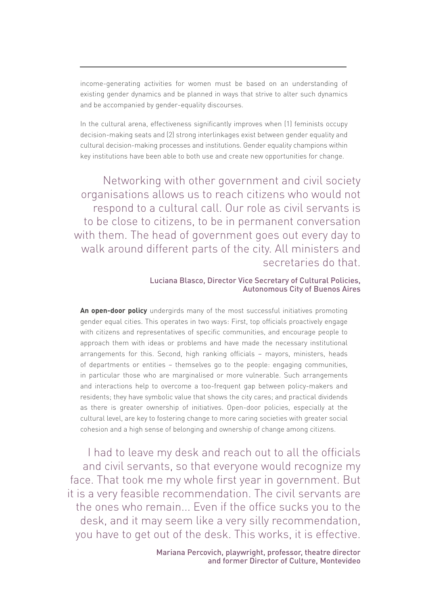income-generating activities for women must be based on an understanding of existing gender dynamics and be planned in ways that strive to alter such dynamics and be accompanied by gender-equality discourses.

In the cultural arena, effectiveness significantly improves when (1) feminists occupy decision-making seats and (2) strong interlinkages exist between gender equality and cultural decision-making processes and institutions. Gender equality champions within key institutions have been able to both use and create new opportunities for change.

Networking with other government and civil society organisations allows us to reach citizens who would not respond to a cultural call. Our role as civil servants is to be close to citizens, to be in permanent conversation with them. The head of government goes out every day to walk around different parts of the city. All ministers and secretaries do that.

#### Luciana Blasco, Director Vice Secretary of Cultural Policies, Autonomous City of Buenos Aires

**An open-door policy** undergirds many of the most successful initiatives promoting gender equal cities. This operates in two ways: First, top officials proactively engage with citizens and representatives of specific communities, and encourage people to approach them with ideas or problems and have made the necessary institutional arrangements for this. Second, high ranking officials – mayors, ministers, heads of departments or entities – themselves go to the people: engaging communities, in particular those who are marginalised or more vulnerable. Such arrangements and interactions help to overcome a too-frequent gap between policy-makers and residents; they have symbolic value that shows the city cares; and practical dividends as there is greater ownership of initiatives. Open-door policies, especially at the cultural level, are key to fostering change to more caring societies with greater social cohesion and a high sense of belonging and ownership of change among citizens.

I had to leave my desk and reach out to all the officials and civil servants, so that everyone would recognize my face. That took me my whole first year in government. But it is a very feasible recommendation. The civil servants are the ones who remain... Even if the office sucks you to the desk, and it may seem like a very silly recommendation, you have to get out of the desk. This works, it is effective.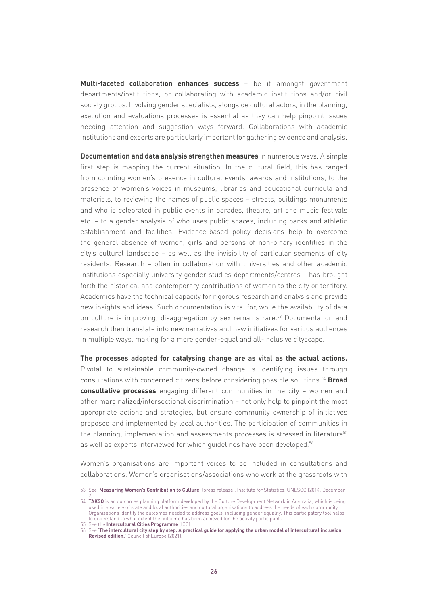**Multi-faceted collaboration enhances success** – be it amongst government departments/institutions, or collaborating with academic institutions and/or civil society groups. Involving gender specialists, alongside cultural actors, in the planning, execution and evaluations processes is essential as they can help pinpoint issues needing attention and suggestion ways forward. Collaborations with academic institutions and experts are particularly important for gathering evidence and analysis.

**Documentation and data analysis strengthen measures** in numerous ways. A simple first step is mapping the current situation. In the cultural field, this has ranged from counting women's presence in cultural events, awards and institutions, to the presence of women's voices in museums, libraries and educational curricula and materials, to reviewing the names of public spaces – streets, buildings monuments and who is celebrated in public events in parades, theatre, art and music festivals etc. – to a gender analysis of who uses public spaces, including parks and athletic establishment and facilities. Evidence-based policy decisions help to overcome the general absence of women, girls and persons of non-binary identities in the city's cultural landscape – as well as the invisibility of particular segments of city residents. Research – often in collaboration with universities and other academic institutions especially university gender studies departments/centres – has brought forth the historical and contemporary contributions of women to the city or territory. Academics have the technical capacity for rigorous research and analysis and provide new insights and ideas. Such documentation is vital for, while the availability of data on culture is improving, disaggregation by sex remains rare.<sup>53</sup> Documentation and research then translate into new narratives and new initiatives for various audiences in multiple ways, making for a more gender-equal and all-inclusive cityscape.

**The processes adopted for catalysing change are as vital as the actual actions.** Pivotal to sustainable community-owned change is identifying issues through consultations with concerned citizens before considering possible solutions.54 **Broad consultative processes** engaging different communities in the city – women and other marginalized/intersectional discrimination – not only help to pinpoint the most appropriate actions and strategies, but ensure community ownership of initiatives proposed and implemented by local authorities. The participation of communities in the planning, implementation and assessments processes is stressed in literature<sup>55</sup> as well as experts interviewed for which quidelines have been developed.<sup>56</sup>

Women's organisations are important voices to be included in consultations and collaborations. Women's organisations/associations who work at the grassroots with

<sup>53</sup> See '**[Measuring Women's Contribution to Culture](http://uis.unesco.org/en/news/measuring-womens-contribution-culture)**' (press release). Institute for Statistics, UNESCO (2014, December 2).

<sup>54</sup> **[TAKSO](https://www.takso-outcomes.com/)** is an outcomes planning platform developed by the Culture Development Network in Australia, which is being used in a variety of state and local authorities and cultural organisations to address the needs of each community. Organisations identify the outcomes needed to address goals, including gender equality. This participatory tool helps to understand to what extent the outcome has been achieved for the activity participants.

<sup>55</sup> See the **[Intercultural Cities Programme](https://www.coe.int/en/web/interculturalcities/home)** (ICC).

<sup>56</sup> See '**[The intercultural city step by step. A practical guide for applying the urban model of intercultural inclusion.](https://rm.coe.int/CoERMPublicCommonSearchServices/DisplayDCTMContent?documentId=090000168048da42)  [Revised edition.](https://rm.coe.int/CoERMPublicCommonSearchServices/DisplayDCTMContent?documentId=090000168048da42)**' Council of Europe (2021).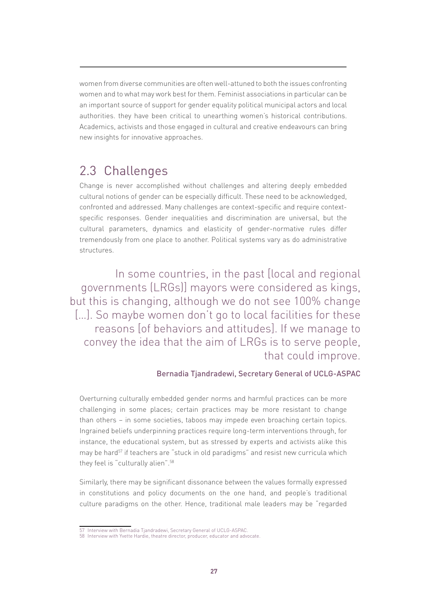women from diverse communities are often well-attuned to both the issues confronting women and to what may work best for them. Feminist associations in particular can be an important source of support for gender equality political municipal actors and local authorities. they have been critical to unearthing women's historical contributions. Academics, activists and those engaged in cultural and creative endeavours can bring new insights for innovative approaches.

### 2.3 Challenges

Change is never accomplished without challenges and altering deeply embedded cultural notions of gender can be especially difficult. These need to be acknowledged, confronted and addressed. Many challenges are context-specific and require contextspecific responses. Gender inequalities and discrimination are universal, but the cultural parameters, dynamics and elasticity of gender-normative rules differ tremendously from one place to another. Political systems vary as do administrative structures.

In some countries, in the past [local and regional governments (LRGs)] mayors were considered as kings, but this is changing, although we do not see 100% change [...]. So maybe women don't go to local facilities for these reasons [of behaviors and attitudes]. If we manage to convey the idea that the aim of LRGs is to serve people, that could improve.

### Bernadia Tjandradewi, Secretary General of UCLG-ASPAC

Overturning culturally embedded gender norms and harmful practices can be more challenging in some places; certain practices may be more resistant to change than others – in some societies, taboos may impede even broaching certain topics. Ingrained beliefs underpinning practices require long-term interventions through, for instance, the educational system, but as stressed by experts and activists alike this may be hard<sup>57</sup> if teachers are "stuck in old paradigms" and resist new curricula which they feel is "culturally alien".58

Similarly, there may be significant dissonance between the values formally expressed in constitutions and policy documents on the one hand, and people's traditional culture paradigms on the other. Hence, traditional male leaders may be "regarded

<sup>57</sup> Interview with Bernadia Tjandradewi, Secretary General of UCLG-ASPAC.

<sup>58</sup> Interview with Yvette Hardie, theatre director, producer, educator and advocate.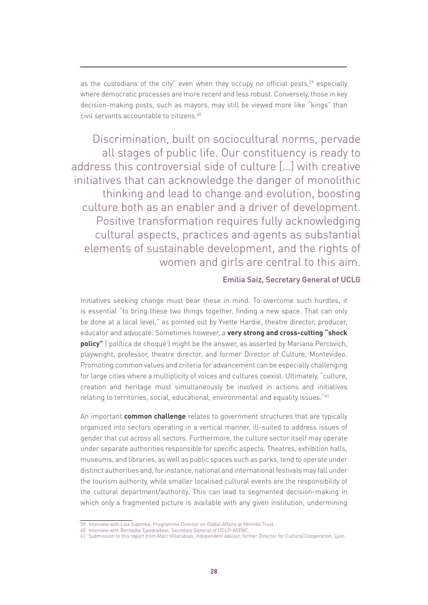as the custodians of the city" even when they occupy no official posts,<sup>59</sup> especially where democratic processes are more recent and less robust. Conversely, those in key decision-making posts, such as mayors, may still be viewed more like "kings" than civil servants accountable to citizens.<sup>60</sup>

Discrimination, built on sociocultural norms, pervade all stages of public life. Our constituency is ready to address this controversial side of culture […] with creative initiatives that can acknowledge the danger of monolithic thinking and lead to change and evolution, boosting culture both as an enabler and a driver of development. Positive transformation requires fully acknowledging cultural aspects, practices and agents as substantial elements of sustainable development, and the rights of women and girls are central to this aim.

#### Emilia Saiz, Secretary General of UCLG

Initiatives seeking change must bear these in mind. To overcome such hurdles, it is essential "to bring these two things together, finding a new space. That can only be done at a local level," as pointed out by Yvette Hardie, theatre director, producer, educator and advocate. Sometimes however, a **very strong and cross-cutting "shock policy"** ('política de choque') might be the answer, as asserted by Mariana Percovich, playwright, professor, theatre director, and former Director of Culture, Montevideo. Promoting common values and criteria for advancement can be especially challenging for large cities where a multiplicity of voices and cultures coexist. Ultimately, "culture, creation and heritage must simultaneously be involved in actions and initiatives relating to territories, social, educational, environmental and equality issues."61

An important **common challenge** relates to government structures that are typically organized into sectors operating in a vertical manner, ill-suited to address issues of gender that cut across all sectors. Furthermore, the culture sector itself may operate under separate authorities responsible for specific aspects. Theatres, exhibition halls, museums, and libraries, as well as public spaces such as parks, tend to operate under distinct authorities and, for instance, national and international festivals may fall under the tourism authority, while smaller localised cultural events are the responsibility of the cultural department/authority. This can lead to segmented decision-making in which only a fragmented picture is available with any given institution, undermining

<sup>59</sup> Interview with Lisa Sidambe, Programme Director on Global Affairs at Nhimbe Trust.

<sup>60</sup> Interview with Bernadia Tjandradewi, Secretary General of UCLG-ASPAC.

<sup>61</sup> Submission to this report from Marc Villarubias, independent advisor, former Director for Cultural Cooperation, Lyon.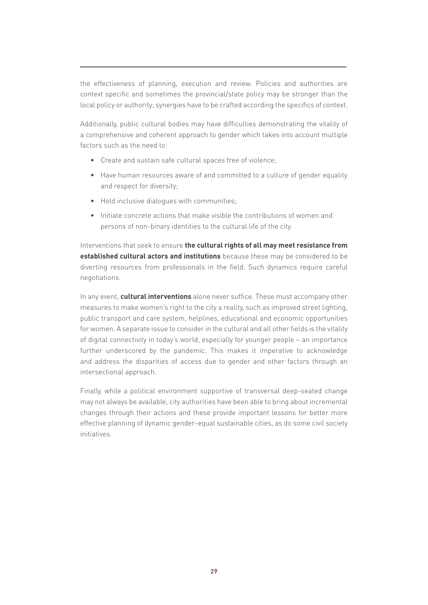the effectiveness of planning, execution and review. Policies and authorities are context specific and sometimes the provincial/state policy may be stronger than the local policy or authority; synergies have to be crafted according the specifics of context.

Additionally, public cultural bodies may have difficulties demonstrating the vitality of a comprehensive and coherent approach to gender which takes into account multiple factors such as the need to:

- Create and sustain safe cultural spaces free of violence;
- Have human resources aware of and committed to a culture of gender equality and respect for diversity;
- Hold inclusive dialogues with communities;
- Initiate concrete actions that make visible the contributions of women and persons of non-binary identities to the cultural life of the city.

Interventions that seek to ensure **the cultural rights of all may meet resistance from established cultural actors and institutions** because these may be considered to be diverting resources from professionals in the field. Such dynamics require careful negotiations.

In any event, **cultural interventions** alone never suffice. These must accompany other measures to make women's right to the city a reality, such as improved street lighting, public transport and care system, helplines, educational and economic opportunities for women. A separate issue to consider in the cultural and all other fields is the vitality of digital connectivity in today's world, especially for younger people – an importance further underscored by the pandemic. This makes it imperative to acknowledge and address the disparities of access due to gender and other factors through an intersectional approach.

Finally, while a political environment supportive of transversal deep-seated change may not always be available, city authorities have been able to bring about incremental changes through their actions and these provide important lessons for better more effective planning of dynamic gender-equal sustainable cities, as do some civil society initiatives.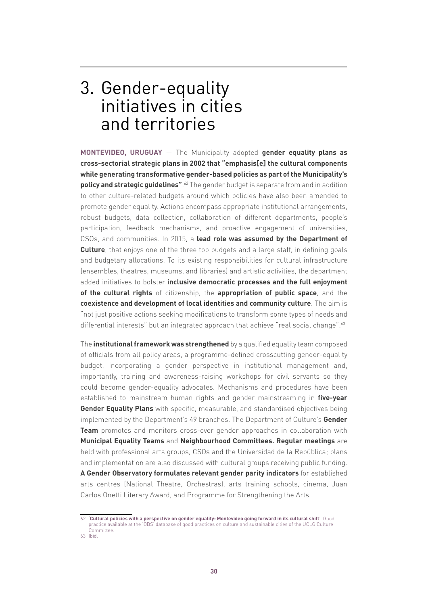# 3. Gender-equality initiatives in cities and territories

**MONTEVIDEO, URUGUAY** ― The Municipality adopted **gender equality plans as cross-sectorial strategic plans in 2002 that "emphasis[e] the cultural components while generating transformative gender-based policies as part of the Municipality's policy and strategic guidelines"**. 62 The gender budget is separate from and in addition to other culture-related budgets around which policies have also been amended to promote gender equality. Actions encompass appropriate institutional arrangements, robust budgets, data collection, collaboration of different departments, people's participation, feedback mechanisms, and proactive engagement of universities, CSOs, and communities. In 2015, a **lead role was assumed by the Department of Culture**, that enjoys one of the three top budgets and a large staff, in defining goals and budgetary allocations. To its existing responsibilities for cultural infrastructure (ensembles, theatres, museums, and libraries) and artistic activities, the department added initiatives to bolster **inclusive democratic processes and the full enjoyment of the cultural rights** of citizenship, the **appropriation of public space**, and the **coexistence and development of local identities and community culture**. The aim is "not just positive actions seeking modifications to transform some types of needs and differential interests" but an integrated approach that achieve "real social change".<sup>63</sup>

The **institutional framework was strengthened** by a qualified equality team composed of officials from all policy areas, a programme-defined crosscutting gender-equality budget, incorporating a gender perspective in institutional management and, importantly, training and awareness-raising workshops for civil servants so they could become gender-equality advocates. Mechanisms and procedures have been established to mainstream human rights and gender mainstreaming in **five-year Gender Equality Plans** with specific, measurable, and standardised objectives being implemented by the Department's 49 branches. The Department of Culture's **Gender Team** promotes and monitors cross-over gender approaches in collaboration with **Municipal Equality Teams** and **Neighbourhood Committees. Regular meetings** are held with professional arts groups, CSOs and the Universidad de la República; plans and implementation are also discussed with cultural groups receiving public funding. **A Gender Observatory formulates relevant gender parity indicators** for established arts centres (National Theatre, Orchestras), arts training schools, cinema, Juan Carlos Onetti Literary Award, and Programme for Strengthening the Arts.

<sup>62</sup> '**[Cultural policies with a perspective on gender equality: Montevideo going forward in its cultural shift](https://obs.agenda21culture.net/en/good-practices/cultural-policies-perspective-gender-equality-montevideo-going-forward-its-cultural)**'. Good practice available at the 'OBS' database of good practices on culture and sustainable cities of the UCLG Culture

Committee.

<sup>63</sup> Ibid.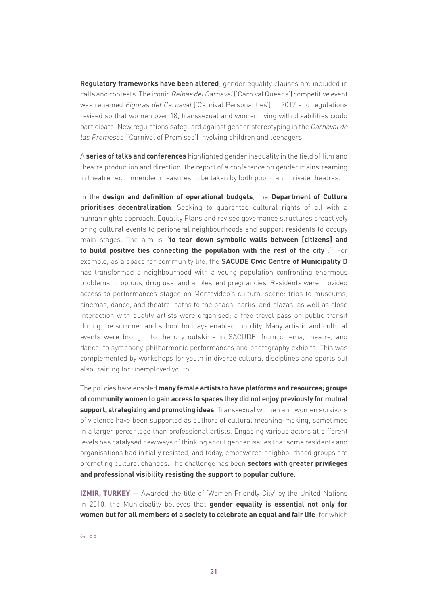**Regulatory frameworks have been altered**; gender equality clauses are included in calls and contests. The iconic Reinas del Carnaval ('Carnival Queens') competitive event was renamed Figuras del Carnaval ('Carnival Personalities') in 2017 and regulations revised so that women over 18, transsexual and women living with disabilities could participate. New regulations safeguard against gender stereotyping in the Carnaval de las Promesas ('Carnival of Promises') involving children and teenagers.

A **series of talks and conferences** highlighted gender inequality in the field of film and theatre production and direction; the report of a conference on gender mainstreaming in theatre recommended measures to be taken by both public and private theatres.

In the **design and definition of operational budgets**, the **Department of Culture prioritises decentralization**. Seeking to guarantee cultural rights of all with a human rights approach, Equality Plans and revised governance structures proactively bring cultural events to peripheral neighbourhoods and support residents to occupy main stages. The aim is "**to tear down symbolic walls between [citizens] and to build positive ties connecting the population with the rest of the city**".64 For example, as a space for community life, the **SACUDE Civic Centre of Municipality D** has transformed a neighbourhood with a young population confronting enormous problems: dropouts, drug use, and adolescent pregnancies. Residents were provided access to performances staged on Montevideo's cultural scene: trips to museums, cinemas, dance, and theatre, paths to the beach, parks, and plazas, as well as close interaction with quality artists were organised; a free travel pass on public transit during the summer and school holidays enabled mobility. Many artistic and cultural events were brought to the city outskirts in SACUDE: from cinema, theatre, and dance, to symphony, philharmonic performances and photography exhibits. This was complemented by workshops for youth in diverse cultural disciplines and sports but also training for unemployed youth.

The policies have enabled **many female artists to have platforms and resources; groups of community women to gain access to spaces they did not enjoy previously for mutual support, strategizing and promoting ideas**. Transsexual women and women survivors of violence have been supported as authors of cultural meaning-making, sometimes in a larger percentage than professional artists. Engaging various actors at different levels has catalysed new ways of thinking about gender issues that some residents and organisations had initially resisted, and today, empowered neighbourhood groups are promoting cultural changes. The challenge has been **sectors with greater privileges and professional visibility resisting the support to popular culture**.

**IZMIR, TURKEY** — Awarded the title of 'Women Friendly City' by the United Nations in 2010, the Municipality believes that **gender equality is essential not only for women but for all members of a society to celebrate an equal and fair life**, for which

<sup>64</sup> Ibid.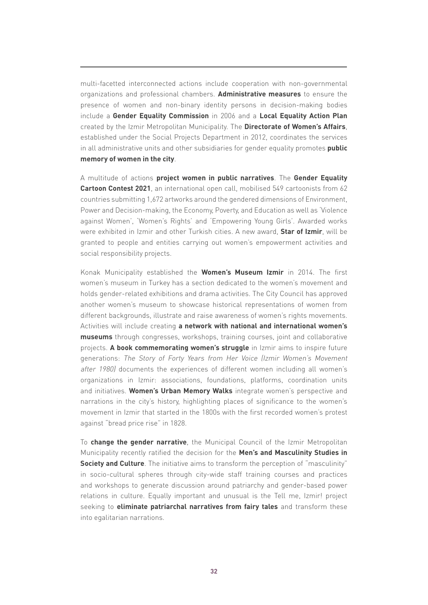multi-facetted interconnected actions include cooperation with non-governmental organizations and professional chambers. **Administrative measures** to ensure the presence of women and non-binary identity persons in decision-making bodies include a **Gender Equality Commission** in 2006 and a **Local Equality Action Plan** created by the Izmir Metropolitan Municipality. The **Directorate of Women's Affairs**, established under the Social Projects Department in 2012, coordinates the services in all administrative units and other subsidiaries for gender equality promotes **public memory of women in the city**.

A multitude of actions **project women in public narratives**. The **Gender Equality Cartoon Contest 2021**, an international open call, mobilised 549 cartoonists from 62 countries submitting 1,672 artworks around the gendered dimensions of Environment, Power and Decision-making, the Economy, Poverty, and Education as well as 'Violence against Women', 'Women's Rights' and 'Empowering Young Girls'. Awarded works were exhibited in Izmir and other Turkish cities. A new award, **Star of Izmir**, will be granted to people and entities carrying out women's empowerment activities and social responsibility projects.

Konak Municipality established the **Women's Museum Izmir** in 2014. The first women's museum in Turkey has a section dedicated to the women's movement and holds gender-related exhibitions and drama activities. The City Council has approved another women's museum to showcase historical representations of women from different backgrounds, illustrate and raise awareness of women's rights movements. Activities will include creating **a network with national and international women's museums** through congresses, workshops, training courses, joint and collaborative projects. **A book commemorating women's struggle** in Izmir aims to inspire future generations: The Story of Forty Years from Her Voice (Izmir Women's Movement after 1980) documents the experiences of different women including all women's organizations in Izmir: associations, foundations, platforms, coordination units and initiatives. **Women's Urban Memory Walks** integrate women's perspective and narrations in the city's history, highlighting places of significance to the women's movement in Izmir that started in the 1800s with the first recorded women's protest against "bread price rise" in 1828.

To **change the gender narrative**, the Municipal Council of the Izmir Metropolitan Municipality recently ratified the decision for the **Men's and Masculinity Studies in Society and Culture**. The initiative aims to transform the perception of "masculinity" in socio-cultural spheres through city-wide staff training courses and practices and workshops to generate discussion around patriarchy and gender-based power relations in culture. Equally important and unusual is the Tell me, Izmir! project seeking to **eliminate patriarchal narratives from fairy tales** and transform these into egalitarian narrations.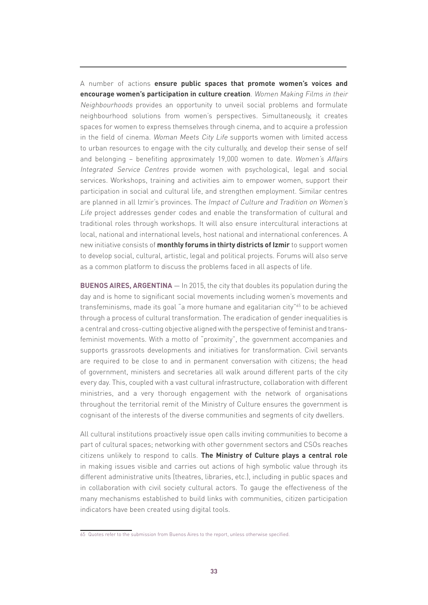A number of actions **ensure public spaces that promote women's voices and encourage women's participation in culture creation**. Women Making Films in their Neighbourhoods provides an opportunity to unveil social problems and formulate neighbourhood solutions from women's perspectives. Simultaneously, it creates spaces for women to express themselves through cinema, and to acquire a profession in the field of cinema. Woman Meets City Life supports women with limited access to urban resources to engage with the city culturally, and develop their sense of self and belonging – benefiting approximately 19,000 women to date. Women's Affairs Integrated Service Centres provide women with psychological, legal and social services. Workshops, training and activities aim to empower women, support their participation in social and cultural life, and strengthen employment. Similar centres are planned in all Izmir's provinces. The Impact of Culture and Tradition on Women's Life project addresses gender codes and enable the transformation of cultural and traditional roles through workshops. It will also ensure intercultural interactions at local, national and international levels, host national and international conferences. A new initiative consists of **monthly forums in thirty districts of Izmir** to support women to develop social, cultural, artistic, legal and political projects. Forums will also serve as a common platform to discuss the problems faced in all aspects of life.

**BUENOS AIRES, ARGENTINA** — In 2015, the city that doubles its population during the day and is home to significant social movements including women's movements and transfeminisms, made its goal "a more humane and egalitarian city"<sup>65</sup> to be achieved through a process of cultural transformation. The eradication of gender inequalities is a central and cross-cutting objective aligned with the perspective of feminist and transfeminist movements. With a motto of "proximity", the government accompanies and supports grassroots developments and initiatives for transformation. Civil servants are required to be close to and in permanent conversation with citizens; the head of government, ministers and secretaries all walk around different parts of the city every day. This, coupled with a vast cultural infrastructure, collaboration with different ministries, and a very thorough engagement with the network of organisations throughout the territorial remit of the Ministry of Culture ensures the government is cognisant of the interests of the diverse communities and segments of city dwellers.

All cultural institutions proactively issue open calls inviting communities to become a part of cultural spaces; networking with other government sectors and CSOs reaches citizens unlikely to respond to calls. **The Ministry of Culture plays a central role** in making issues visible and carries out actions of high symbolic value through its different administrative units (theatres, libraries, etc.), including in public spaces and in collaboration with civil society cultural actors. To gauge the effectiveness of the many mechanisms established to build links with communities, citizen participation indicators have been created using digital tools.

<sup>65</sup> Quotes refer to the submission from Buenos Aires to the report, unless otherwise specified.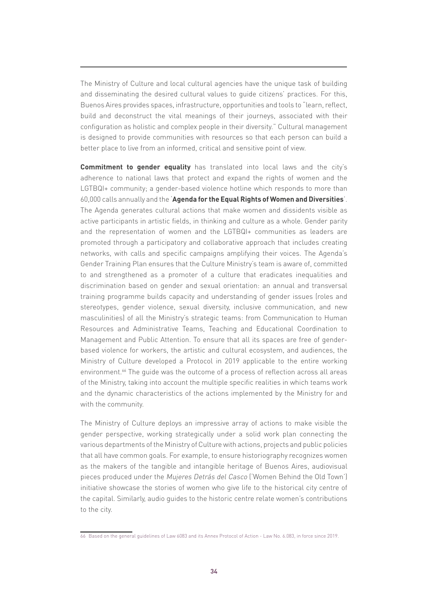The Ministry of Culture and local cultural agencies have the unique task of building and disseminating the desired cultural values to guide citizens' practices. For this, Buenos Aires provides spaces, infrastructure, opportunities and tools to "learn, reflect, build and deconstruct the vital meanings of their journeys, associated with their configuration as holistic and complex people in their diversity." Cultural management is designed to provide communities with resources so that each person can build a better place to live from an informed, critical and sensitive point of view.

**Commitment to gender equality** has translated into local laws and the city's adherence to national laws that protect and expand the rights of women and the LGTBQI+ community; a gender-based violence hotline which responds to more than 60,000 calls annually and the '**Agenda for the Equal Rights of Women and Diversities**'. The Agenda generates cultural actions that make women and dissidents visible as active participants in artistic fields, in thinking and culture as a whole. Gender parity and the representation of women and the LGTBQI+ communities as leaders are promoted through a participatory and collaborative approach that includes creating networks, with calls and specific campaigns amplifying their voices. The Agenda's Gender Training Plan ensures that the Culture Ministry's team is aware of, committed to and strengthened as a promoter of a culture that eradicates inequalities and discrimination based on gender and sexual orientation: an annual and transversal training programme builds capacity and understanding of gender issues (roles and stereotypes, gender violence, sexual diversity, inclusive communication, and new masculinities) of all the Ministry's strategic teams: from Communication to Human Resources and Administrative Teams, Teaching and Educational Coordination to Management and Public Attention. To ensure that all its spaces are free of genderbased violence for workers, the artistic and cultural ecosystem, and audiences, the Ministry of Culture developed a Protocol in 2019 applicable to the entire working environment.<sup>66</sup> The guide was the outcome of a process of reflection across all areas of the Ministry, taking into account the multiple specific realities in which teams work and the dynamic characteristics of the actions implemented by the Ministry for and with the community.

The Ministry of Culture deploys an impressive array of actions to make visible the gender perspective, working strategically under a solid work plan connecting the various departments of the Ministry of Culture with actions, projects and public policies that all have common goals. For example, to ensure historiography recognizes women as the makers of the tangible and intangible heritage of Buenos Aires, audiovisual pieces produced under the Mujeres Detrás del Casco ('Women Behind the Old Town') initiative showcase the stories of women who give life to the historical city centre of the capital. Similarly, audio guides to the historic centre relate women's contributions to the city.

<sup>66</sup> Based on the general guidelines of Law 6083 and its Annex Protocol of Action - Law No. 6.083, in force since 2019.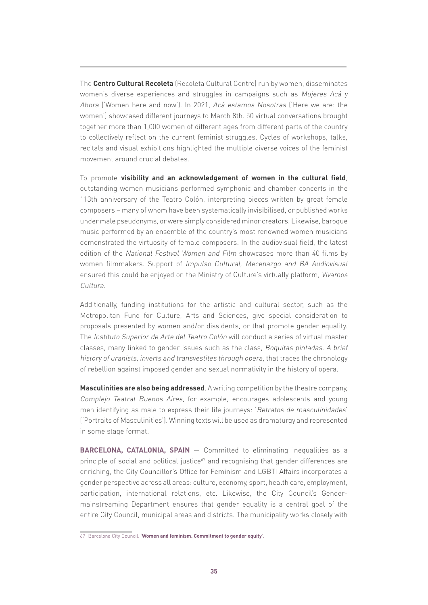The **Centro Cultural Recoleta** (Recoleta Cultural Centre) run by women, disseminates women's diverse experiences and struggles in campaigns such as Mujeres Acá y Ahora ('Women here and now'). In 2021, Acá estamos Nosotras ('Here we are: the women') showcased different journeys to March 8th. 50 virtual conversations brought together more than 1,000 women of different ages from different parts of the country to collectively reflect on the current feminist struggles. Cycles of workshops, talks, recitals and visual exhibitions highlighted the multiple diverse voices of the feminist movement around crucial debates.

To promote **visibility and an acknowledgement of women in the cultural field**, outstanding women musicians performed symphonic and chamber concerts in the 113th anniversary of the Teatro Colón, interpreting pieces written by great female composers – many of whom have been systematically invisibilised, or published works under male pseudonyms, or were simply considered minor creators. Likewise, baroque music performed by an ensemble of the country's most renowned women musicians demonstrated the virtuosity of female composers. In the audiovisual field, the latest edition of the National Festival Women and Film showcases more than 40 films by women filmmakers. Support of Impulso Cultural, Mecenazgo and BA Audiovisual ensured this could be enjoyed on the Ministry of Culture's virtually platform, Vivamos Cultura.

Additionally, funding institutions for the artistic and cultural sector, such as the Metropolitan Fund for Culture, Arts and Sciences, give special consideration to proposals presented by women and/or dissidents, or that promote gender equality. The Instituto Superior de Arte del Teatro Colón will conduct a series of virtual master classes, many linked to gender issues such as the class, Boquitas pintadas. A brief history of uranists, inverts and transvestites through opera, that traces the chronology of rebellion against imposed gender and sexual normativity in the history of opera.

**Masculinities are also being addressed**. A writing competition by the theatre company, Complejo Teatral Buenos Aires, for example, encourages adolescents and young men identifying as male to express their life journeys: 'Retratos de masculinidades' ('Portraits of Masculinities'). Winning texts will be used as dramaturgy and represented in some stage format.

**BARCELONA, CATALONIA, SPAIN** - Committed to eliminating inequalities as a principle of social and political justice $67$  and recognising that gender differences are enriching, the City Councillor's Office for Feminism and LGBTI Affairs incorporates a gender perspective across all areas: culture, economy, sport, health care, employment, participation, international relations, etc. Likewise, the City Council's Gendermainstreaming Department ensures that gender equality is a central goal of the entire City Council, municipal areas and districts. The municipality works closely with

<sup>67</sup> Barcelona City Council. '**[Women and feminism. Commitment to gender equity](https://ajuntament.barcelona.cat/dones/en/commitment-gender-equity)**'.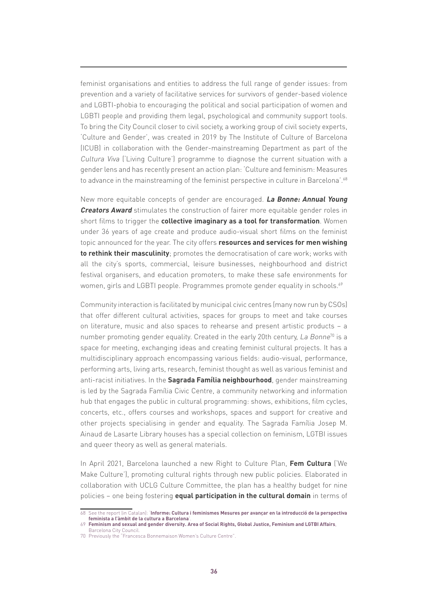feminist organisations and entities to address the full range of gender issues: from prevention and a variety of facilitative services for survivors of gender-based violence and LGBTI-phobia to encouraging the political and social participation of women and LGBTI people and providing them legal, psychological and community support tools. To bring the City Council closer to civil society, a working group of civil society experts, 'Culture and Gender', was created in 2019 by The Institute of Culture of Barcelona (ICUB) in collaboration with the Gender-mainstreaming Department as part of the Cultura Viva ('Living Culture') programme to diagnose the current situation with a gender lens and has recently present an action plan: 'Culture and feminism: Measures to advance in the mainstreaming of the feminist perspective in culture in Barcelona'.<sup>68</sup>

New more equitable concepts of gender are encouraged. **La Bonne: Annual Young Creators Award** stimulates the construction of fairer more equitable gender roles in short films to trigger the **collective imaginary as a tool for transformation**. Women under 36 years of age create and produce audio-visual short films on the feminist topic announced for the year. The city offers **resources and services for men wishing to rethink their masculinity**; promotes the democratisation of care work; works with all the city's sports, commercial, leisure businesses, neighbourhood and district festival organisers, and education promoters, to make these safe environments for women, girls and LGBTI people. Programmes promote gender equality in schools.<sup>69</sup>

Community interaction is facilitated by municipal civic centres (many now run by CSOs) that offer different cultural activities, spaces for groups to meet and take courses on literature, music and also spaces to rehearse and present artistic products – a number promoting gender equality. Created in the early 20th century, La Bonne<sup>70</sup> is a space for meeting, exchanging ideas and creating feminist cultural projects. It has a multidisciplinary approach encompassing various fields: audio-visual, performance, performing arts, living arts, research, feminist thought as well as various feminist and anti-racist initiatives. In the **Sagrada Família neighbourhood**, gender mainstreaming is led by the Sagrada Família Civic Centre, a community networking and information hub that engages the public in cultural programming: shows, exhibitions, film cycles, concerts, etc., offers courses and workshops, spaces and support for creative and other projects specialising in gender and equality. The Sagrada Família Josep M. Ainaud de Lasarte Library houses has a special collection on feminism, LGTBI issues and queer theory as well as general materials.

In April 2021, Barcelona launched a new Right to Culture Plan, **Fem Cultura** ('We Make Culture'), promoting cultural rights through new public policies. Elaborated in collaboration with UCLG Culture Committee, the plan has a healthy budget for nine policies – one being fostering **equal participation in the cultural domain** in terms of

<sup>68</sup> See the report (in Catalan): '**[Informe: Cultura i feminismes Mesures per avançar en la introducció de la perspectiva](https://www.barcelona.cat/culturaviva/sites/default/files/2021-04/Informe Cultura i feminismes.pdf) [feminista a l'àmbit de la cultura a Barcelona](https://www.barcelona.cat/culturaviva/sites/default/files/2021-04/Informe Cultura i feminismes.pdf)**'.

<sup>69</sup> **[Feminism and sexual and gender diversity. Area of Social Rights, Global Justice, Feminism and LGTBI Affairs](https://ajuntament.barcelona.cat/feminismes-lgtbi/en/about-us/strategy/gender-perspective)**, Barcelona City Council.

<sup>70</sup> Previously the "Francesca Bonnemaison Women's Culture Centre".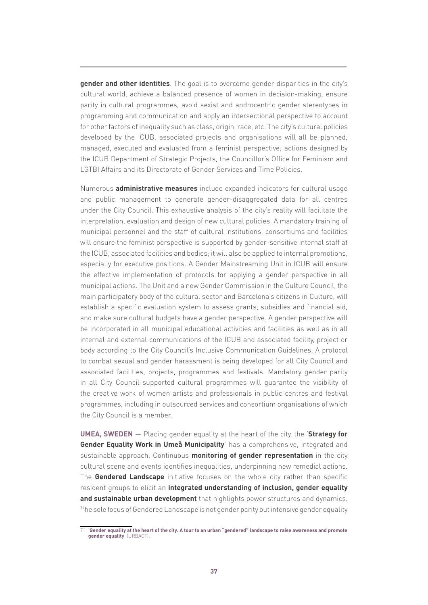**gender and other identities**. The goal is to overcome gender disparities in the city's cultural world, achieve a balanced presence of women in decision-making, ensure parity in cultural programmes, avoid sexist and androcentric gender stereotypes in programming and communication and apply an intersectional perspective to account for other factors of inequality such as class, origin, race, etc. The city's cultural policies developed by the ICUB, associated projects and organisations will all be planned, managed, executed and evaluated from a feminist perspective; actions designed by the ICUB Department of Strategic Projects, the Councillor's Office for Feminism and LGTBI Affairs and its Directorate of Gender Services and Time Policies.

Numerous **administrative measures** include expanded indicators for cultural usage and public management to generate gender-disaggregated data for all centres under the City Council. This exhaustive analysis of the city's reality will facilitate the interpretation, evaluation and design of new cultural policies. A mandatory training of municipal personnel and the staff of cultural institutions, consortiums and facilities will ensure the feminist perspective is supported by gender-sensitive internal staff at the ICUB, associated facilities and bodies; it will also be applied to internal promotions, especially for executive positions. A Gender Mainstreaming Unit in ICUB will ensure the effective implementation of protocols for applying a gender perspective in all municipal actions. The Unit and a new Gender Commission in the Culture Council, the main participatory body of the cultural sector and Barcelona's citizens in Culture, will establish a specific evaluation system to assess grants, subsidies and financial aid, and make sure cultural budgets have a gender perspective. A gender perspective will be incorporated in all municipal educational activities and facilities as well as in all internal and external communications of the ICUB and associated facility, project or body according to the City Council's Inclusive Communication Guidelines. A protocol to combat sexual and gender harassment is being developed for all City Council and associated facilities, projects, programmes and festivals. Mandatory gender parity in all City Council-supported cultural programmes will guarantee the visibility of the creative work of women artists and professionals in public centres and festival programmes, including in outsourced services and consortium organisations of which the City Council is a member.

**UMEA, SWEDEN** ― Placing gender equality at the heart of the city, the '**Strategy for Gender Equality Work in Umeå Municipality**' has a comprehensive, integrated and sustainable approach. Continuous **monitoring of gender representation** in the city cultural scene and events identifies inequalities, underpinning new remedial actions. The **Gendered Landscape** initiative focuses on the whole city rather than specific resident groups to elicit an **integrated understanding of inclusion, gender equality and sustainable urban development** that highlights power structures and dynamics. 71he sole focus of Gendered Landscape is not gender parity but intensive gender equality

<sup>71</sup> '**[Gender equality at the heart of the city. A tour to an urban "gendered" landscape to raise awareness and promote](https://urbact.eu/gender-equality-heart-city)  [gender equality](https://urbact.eu/gender-equality-heart-city)**' (URBACT).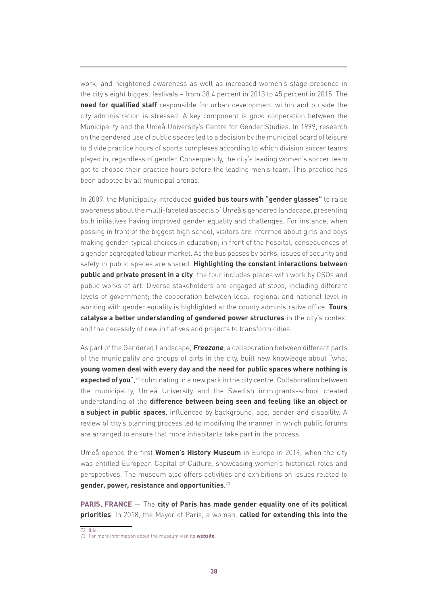work, and heightened awareness as well as increased women's stage presence in the city's eight biggest festivals – from 38.4 percent in 2013 to 45 percent in 2015. The **need for qualified staff** responsible for urban development within and outside the city administration is stressed. A key component is good cooperation between the Municipality and the Umeå University's Centre for Gender Studies. In 1999, research on the gendered use of public spaces led to a decision by the municipal board of leisure to divide practice hours of sports complexes according to which division soccer teams played in, regardless of gender. Consequently, the city's leading women's soccer team got to choose their practice hours before the leading men's team. This practice has been adopted by all municipal arenas.

In 2009, the Municipality introduced **guided bus tours with "gender glasses"** to raise awareness about the multi-faceted aspects of Umeå's gendered landscape, presenting both initiatives having improved gender equality and challenges. For instance, when passing in front of the biggest high school, visitors are informed about girls and boys making gender-typical choices in education; in front of the hospital, consequences of a gender segregated labour market. As the bus passes by parks, issues of security and safety in public spaces are shared. **Highlighting the constant interactions between public and private present in a city**, the tour includes places with work by CSOs and public works of art. Diverse stakeholders are engaged at stops, including different levels of government; the cooperation between local, regional and national level in working with gender equality is highlighted at the county administrative office. **Tours catalyse a better understanding of gendered power structures** in the city's context and the necessity of new initiatives and projects to transform cities.

As part of the Gendered Landscape, **Freezone**, a collaboration between different parts of the municipality and groups of girls in the city, built new knowledge about "what **young women deal with every day and the need for public spaces where nothing is expected of you**",<sup>72</sup> culminating in a new park in the city centre. Collaboration between the municipality, Umeå University and the Swedish immigrants-school created understanding of the **difference between being seen and feeling like an object or a subject in public spaces**, influenced by background, age, gender and disability. A review of city's planning process led to modifying the manner in which public forums are arranged to ensure that more inhabitants take part in the process.

Umeå opened the first **Women's History Museum** in Europe in 2014, when the city was entitled European Capital of Culture, showcasing women's historical roles and perspectives. The museum also offers activities and exhibitions on issues related to **gender, power, resistance and opportunities**. 73

**PARIS, FRANCE** ― The **city of Paris has made gender equality one of its political priorities**. In 2018, the Mayor of Paris, a woman, **called for extending this into the** 

<sup>72</sup> Ibid. 73 For more information about the museum visit its **[website](https://www.kvinnohistoriskt.se/)**.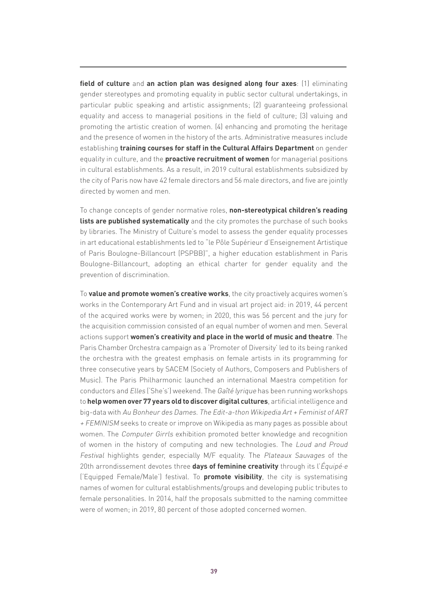**field of culture** and **an action plan was designed along four axes**: (1) eliminating gender stereotypes and promoting equality in public sector cultural undertakings, in particular public speaking and artistic assignments; (2) guaranteeing professional equality and access to managerial positions in the field of culture; (3) valuing and promoting the artistic creation of women. (4) enhancing and promoting the heritage and the presence of women in the history of the arts. Administrative measures include establishing **training courses for staff in the Cultural Affairs Department** on gender equality in culture, and the **proactive recruitment of women** for managerial positions in cultural establishments. As a result, in 2019 cultural establishments subsidized by the city of Paris now have 42 female directors and 56 male directors, and five are jointly directed by women and men.

To change concepts of gender normative roles, **non-stereotypical children's reading lists are published systematically** and the city promotes the purchase of such books by libraries. The Ministry of Culture's model to assess the gender equality processes in art educational establishments led to "le Pôle Supérieur d'Enseignement Artistique of Paris Boulogne-Billancourt (PSPBB)", a higher education establishment in Paris Boulogne-Billancourt, adopting an ethical charter for gender equality and the prevention of discrimination.

To **value and promote women's creative works**, the city proactively acquires women's works in the Contemporary Art Fund and in visual art project aid: in 2019, 44 percent of the acquired works were by women; in 2020, this was 56 percent and the jury for the acquisition commission consisted of an equal number of women and men. Several actions support **women's creativity and place in the world of music and theatre**. The Paris Chamber Orchestra campaign as a 'Promoter of Diversity' led to its being ranked the orchestra with the greatest emphasis on female artists in its programming for three consecutive years by SACEM (Society of Authors, Composers and Publishers of Music). The Paris Philharmonic launched an international Maestra competition for conductors and Elles ('She's') weekend. The Gaîté lyrique has been running workshops to **help women over 77 years old to discover digital cultures**, artificial intelligence and big-data with Au Bonheur des Dames. The Edit-a-thon Wikipedia Art + Feminist of ART + FEMINISM seeks to create or improve on Wikipedia as many pages as possible about women. The *Computer Girrls* exhibition promoted better knowledge and recognition of women in the history of computing and new technologies. The Loud and Proud Festival highlights gender, especially M/F equality. The Plateaux Sauvages of the 20th arrondissement devotes three **days of feminine creativity** through its l'Équipé·e ('Equipped Female/Male') festival. To **promote visibility**, the city is systematising names of women for cultural establishments/groups and developing public tributes to female personalities. In 2014, half the proposals submitted to the naming committee were of women; in 2019, 80 percent of those adopted concerned women.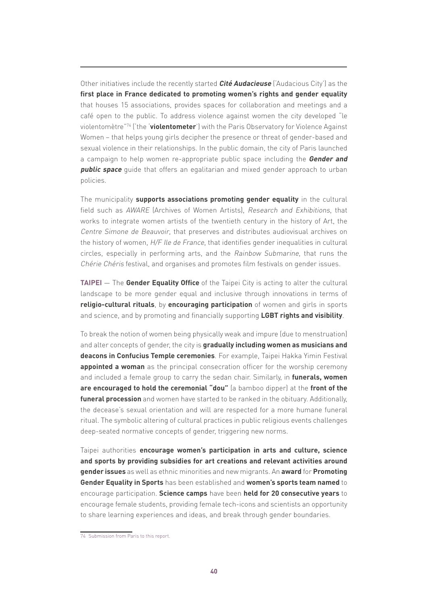Other initiatives include the recently started **Cité Audacieuse** ('Audacious City') as the **first place in France dedicated to promoting women's rights and gender equality** that houses 15 associations, provides spaces for collaboration and meetings and a café open to the public. To address violence against women the city developed "le violentomètre"74 ('the '**violentometer**') with the Paris Observatory for Violence Against Women – that helps young girls decipher the presence or threat of gender-based and sexual violence in their relationships. In the public domain, the city of Paris launched a campaign to help women re-appropriate public space including the **Gender and public space** quide that offers an egalitarian and mixed gender approach to urban policies.

The municipality **supports associations promoting gender equality** in the cultural field such as AWARE (Archives of Women Artists), Research and Exhibitions, that works to integrate women artists of the twentieth century in the history of Art, the Centre Simone de Beauvoir, that preserves and distributes audiovisual archives on the history of women, H/F Ile de France, that identifies gender inequalities in cultural circles, especially in performing arts, and the Rainbow Submarine, that runs the Chérie Chéris festival, and organises and promotes film festivals on gender issues.

**TAIPEI** – The **Gender Equality Office** of the Taipei City is acting to alter the cultural landscape to be more gender equal and inclusive through innovations in terms of **religio-cultural rituals**, by **encouraging participation** of women and girls in sports and science, and by promoting and financially supporting **LGBT rights and visibility**.

To break the notion of women being physically weak and impure (due to menstruation) and alter concepts of gender, the city is **gradually including women as musicians and deacons in Confucius Temple ceremonies**. For example, Taipei Hakka Yimin Festival **appointed a woman** as the principal consecration officer for the worship ceremony and included a female group to carry the sedan chair. Similarly, in **funerals, women are encouraged to hold the ceremonial "dou"** (a bamboo dipper) at the **front of the funeral procession** and women have started to be ranked in the obituary. Additionally, the decease's sexual orientation and will are respected for a more humane funeral ritual. The symbolic altering of cultural practices in public religious events challenges deep-seated normative concepts of gender, triggering new norms.

Taipei authorities **encourage women's participation in arts and culture, science and sports by providing subsidies for art creations and relevant activities around gender issues** as well as ethnic minorities and new migrants. An **award** for **Promoting Gender Equality in Sports** has been established and **women's sports team named** to encourage participation. **Science camps** have been **held for 20 consecutive years** to encourage female students, providing female tech-icons and scientists an opportunity to share learning experiences and ideas, and break through gender boundaries.

<sup>74</sup> Submission from Paris to this report.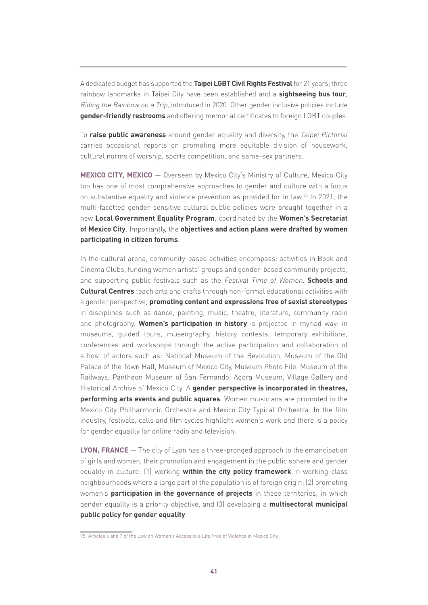A dedicated budget has supported the **Taipei LGBT Civil Rights Festival** for 21 years; three rainbow landmarks in Taipei City have been established and a **sightseeing bus tour**, Riding the Rainbow on a Trip, introduced in 2020. Other gender inclusive policies include **gender-friendly restrooms** and offering memorial certificates to foreign LGBT couples.

To **raise public awareness** around gender equality and diversity, the Taipei Pictorial carries occasional reports on promoting more equitable division of housework, cultural norms of worship, sports competition, and same-sex partners.

**MEXICO CITY, MEXICO** ― Overseen by Mexico City's Ministry of Culture, Mexico City too has one of most comprehensive approaches to gender and culture with a focus on substantive equality and violence prevention as provided for in law.<sup>75</sup> In 2021, the multi-facetted gender-sensitive cultural public policies were brought together in a new **Local Government Equality Program**, coordinated by the **Women's Secretariat of Mexico City**. Importantly, the **objectives and action plans were drafted by women participating in citizen forums**.

In the cultural arena, community-based activities encompass: activities in Book and Cinema Clubs, funding women artists' groups and gender-based community projects, and supporting public festivals such as the Festival Time of Women. **Schools and Cultural Centres** teach arts and crafts through non-formal educational activities with a gender perspective, **promoting content and expressions free of sexist stereotypes** in disciplines such as dance, painting, music, theatre, literature, community radio and photography. **Women's participation in history** is projected in myriad way: in museums, guided tours, museography, history contests, temporary exhibitions, conferences and workshops through the active participation and collaboration of a host of actors such as: National Museum of the Revolution, Museum of the Old Palace of the Town Hall, Museum of Mexico City, Museum Photo File, Museum of the Railways, Pantheon Museum of San Fernando, Agora Museum, Village Gallery and Historical Archive of Mexico City. A **gender perspective is incorporated in theatres, performing arts events and public squares**. Women musicians are promoted in the Mexico City Philharmonic Orchestra and Mexico City Typical Orchestra. In the film industry, festivals, calls and film cycles highlight women's work and there is a policy for gender equality for online radio and television.

**LYON, FRANCE** — The city of Lyon has a three-pronged approach to the emancipation of girls and women, their promotion and engagement in the public sphere and gender equality in culture: (1) working **within the city policy framework** in working-class neighbourhoods where a large part of the population is of foreign origin; (2) promoting women's **participation in the governance of projects** in these territories, in which gender equality is a priority objective, and (3) developing a **multisectoral municipal public policy for gender equality**.

<sup>75</sup> Articles 6 and 7 of the Law on Women's Access to a Life Free of Violence in Mexico City.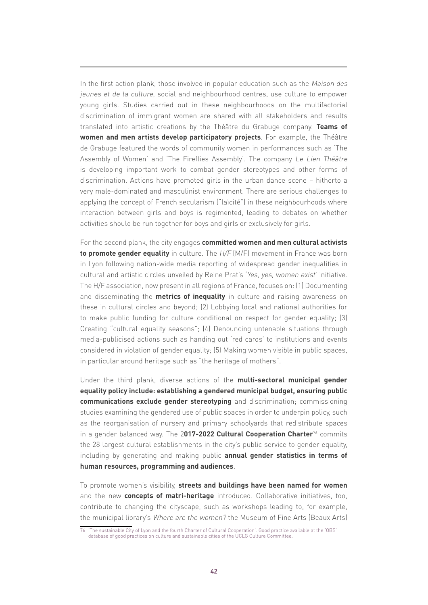In the first action plank, those involved in popular education such as the Maison des jeunes et de la culture, social and neighbourhood centres, use culture to empower young girls. Studies carried out in these neighbourhoods on the multifactorial discrimination of immigrant women are shared with all stakeholders and results translated into artistic creations by the Théâtre du Grabuge company. **Teams of women and men artists develop participatory projects**. For example, the Théâtre de Grabuge featured the words of community women in performances such as 'The Assembly of Women' and 'The Fireflies Assembly'. The company Le Lien Théâtre is developing important work to combat gender stereotypes and other forms of discrimination. Actions have promoted girls in the urban dance scene – hitherto a very male-dominated and masculinist environment. There are serious challenges to applying the concept of French secularism ("laïcité") in these neighbourhoods where interaction between girls and boys is regimented, leading to debates on whether activities should be run together for boys and girls or exclusively for girls.

For the second plank, the city engages **committed women and men cultural activists to promote gender equality** in culture. The H/F (M/F) movement in France was born in Lyon following nation-wide media reporting of widespread gender inequalities in cultural and artistic circles unveiled by Reine Prat's 'Yes, yes, women exist' initiative. The H/F association, now present in all regions of France, focuses on: (1) Documenting and disseminating the **metrics of inequality** in culture and raising awareness on these in cultural circles and beyond; (2) Lobbying local and national authorities for to make public funding for culture conditional on respect for gender equality; (3) Creating "cultural equality seasons"; (4) Denouncing untenable situations through media-publicised actions such as handing out 'red cards' to institutions and events considered in violation of gender equality; (5) Making women visible in public spaces, in particular around heritage such as "the heritage of mothers".

Under the third plank, diverse actions of the **multi-sectoral municipal gender equality policy include: establishing a gendered municipal budget, ensuring public communications exclude gender stereotyping** and discrimination; commissioning studies examining the gendered use of public spaces in order to underpin policy, such as the reorganisation of nursery and primary schoolyards that redistribute spaces in a gender balanced way. The 2**017-2022 Cultural Cooperation Charter**76 commits the 28 largest cultural establishments in the city's public service to gender equality, including by generating and making public **annual gender statistics in terms of human resources, programming and audiences**.

To promote women's visibility, **streets and buildings have been named for women**  and the new **concepts of matri-heritage** introduced. Collaborative initiatives, too, contribute to changing the cityscape, such as workshops leading to, for example, the municipal library's Where are the women? the Museum of Fine Arts (Beaux Arts)

<sup>76</sup> 'The sustainable City of Lyon and the fourth Charter of Cultural Cooperation'. Good practice available at the 'OBS' database of good practices on culture and sustainable cities of the UCLG Culture Committee.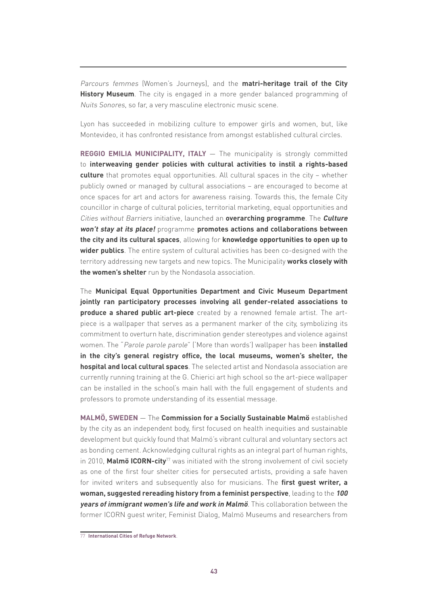Parcours femmes (Women's Journeys), and the **matri-heritage trail of the City History Museum**. The city is engaged in a more gender balanced programming of Nuits Sonores, so far, a very masculine electronic music scene.

Lyon has succeeded in mobilizing culture to empower girls and women, but, like Montevideo, it has confronted resistance from amongst established cultural circles.

**REGGIO EMILIA MUNICIPALITY, ITALY** — The municipality is strongly committed to **interweaving gender policies with cultural activities to instil a rights-based culture** that promotes equal opportunities. All cultural spaces in the city – whether publicly owned or managed by cultural associations – are encouraged to become at once spaces for art and actors for awareness raising. Towards this, the female City councillor in charge of cultural policies, territorial marketing, equal opportunities and Cities without Barriers initiative, launched an **overarching programme**. The **Culture won't stay at its place!** programme **promotes actions and collaborations between the city and its cultural spaces**, allowing for **knowledge opportunities to open up to wider publics**. The entire system of cultural activities has been co-designed with the territory addressing new targets and new topics. The Municipality **works closely with the women's shelter** run by the Nondasola association.

The **Municipal Equal Opportunities Department and Civic Museum Department jointly ran participatory processes involving all gender-related associations to produce a shared public art-piece** created by a renowned female artist. The artpiece is a wallpaper that serves as a permanent marker of the city, symbolizing its commitment to overturn hate, discrimination gender stereotypes and violence against women. The "Parole parole parole" ('More than words') wallpaper has been **installed in the city's general registry office, the local museums, women's shelter, the hospital and local cultural spaces**. The selected artist and Nondasola association are currently running training at the G. Chierici art high school so the art-piece wallpaper can be installed in the school's main hall with the full engagement of students and professors to promote understanding of its essential message.

**MALMÖ, SWEDEN** ― The **Commission for a Socially Sustainable Malmö** established by the city as an independent body, first focused on health inequities and sustainable development but quickly found that Malmö's vibrant cultural and voluntary sectors act as bonding cement. Acknowledging cultural rights as an integral part of human rights, in 2010, **Malmö ICORN-city**77 was initiated with the strong involvement of civil society as one of the first four shelter cities for persecuted artists, providing a safe haven for invited writers and subsequently also for musicians. The **first guest writer, a woman, suggested rereading history from a feminist perspective**, leading to the **100 years of immigrant women's life and work in Malmö**. This collaboration between the former ICORN guest writer, Feminist Dialog, Malmö Museums and researchers from

<sup>77</sup> **[International Cities of Refuge Network](https://www.icorn.org/)**.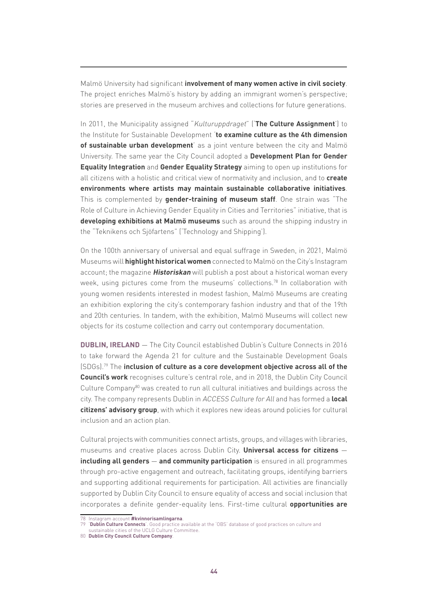Malmö University had significant **involvement of many women active in civil society**. The project enriches Malmö's history by adding an immigrant women's perspective; stories are preserved in the museum archives and collections for future generations.

In 2011, the Municipality assigned "Kulturuppdraget" ('**The Culture Assignment**') to the Institute for Sustainable Development '**to examine culture as the 4th dimension of sustainable urban development**' as a joint venture between the city and Malmö University. The same year the City Council adopted a **Development Plan for Gender Equality Integration** and **Gender Equality Strategy** aiming to open up institutions for all citizens with a holistic and critical view of normativity and inclusion, and to **create environments where artists may maintain sustainable collaborative initiatives**. This is complemented by **gender-training of museum staff**. One strain was "The Role of Culture in Achieving Gender Equality in Cities and Territories" initiative, that is **developing exhibitions at Malmö museums** such as around the shipping industry in the "Teknikens och Sjöfartens" ('Technology and Shipping').

On the 100th anniversary of universal and equal suffrage in Sweden, in 2021, Malmö Museums will **highlight historical women** connected to Malmö on the City's Instagram account; the magazine **Historiskan** will publish a post about a historical woman every week, using pictures come from the museums' collections.<sup>78</sup> In collaboration with young women residents interested in modest fashion, Malmö Museums are creating an exhibition exploring the city's contemporary fashion industry and that of the 19th and 20th centuries. In tandem, with the exhibition, Malmö Museums will collect new objects for its costume collection and carry out contemporary documentation.

**DUBLIN, IRELAND** — The City Council established Dublin's Culture Connects in 2016 to take forward the Agenda 21 for culture and the Sustainable Development Goals (SDGs).79 The **inclusion of culture as a core development objective across all of the Council's work** recognises culture's central role, and in 2018, the Dublin City Council Culture Company $80$  was created to run all cultural initiatives and buildings across the city. The company represents Dublin in ACCESS Culture for All and has formed a **local citizens' advisory group**, with which it explores new ideas around policies for cultural inclusion and an action plan.

Cultural projects with communities connect artists, groups, and villages with libraries, museums and creative places across Dublin City. **Universal access for citizens** ― **including all genders** ― **and community participation** is ensured in all programmes through pro-active engagement and outreach, facilitating groups, identifying barriers and supporting additional requirements for participation. All activities are financially supported by Dublin City Council to ensure equality of access and social inclusion that incorporates a definite gender-equality lens. First-time cultural **opportunities are** 

<sup>78</sup> Instagram account **[#kvinnorisamlingarna](https://www.instagram.com/explore/tags/kvinnorisamlingarna/)**.

<sup>79</sup> '**[Dublin Culture Connects](https://obs.agenda21culture.net/en/good-practices/dublins-culture-connects)**'. Good practice available at the 'OBS' database of good practices on culture and

sustainable cities of the UCLG Culture Committee.

<sup>80</sup> **[Dublin City Council Culture Company](https://www.dublincitycouncilculturecompany.ie/)**.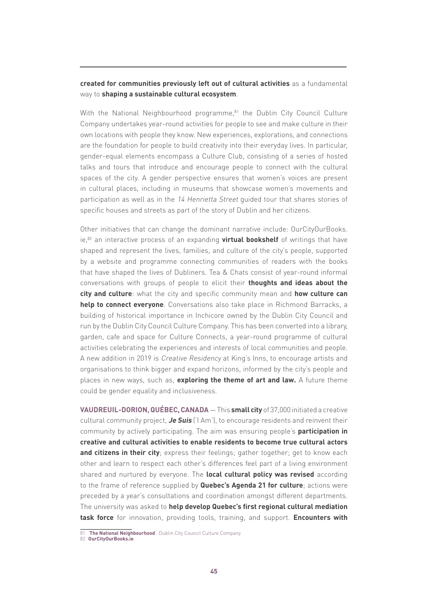### **created for communities previously left out of cultural activities** as a fundamental way to **shaping a sustainable cultural ecosystem**.

With the National Neighbourhood programme,<sup>81</sup> the Dublin City Council Culture Company undertakes year-round activities for people to see and make culture in their own locations with people they know. New experiences, explorations, and connections are the foundation for people to build creativity into their everyday lives. In particular, gender-equal elements encompass a Culture Club, consisting of a series of hosted talks and tours that introduce and encourage people to connect with the cultural spaces of the city. A gender perspective ensures that women's voices are present in cultural places, including in museums that showcase women's movements and participation as well as in the 14 Henrietta Street guided tour that shares stories of specific houses and streets as part of the story of Dublin and her citizens.

Other initiatives that can change the dominant narrative include: OurCityOurBooks. ie,82 an interactive process of an expanding **virtual bookshelf** of writings that have shaped and represent the lives, families, and culture of the city's people, supported by a website and programme connecting communities of readers with the books that have shaped the lives of Dubliners. Tea & Chats consist of year-round informal conversations with groups of people to elicit their **thoughts and ideas about the city and culture**: what the city and specific community mean and **how culture can help to connect everyone**. Conversations also take place in Richmond Barracks, a building of historical importance in Inchicore owned by the Dublin City Council and run by the Dublin City Council Culture Company. This has been converted into a library, garden, cafe and space for Culture Connects, a year-round programme of cultural activities celebrating the experiences and interests of local communities and people. A new addition in 2019 is Creative Residency at King's Inns, to encourage artists and organisations to think bigger and expand horizons, informed by the city's people and places in new ways, such as, **exploring the theme of art and law.** A future theme could be gender equality and inclusiveness.

**VAUDREUIL-DORION, QUÉBEC, CANADA** ― This **small city** of 37,000 initiated a creative cultural community project, **Je Suis** ('I Am'), to encourage residents and reinvent their community by actively participating. The aim was ensuring people's **participation in creative and cultural activities to enable residents to become true cultural actors and citizens in their city**; express their feelings; gather together; get to know each other and learn to respect each other's differences feel part of a living environment shared and nurtured by everyone. The **local cultural policy was revised** according to the frame of reference supplied by **Quebec's Agenda 21 for culture**; actions were preceded by a year's consultations and coordination amongst different departments. The university was asked to **help develop Quebec's first regional cultural mediation task force** for innovation, providing tools, training, and support. **Encounters with** 

**[The National Neighbourhood](https://www.dublincitycouncilculturecompany.ie/what-we-do/programmes/the-national-neighbourhood)'**. Dublin City Council Culture Company.

<sup>82</sup> **[OurCityOurBooks.ie](https://www.ourcityourbooks.ie/)**.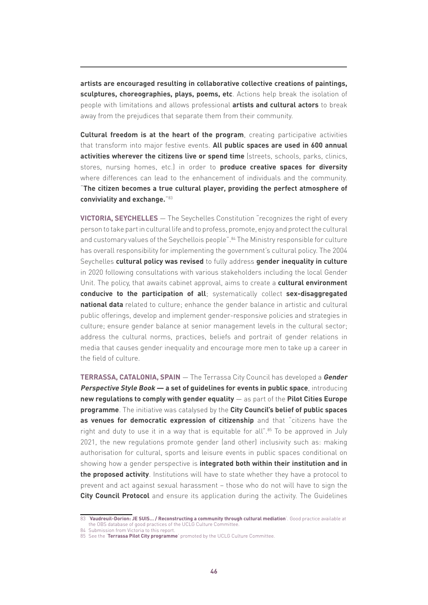**artists are encouraged resulting in collaborative collective creations of paintings, sculptures, choreographies, plays, poems, etc**. Actions help break the isolation of people with limitations and allows professional **artists and cultural actors** to break away from the prejudices that separate them from their community.

**Cultural freedom is at the heart of the program**, creating participative activities that transform into major festive events. **All public spaces are used in 600 annual activities wherever the citizens live or spend time** (streets, schools, parks, clinics, stores, nursing homes, etc.) in order to **produce creative spaces for diversity** where differences can lead to the enhancement of individuals and the community. "**The citizen becomes a true cultural player, providing the perfect atmosphere of conviviality and exchange.**"83

**VICTORIA, SEYCHELLES** ― The Seychelles Constitution "recognizes the right of every person to take part in cultural life and to profess, promote, enjoy and protect the cultural and customary values of the Seychellois people". <sup>84</sup> The Ministry responsible for culture has overall responsibility for implementing the government's cultural policy. The 2004 Seychelles **cultural policy was revised** to fully address **gender inequality in culture**  in 2020 following consultations with various stakeholders including the local Gender Unit. The policy, that awaits cabinet approval, aims to create a **cultural environment conducive to the participation of all**; systematically collect **sex-disaggregated national data** related to culture; enhance the gender balance in artistic and cultural public offerings, develop and implement gender-responsive policies and strategies in culture; ensure gender balance at senior management levels in the cultural sector; address the cultural norms, practices, beliefs and portrait of gender relations in media that causes gender inequality and encourage more men to take up a career in the field of culture.

**TERRASSA, CATALONIA, SPAIN** ― The Terrassa City Council has developed a **Gender Perspective Style Book ― a set of guidelines for events in public space**, introducing **new regulations to comply with gender equality** ― as part of the **Pilot Cities Europe programme**. The initiative was catalysed by the **City Council's belief of public spaces as venues for democratic expression of citizenship** and that "citizens have the right and duty to use it in a way that is equitable for all".<sup>85</sup> To be approved in July 2021, the new regulations promote gender (and other) inclusivity such as: making authorisation for cultural, sports and leisure events in public spaces conditional on showing how a gender perspective is **integrated both within their institution and in the proposed activity**. Institutions will have to state whether they have a protocol to prevent and act against sexual harassment – those who do not will have to sign the **City Council Protocol** and ensure its application during the activity. The Guidelines

<sup>83</sup> '**[Vaudreuil-Dorion: JE SUIS… / Reconstructing a community through cultural mediation](http://obs.agenda21culture.net/en/good-practices/vaudreuil-dorion-je-suis-reconstructing-community-through-cultural-mediation)**'. Good practice available at the OBS database of good practices of the UCLG Culture Committee.

<sup>84</sup> Submission from Victoria to this report.

<sup>85</sup> See the '**[Terrassa Pilot City programme](https://www.agenda21culture.net/our-cities/terrassa)**' promoted by the UCLG Culture Committee.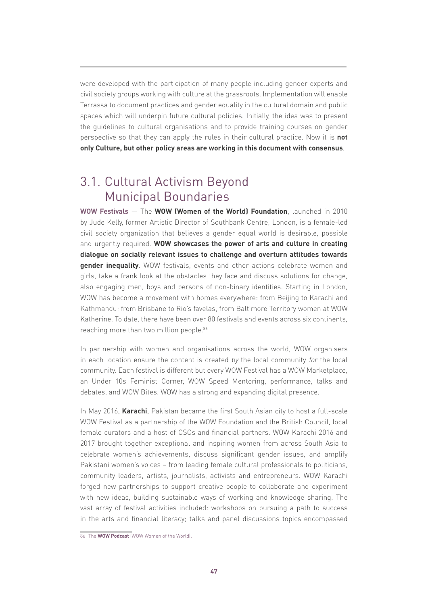were developed with the participation of many people including gender experts and civil society groups working with culture at the grassroots. Implementation will enable Terrassa to document practices and gender equality in the cultural domain and public spaces which will underpin future cultural policies. Initially, the idea was to present the guidelines to cultural organisations and to provide training courses on gender perspective so that they can apply the rules in their cultural practice. Now it is **not only Culture, but other policy areas are working in this document with consensus**.

### 3.1. Cultural Activism Beyond Municipal Boundaries

**WOW Festivals** ― The **WOW (Women of the World) Foundation**, launched in 2010 by Jude Kelly, former Artistic Director of Southbank Centre, London, is a female-led civil society organization that believes a gender equal world is desirable, possible and urgently required. **WOW showcases the power of arts and culture in creating dialogue on socially relevant issues to challenge and overturn attitudes towards gender inequality**. WOW festivals, events and other actions celebrate women and girls, take a frank look at the obstacles they face and discuss solutions for change, also engaging men, boys and persons of non-binary identities. Starting in London, WOW has become a movement with homes everywhere: from Beijing to Karachi and Kathmandu; from Brisbane to Rio's favelas, from Baltimore Territory women at WOW Katherine. To date, there have been over 80 festivals and events across six continents, reaching more than two million people.<sup>86</sup>

In partnership with women and organisations across the world, WOW organisers in each location ensure the content is created by the local community for the local community. Each festival is different but every WOW Festival has a WOW Marketplace, an Under 10s Feminist Corner, WOW Speed Mentoring, performance, talks and debates, and WOW Bites. WOW has a strong and expanding digital presence.

In May 2016, **Karachi**, Pakistan became the first South Asian city to host a full-scale WOW Festival as a partnership of the WOW Foundation and the British Council, local female curators and a host of CSOs and financial partners. WOW Karachi 2016 and 2017 brought together exceptional and inspiring women from across South Asia to celebrate women's achievements, discuss significant gender issues, and amplify Pakistani women's voices – from leading female cultural professionals to politicians, community leaders, artists, journalists, activists and entrepreneurs. WOW Karachi forged new partnerships to support creative people to collaborate and experiment with new ideas, building sustainable ways of working and knowledge sharing. The vast array of festival activities included: workshops on pursuing a path to success in the arts and financial literacy; talks and panel discussions topics encompassed

<sup>86</sup> The **[WOW Podcast](https://thewowfoundation.com/about-wow/the-wow-podcast)** (WOW Women of the World).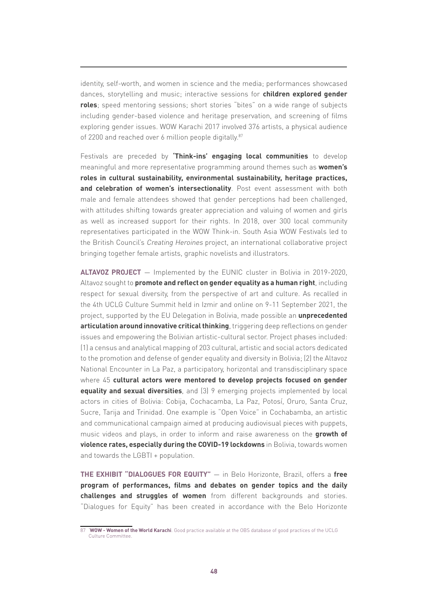identity, self-worth, and women in science and the media; performances showcased dances, storytelling and music; interactive sessions for **children explored gender roles**; speed mentoring sessions; short stories "bites" on a wide range of subjects including gender-based violence and heritage preservation, and screening of films exploring gender issues. WOW Karachi 2017 involved 376 artists, a physical audience of 2200 and reached over 6 million people digitally.<sup>87</sup>

Festivals are preceded by **'Think-ins' engaging local communities** to develop meaningful and more representative programming around themes such as **women's roles in cultural sustainability, environmental sustainability, heritage practices, and celebration of women's intersectionality**. Post event assessment with both male and female attendees showed that gender perceptions had been challenged, with attitudes shifting towards greater appreciation and valuing of women and girls as well as increased support for their rights. In 2018, over 300 local community representatives participated in the WOW Think-in. South Asia WOW Festivals led to the British Council's Creating Heroines project, an international collaborative project bringing together female artists, graphic novelists and illustrators.

**ALTAVOZ PROJECT** ― Implemented by the EUNIC cluster in Bolivia in 2019-2020, Altavoz sought to **promote and reflect on gender equality as a human right**, including respect for sexual diversity, from the perspective of art and culture. As recalled in the 4th UCLG Culture Summit held in Izmir and online on 9-11 September 2021, the project, supported by the EU Delegation in Bolivia, made possible an **unprecedented articulation around innovative critical thinking**, triggering deep reflections on gender issues and empowering the Bolivian artistic-cultural sector. Project phases included: (1) a census and analytical mapping of 203 cultural, artistic and social actors dedicated to the promotion and defense of gender equality and diversity in Bolivia; (2) the Altavoz National Encounter in La Paz, a participatory, horizontal and transdisciplinary space where 45 **cultural actors were mentored to develop projects focused on gender equality and sexual diversities**, and (3) 9 emerging projects implemented by local actors in cities of Bolivia: Cobija, Cochacamba, La Paz, Potosí, Oruro, Santa Cruz, Sucre, Tarija and Trinidad. One example is "Open Voice" in Cochabamba, an artistic and communicational campaign aimed at producing audiovisual pieces with puppets, music videos and plays, in order to inform and raise awareness on the **growth of violence rates, especially during the COVID-19 lockdowns** in Bolivia, towards women and towards the LGBTI + population.

**THE EXHIBIT "DIALOGUES FOR EQUITY"** ― in Belo Horizonte, Brazil, offers a **free program of performances, films and debates on gender topics and the daily challenges and struggles of women** from different backgrounds and stories. "Dialogues for Equity" has been created in accordance with the Belo Horizonte

<sup>87</sup> '**[WOW - Women of the World Karachi](https://obs.agenda21culture.net/en/good-practices/wow-women-world-karachi)**. Good practice available at the OBS database of good practices of the UCLG Culture Committee.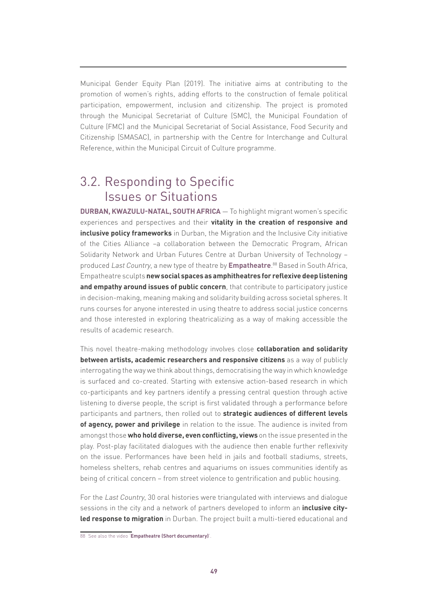Municipal Gender Equity Plan (2019). The initiative aims at contributing to the promotion of women's rights, adding efforts to the construction of female political participation, empowerment, inclusion and citizenship. The project is promoted through the Municipal Secretariat of Culture (SMC), the Municipal Foundation of Culture (FMC) and the Municipal Secretariat of Social Assistance, Food Security and Citizenship (SMASAC), in partnership with the Centre for Interchange and Cultural Reference, within the Municipal Circuit of Culture programme.

### 3.2. Responding to Specific Issues or Situations

**DURBAN, KWAZULU-NATAL, SOUTH AFRICA** ― To highlight migrant women's specific experiences and perspectives and their **vitality in the creation of responsive and inclusive policy frameworks** in Durban, the Migration and the Inclusive City initiative of the Cities Alliance –a collaboration between the Democratic Program, African Solidarity Network and Urban Futures Centre at Durban University of Technology – produced Last Country, a new type of theatre by **[Empatheatre](https://www.empatheatre.com/)**. 88 Based in South Africa, Empatheatre sculpts **new social spaces as amphitheatres for reflexive deep listening and empathy around issues of public concern**, that contribute to participatory justice in decision-making, meaning making and solidarity building across societal spheres. It runs courses for anyone interested in using theatre to address social justice concerns and those interested in exploring theatricalizing as a way of making accessible the results of academic research.

This novel theatre-making methodology involves close **collaboration and solidarity between artists, academic researchers and responsive citizens** as a way of publicly interrogating the way we think about things, democratising the way in which knowledge is surfaced and co-created. Starting with extensive action-based research in which co-participants and key partners identify a pressing central question through active listening to diverse people, the script is first validated through a performance before participants and partners, then rolled out to **strategic audiences of different levels of agency, power and privilege** in relation to the issue. The audience is invited from amongst those **who hold diverse, even conflicting, views** on the issue presented in the play. Post-play facilitated dialogues with the audience then enable further reflexivity on the issue. Performances have been held in jails and football stadiums, streets, homeless shelters, rehab centres and aquariums on issues communities identify as being of critical concern – from street violence to gentrification and public housing.

For the Last Country, 30 oral histories were triangulated with interviews and dialogue sessions in the city and a network of partners developed to inform an **inclusive cityled response to migration** in Durban. The project built a multi-tiered educational and

<sup>88</sup> See also the video '**[Empatheatre \(Short documentary\)](https://www.youtube.com/watch?v=vioKkGqnL8Q&t=63s)**'.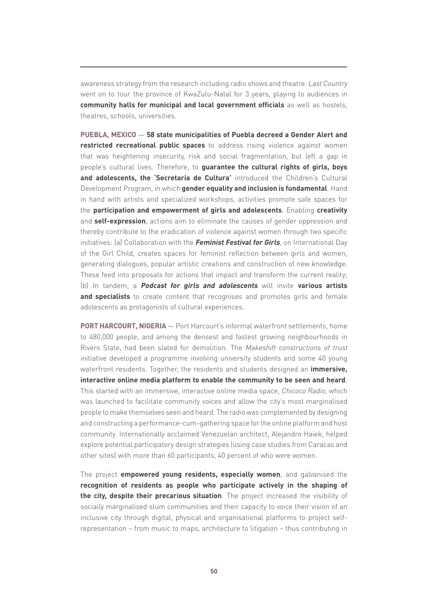awareness strategy from the research including radio shows and theatre. Last Country went on to tour the province of KwaZulu-Natal for 3 years, playing to audiences in **community halls for municipal and local government officials** as well as hostels, theatres, schools, universities.

**PUEBLA, MEXICO** ― **58 state municipalities of Puebla decreed a Gender Alert and restricted recreational public spaces** to address rising violence against women that was heightening insecurity, risk and social fragmentation, but left a gap in people's cultural lives. Therefore, to **guarantee the cultural rights of girls, boys and adolescents, the 'Secretaría de Cultura'** introduced the Children's Cultural Development Program, in which **gender equality and inclusion is fundamental**. Hand in hand with artists and specialized workshops, activities promote safe spaces for the **participation and empowerment of girls and adolescents**. Enabling **creativity** and **self-expression**, actions aim to eliminate the causes of gender oppression and thereby contribute to the eradication of violence against women through two specific initiatives: (a) Collaboration with the **Feminist Festival for Girls**, on International Day of the Girl Child, creates spaces for feminist reflection between girls and women, generating dialogues, popular artistic creations and construction of new knowledge. These feed into proposals for actions that impact and transform the current reality; (b) In tandem, a **Podcast for girls and adolescents** will invite **various artists and specialists** to create content that recognises and promotes girls and female adolescents as protagonists of cultural experiences.

**PORT HARCOURT, NIGERIA** — Port Harcourt's informal waterfront settlements, home to 480,000 people, and among the densest and fastest growing neighbourhoods in Rivers State, had been slated for demolition. The Makeshift constructions of trust initiative developed a programme involving university students and some 40 young waterfront residents. Together, the residents and students designed an **immersive, interactive online media platform to enable the community to be seen and heard**. This started with an immersive, interactive online media space, Chicoco Radio, which was launched to facilitate community voices and allow the city's most marginalised people to make themselves seen and heard. The radio was complemented by designing and constructing a performance-cum-gathering space for the online platform and host community. Internationally acclaimed Venezuelan architect, Alejandro Haiek, helped explore potential participatory design strategies (using case studies from Caracas and other sites) with more than 60 participants, 40 percent of who were women.

The project **empowered young residents, especially women**, and galvanised the **recognition of residents as people who participate actively in the shaping of the city, despite their precarious situation**. The project increased the visibility of socially marginalised slum communities and their capacity to voice their vision of an inclusive city through digital, physical and organisational platforms to project selfrepresentation – from music to maps, architecture to litigation – thus contributing in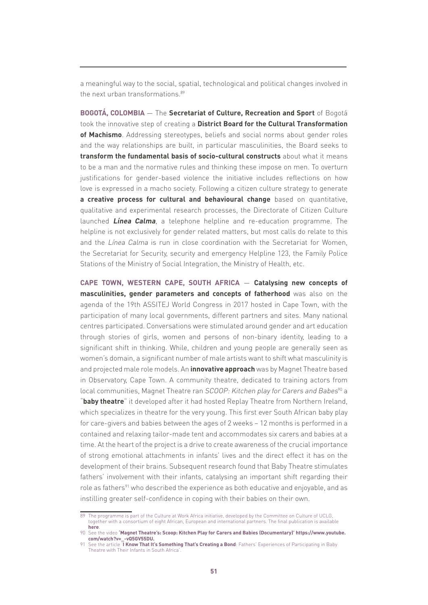a meaningful way to the social, spatial, technological and political changes involved in the next urban transformations.<sup>89</sup>

**BOGOTÁ, COLOMBIA** ― The **Secretariat of Culture, Recreation and Sport** of Bogotá took the innovative step of creating a **District Board for the Cultural Transformation of Machismo**. Addressing stereotypes, beliefs and social norms about gender roles and the way relationships are built, in particular masculinities, the Board seeks to **transform the fundamental basis of socio-cultural constructs** about what it means to be a man and the normative rules and thinking these impose on men. To overturn justifications for gender-based violence the initiative includes reflections on how love is expressed in a macho society. Following a citizen culture strategy to generate **a creative process for cultural and behavioural change** based on quantitative, qualitative and experimental research processes, the Directorate of Citizen Culture launched **Línea Calma**, a telephone helpline and re-education programme. The helpline is not exclusively for gender related matters, but most calls do relate to this and the Línea Calma is run in close coordination with the Secretariat for Women, the Secretariat for Security, security and emergency Helpline 123, the Family Police Stations of the Ministry of Social Integration, the Ministry of Health, etc.

**CAPE TOWN, WESTERN CAPE, SOUTH AFRICA** ― **Catalysing new concepts of masculinities, gender parameters and concepts of fatherhood** was also on the agenda of the 19th ASSITEJ World Congress in 2017 hosted in Cape Town, with the participation of many local governments, different partners and sites. Many national centres participated. Conversations were stimulated around gender and art education through stories of girls, women and persons of non-binary identity, leading to a significant shift in thinking. While, children and young people are generally seen as women's domain, a significant number of male artists want to shift what masculinity is and projected male role models. An **innovative approach** was by Magnet Theatre based in Observatory, Cape Town. A community theatre, dedicated to training actors from local communities, Magnet Theatre ran SCOOP: Kitchen play for Carers and Babes<sup>90</sup> a "**baby theatre**" it developed after it had hosted Replay Theatre from Northern Ireland, which specializes in theatre for the very young. This first ever South African baby play for care-givers and babies between the ages of 2 weeks – 12 months is performed in a contained and relaxing tailor-made tent and accommodates six carers and babies at a time. At the heart of the project is a drive to create awareness of the crucial importance of strong emotional attachments in infants' lives and the direct effect it has on the development of their brains. Subsequent research found that Baby Theatre stimulates fathers' involvement with their infants, catalysing an important shift regarding their role as fathers<sup>91</sup> who described the experience as both educative and enjoyable, and as instilling greater self-confidence in coping with their babies on their own.

<sup>89</sup> The programme is part of the Culture at Work Africa initiative, developed by the Committee on Culture of UCLG, together with a consortium of eight African, European and international partners. The final publication is available **[here](https://www.agenda21culture.net/news/culture-work)**.

<sup>90</sup> See the video **['Magnet Theatre's: Scoop: Kitchen Play for Carers and Babies \(Documentary\)'](https://www.youtube.com/watch?v=_-vQ5GV55DU) [https://www.youtube.](https://www.youtube.com/watch?v=_-vQ5GV55DU) [com/watch?v=\\_-vQ5GV55DU.](https://www.youtube.com/watch?v=_-vQ5GV55DU)**

<sup>91</sup> See the article '**[I Know That It's Something That's Creating a Bond](https://www.frontiersin.org/articles/10.3389/fpsyt.2020.580038/fpsyt-11-580038-html-r1/full)**: Fathers' Experiences of Participating in Baby Theatre with Their Infants in South Africa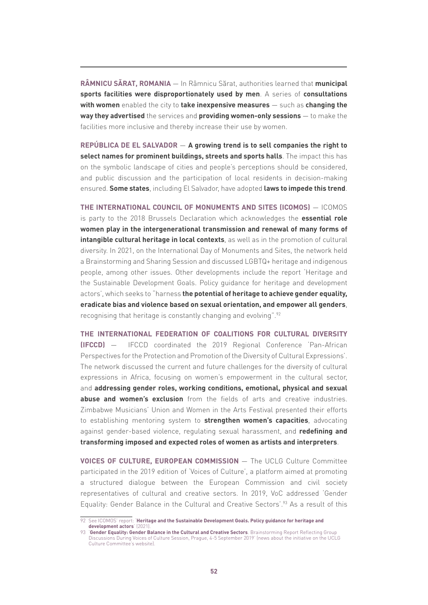**RÂMNICU SĂRAT, ROMANIA** ― In Râmnicu Sărat, authorities learned that **municipal sports facilities were disproportionately used by men**. A series of **consultations with women** enabled the city to **take inexpensive measures** ― such as **changing the way they advertised** the services and **providing women-only sessions** ― to make the facilities more inclusive and thereby increase their use by women.

**REPÚBLICA DE EL SALVADOR** ― **A growing trend is to sell companies the right to select names for prominent buildings, streets and sports halls**. The impact this has on the symbolic landscape of cities and people's perceptions should be considered, and public discussion and the participation of local residents in decision-making ensured. **Some states**, including El Salvador, have adopted **laws to impede this trend**.

**THE INTERNATIONAL COUNCIL OF MONUMENTS AND SITES (ICOMOS)** ― ICOMOS is party to the 2018 Brussels Declaration which acknowledges the **essential role women play in the intergenerational transmission and renewal of many forms of intangible cultural heritage in local contexts**, as well as in the promotion of cultural diversity. In 2021, on the International Day of Monuments and Sites, the network held a Brainstorming and Sharing Session and discussed LGBTQ+ heritage and indigenous people, among other issues. Other developments include the report 'Heritage and the Sustainable Development Goals. Policy guidance for heritage and development actors', which seeks to "harness **the potential of heritage to achieve gender equality, eradicate bias and violence based on sexual orientation, and empower all genders**, recognising that heritage is constantly changing and evolving".92

**THE INTERNATIONAL FEDERATION OF COALITIONS FOR CULTURAL DIVERSITY (IFCCD)** ― IFCCD coordinated the 2019 Regional Conference 'Pan-African Perspectives for the Protection and Promotion of the Diversity of Cultural Expressions'. The network discussed the current and future challenges for the diversity of cultural expressions in Africa, focusing on women's empowerment in the cultural sector, and **addressing gender roles, working conditions, emotional, physical and sexual abuse and women's exclusion** from the fields of arts and creative industries. Zimbabwe Musicians' Union and Women in the Arts Festival presented their efforts to establishing mentoring system to **strengthen women's capacities**, advocating against gender-based violence, regulating sexual harassment, and **redefining and transforming imposed and expected roles of women as artists and interpreters**.

**VOICES OF CULTURE, EUROPEAN COMMISSION** ― The UCLG Culture Committee participated in the 2019 edition of 'Voices of Culture', a platform aimed at promoting a structured dialogue between the European Commission and civil society representatives of cultural and creative sectors. In 2019, VoC addressed 'Gender Equality: Gender Balance in the Cultural and Creative Sectors'.93 As a result of this

<sup>92</sup> See ICOMOS' report: '**[Heritage and the Sustainable Development Goals. Policy guidance for heritage and](https://www.icomos.org/images/DOCUMENTS/Secretariat/2021/SDG/ICOMOS_SDGs_Policy_Guidance_2021.pdf)  [development actors](https://www.icomos.org/images/DOCUMENTS/Secretariat/2021/SDG/ICOMOS_SDGs_Policy_Guidance_2021.pdf)**' (2021).

<sup>93</sup> '**[Gender Equality: Gender Balance in the Cultural and Creative Sectors](http://www.agenda21culture.net/news/gender-balance-cultural-and-creative-sectors)**. Brainstorming Report Reflecting Group Discussions During Voices of Culture Session, Prague, 4-5 September 2019' (news about the initiative on the UCLG Culture Committee's website).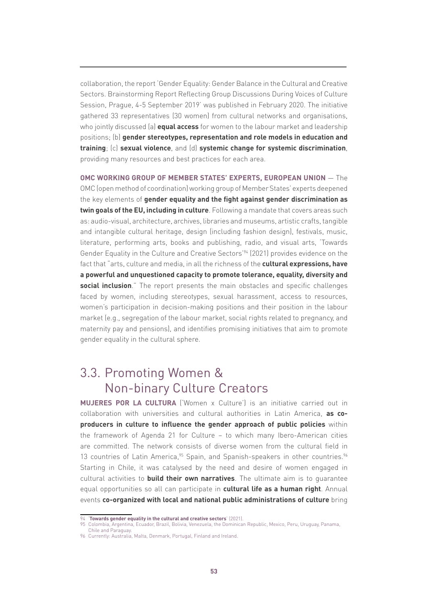collaboration, the report 'Gender Equality: Gender Balance in the Cultural and Creative Sectors. Brainstorming Report Reflecting Group Discussions During Voices of Culture Session, Prague, 4-5 September 2019' was published in February 2020. The initiative gathered 33 representatives (30 women) from cultural networks and organisations, who jointly discussed (a) **equal access** for women to the labour market and leadership positions; (b) **gender stereotypes, representation and role models in education and training**; (c) **sexual violence**, and (d) **systemic change for systemic discrimination**, providing many resources and best practices for each area.

**OMC WORKING GROUP OF MEMBER STATES' EXPERTS, EUROPEAN UNION** ― The OMC (open method of coordination) working group of Member States' experts deepened the key elements of **gender equality and the fight against gender discrimination as twin goals of the EU, including in culture**. Following a mandate that covers areas such as: audio-visual, architecture, archives, libraries and museums, artistic crafts, tangible and intangible cultural heritage, design (including fashion design), festivals, music, literature, performing arts, books and publishing, radio, and visual arts, 'Towards Gender Equality in the Culture and Creative Sectors'94 (2021) provides evidence on the fact that "arts, culture and media, in all the richness of the **cultural expressions, have a powerful and unquestioned capacity to promote tolerance, equality, diversity and social inclusion**." The report presents the main obstacles and specific challenges faced by women, including stereotypes, sexual harassment, access to resources, women's participation in decision-making positions and their position in the labour market (e.g., segregation of the labour market, social rights related to pregnancy, and maternity pay and pensions), and identifies promising initiatives that aim to promote gender equality in the cultural sphere.

## 3.3. Promoting Women & Non-binary Culture Creators

**MUJERES POR LA CULTURA** ('Women x Culture') is an initiative carried out in collaboration with universities and cultural authorities in Latin America, **as coproducers in culture to influence the gender approach of public policies** within the framework of Agenda 21 for Culture – to which many Ibero-American cities are committed. The network consists of diverse women from the cultural field in 13 countries of Latin America,<sup>95</sup> Spain, and Spanish-speakers in other countries.<sup>96</sup> Starting in Chile, it was catalysed by the need and desire of women engaged in cultural activities to **build their own narratives**. The ultimate aim is to guarantee equal opportunities so all can participate in **cultural life as a human right**. Annual events **co-organized with local and national public administrations of culture** bring

<sup>94</sup> '**[Towards gender equality in the cultural and creative sectors](https://op.europa.eu/en/publication-detail/-/publication/36e9028b-c73b-11eb-a925-01aa75ed71a1/language-en)**' (2021).

<sup>95</sup> Colombia, Argentina, Ecuador, Brazil, Bolivia, Venezuela, the Dominican Republic, Mexico, Peru, Uruguay, Panama,

Chile and Paraguay.

<sup>96</sup> Currently: Australia, Malta, Denmark, Portugal, Finland and Ireland.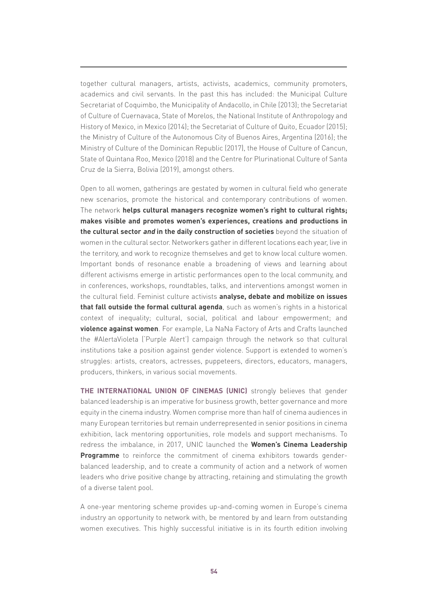together cultural managers, artists, activists, academics, community promoters, academics and civil servants. In the past this has included: the Municipal Culture Secretariat of Coquimbo, the Municipality of Andacollo, in Chile (2013); the Secretariat of Culture of Cuernavaca, State of Morelos, the National Institute of Anthropology and History of Mexico, in Mexico (2014); the Secretariat of Culture of Quito, Ecuador (2015); the Ministry of Culture of the Autonomous City of Buenos Aires, Argentina (2016); the Ministry of Culture of the Dominican Republic (2017), the House of Culture of Cancun, State of Quintana Roo, Mexico (2018) and the Centre for Plurinational Culture of Santa Cruz de la Sierra, Bolivia (2019), amongst others.

Open to all women, gatherings are gestated by women in cultural field who generate new scenarios, promote the historical and contemporary contributions of women. The network **helps cultural managers recognize women's right to cultural rights; makes visible and promotes women's experiences, creations and productions in the cultural sector and in the daily construction of societies** beyond the situation of women in the cultural sector. Networkers gather in different locations each year, live in the territory, and work to recognize themselves and get to know local culture women. Important bonds of resonance enable a broadening of views and learning about different activisms emerge in artistic performances open to the local community, and in conferences, workshops, roundtables, talks, and interventions amongst women in the cultural field. Feminist culture activists **analyse, debate and mobilize on issues that fall outside the formal cultural agenda**, such as women's rights in a historical context of inequality; cultural, social, political and labour empowerment; and **violence against women**. For example, La NaNa Factory of Arts and Crafts launched the #AlertaVioleta ('Purple Alert') campaign through the network so that cultural institutions take a position against gender violence. Support is extended to women's struggles: artists, creators, actresses, puppeteers, directors, educators, managers, producers, thinkers, in various social movements.

**THE INTERNATIONAL UNION OF CINEMAS (UNIC)** strongly believes that gender balanced leadership is an imperative for business growth, better governance and more equity in the cinema industry. Women comprise more than half of cinema audiences in many European territories but remain underrepresented in senior positions in cinema exhibition, lack mentoring opportunities, role models and support mechanisms. To redress the imbalance, in 2017, UNIC launched the **Women's Cinema Leadership Programme** to reinforce the commitment of cinema exhibitors towards genderbalanced leadership, and to create a community of action and a network of women leaders who drive positive change by attracting, retaining and stimulating the growth of a diverse talent pool.

A one-year mentoring scheme provides up-and-coming women in Europe's cinema industry an opportunity to network with, be mentored by and learn from outstanding women executives. This highly successful initiative is in its fourth edition involving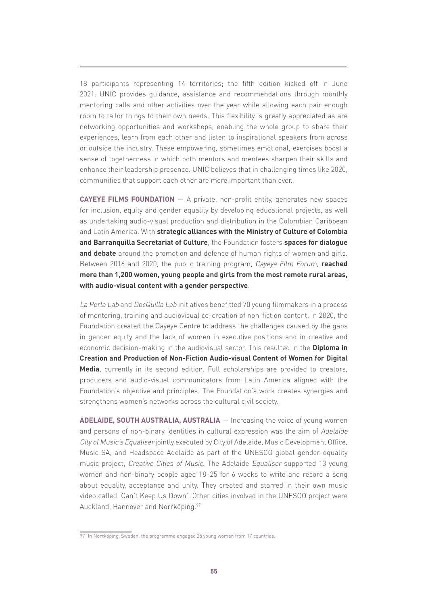18 participants representing 14 territories; the fifth edition kicked off in June 2021. UNIC provides guidance, assistance and recommendations through monthly mentoring calls and other activities over the year while allowing each pair enough room to tailor things to their own needs. This flexibility is greatly appreciated as are networking opportunities and workshops, enabling the whole group to share their experiences, learn from each other and listen to inspirational speakers from across or outside the industry. These empowering, sometimes emotional, exercises boost a sense of togetherness in which both mentors and mentees sharpen their skills and enhance their leadership presence. UNIC believes that in challenging times like 2020, communities that support each other are more important than ever.

**CAYEYE FILMS FOUNDATION** ― A private, non-profit entity, generates new spaces for inclusion, equity and gender equality by developing educational projects, as well as undertaking audio-visual production and distribution in the Colombian Caribbean and Latin America. With **strategic alliances with the Ministry of Culture of Colombia and Barranquilla Secretariat of Culture**, the Foundation fosters **spaces for dialogue and debate** around the promotion and defence of human rights of women and girls. Between 2016 and 2020, the public training program, Cayeye Film Forum, **reached more than 1,200 women, young people and girls from the most remote rural areas, with audio-visual content with a gender perspective**.

La Perla Lab and DocQuilla Lab initiatives benefitted 70 young filmmakers in a process of mentoring, training and audiovisual co-creation of non-fiction content. In 2020, the Foundation created the Cayeye Centre to address the challenges caused by the gaps in gender equity and the lack of women in executive positions and in creative and economic decision-making in the audiovisual sector. This resulted in the **Diploma in Creation and Production of Non-Fiction Audio-visual Content of Women for Digital Media**, currently in its second edition. Full scholarships are provided to creators, producers and audio-visual communicators from Latin America aligned with the Foundation's objective and principles. The Foundation's work creates synergies and strengthens women's networks across the cultural civil society.

**ADELAIDE, SOUTH AUSTRALIA, AUSTRALIA** — Increasing the voice of young women and persons of non-binary identities in cultural expression was the aim of Adelaide City of Music's Equaliser jointly executed by City of Adelaide, Music Development Office, Music SA, and Headspace Adelaide as part of the UNESCO global gender-equality music project, Creative Cities of Music. The Adelaide Equaliser supported 13 young women and non-binary people aged 18–25 for 6 weeks to write and record a song about equality, acceptance and unity. They created and starred in their own music video called 'Can't Keep Us Down'. Other cities involved in the UNESCO project were Auckland, Hannover and Norrköping.<sup>97</sup>

<sup>97</sup> In Norrköping, Sweden, the programme engaged 25 young women from 17 countries.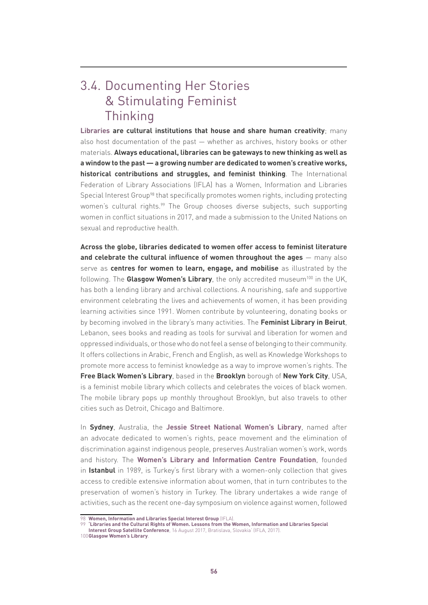### 3.4. Documenting Her Stories & Stimulating Feminist Thinking

**Libraries are cultural institutions that house and share human creativity**; many also host documentation of the past ― whether as archives, history books or other materials. **Always educational, libraries can be gateways to new thinking as well as a window to the past ― a growing number are dedicated to women's creative works, historical contributions and struggles, and feminist thinking**. The International Federation of Library Associations (IFLA) has a Women, Information and Libraries Special Interest Group<sup>98</sup> that specifically promotes women rights, including protecting women's cultural rights.<sup>99</sup> The Group chooses diverse subjects, such supporting women in conflict situations in 2017, and made a submission to the United Nations on sexual and reproductive health.

**Across the globe, libraries dedicated to women offer access to feminist literature and celebrate the cultural influence of women throughout the ages** ― many also serve as **centres for women to learn, engage, and mobilise** as illustrated by the following. The **Glasgow Women's Library**, the only accredited museum<sup>100</sup> in the UK, has both a lending library and archival collections. A nourishing, safe and supportive environment celebrating the lives and achievements of women, it has been providing learning activities since 1991. Women contribute by volunteering, donating books or by becoming involved in the library's many activities. The **Feminist Library in Beirut**, Lebanon, sees books and reading as tools for survival and liberation for women and oppressed individuals, or those who do not feel a sense of belonging to their community. It offers collections in Arabic, French and English, as well as Knowledge Workshops to promote more access to feminist knowledge as a way to improve women's rights. The **Free Black Women's Library**, based in the **Brooklyn** borough of **New York City**, USA, is a feminist mobile library which collects and celebrates the voices of black women. The mobile library pops up monthly throughout Brooklyn, but also travels to other cities such as Detroit, Chicago and Baltimore.

In **Sydney**, Australia, the **[Jessie Street National Women's Library](https://www.nationalwomenslibrary.org.au/)**, named after an advocate dedicated to women's rights, peace movement and the elimination of discrimination against indigenous people, preserves Australian women's work, words and history. The **[Women's Library and Information Centre Foundation](http://kadineserleri.org/)**, founded in **Istanbul** in 1989, is Turkey's first library with a women-only collection that gives access to credible extensive information about women, that in turn contributes to the preservation of women's history in Turkey. The library undertakes a wide range of activities, such as the recent one-day symposium on violence against women, followed

<sup>98</sup> **[Women, Information and Libraries Special Interest Group](https://www.ifla.org/women-information-and-libraries)** (IFLA).

<sup>99</sup> **['Libraries and the Cultural Rights of Women. Lessons from the Women, Information and Libraries Special](https://www.ifla.org/files/assets/hq/topics/libraries-development/documents/171222_libraries_and_womens_cultural_rights.pdf)** 

**[Interest Group Satellite Conference](https://www.ifla.org/files/assets/hq/topics/libraries-development/documents/171222_libraries_and_womens_cultural_rights.pdf)**, 16 August 2017, Bratislava, Slovakia' (IFLA, 2017). 100**[Glasgow Women's Library](https://womenslibrary.org.uk/explore-the-library-and-archive/the-museum-collection/)**.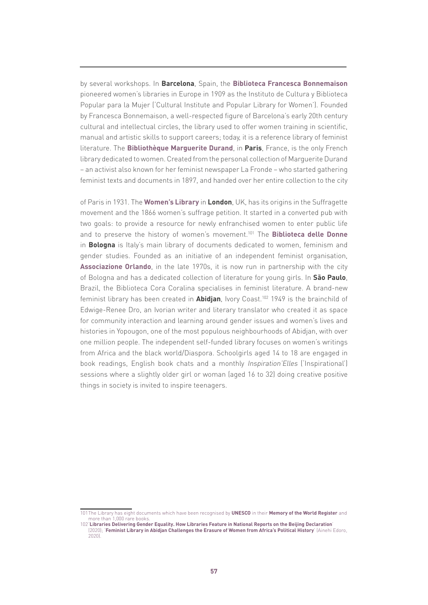by several workshops. In **Barcelona**, Spain, the **[Biblioteca Francesca Bonnemaison](http://ajuntament.barcelona.cat/biblioteques/bibfbonnemaison/ca)**  pioneered women's libraries in Europe in 1909 as the Instituto de Cultura y Biblioteca Popular para la Mujer ('Cultural Institute and Popular Library for Women'). Founded by Francesca Bonnemaison, a well-respected figure of Barcelona's early 20th century cultural and intellectual circles, the library used to offer women training in scientific, manual and artistic skills to support careers; today, it is a reference library of feminist literature. The **[Bibliothèque Marguerite Durand](https://www.paris.fr/equipements/bibliotheque-marguerite-durand-bmd-1756)**, in **Paris**, France, is the only French library dedicated to women. Created from the personal collection of Marguerite Durand – an activist also known for her feminist newspaper La Fronde – who started gathering feminist texts and documents in 1897, and handed over her entire collection to the city

of Paris in 1931. The **[Women's Library](http://www.lse.ac.uk/library/collections/collection-highlights/the-womens-library)** in **London**, UK, has its origins in the Suffragette movement and the 1866 women's suffrage petition. It started in a converted pub with two goals: to provide a resource for newly enfranchised women to enter public life and to preserve the history of women's movement.101 The **[Biblioteca delle Donne](http://www.bibliotecadelledonne.it/)** in **Bologna** is Italy's main library of documents dedicated to women, feminism and gender studies. Founded as an initiative of an independent feminist organisation, **[Associazione Orlando](http://orlando.women.it/)**, in the late 1970s, it is now run in partnership with the city of Bologna and has a dedicated collection of literature for young girls. In **São Paulo**, Brazil, the Biblioteca Cora Coralina specialises in feminist literature. A brand-new feminist library has been created in **Abidjan**, Ivory Coast.102 1949 is the brainchild of Edwige-Renee Dro, an Ivorian writer and literary translator who created it as space for community interaction and learning around gender issues and women's lives and histories in Yopougon, one of the most populous neighbourhoods of Abidjan, with over one million people. The independent self-funded library focuses on women's writings from Africa and the black world/Diaspora. Schoolgirls aged 14 to 18 are engaged in book readings, English book chats and a monthly *Inspiration'Elles* ('Inspirational') sessions where a slightly older girl or woman (aged 16 to 32) doing creative positive things in society is invited to inspire teenagers.

<sup>101</sup>The Library has eight documents which have been recognised by **[UNESCO](https://en.unesco.org/)** in their **[Memory of the World Register](http://www.unesco.org/new/en/communication-and-information/memory-of-the-world/register/)** and more than 1,000 rare books.

<sup>102&#</sup>x27;**[Libraries Delivering Gender Equality. How Libraries Feature in National Reports on the Beijing Declaration](https://www.ifla.org/publications/node/92944)**' (2020); '**[Feminist Library in Abidjan Challenges the Erasure of Women from Africa's Political History](https://brittlepaper.com/2020/04/feminist-library-in-abidjan-is-celebrating-the-lives-of-women-on-the-continent-and-the-diaspora/)**' (Ainehi Edoro, 2020).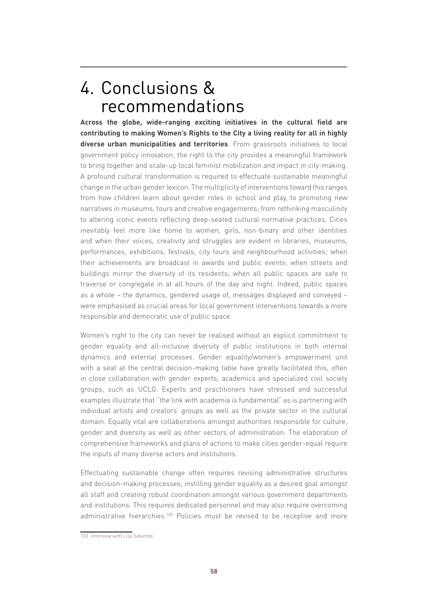# 4. Conclusions & recommendations

**Across the globe, wide-ranging exciting initiatives in the cultural field are contributing to making Women's Rights to the City a living reality for all in highly diverse urban municipalities and territories**. From grassroots initiatives to local government policy innovation, the right to the city provides a meaningful framework to bring together and scale-up local feminist mobilization and impact in city-making. A profound cultural transformation is required to effectuate sustainable meaningful change in the urban gender lexicon. The multiplicity of interventions toward this ranges from how children learn about gender roles in school and play, to promoting new narratives in museums, tours and creative engagements; from rethinking masculinity to altering iconic events reflecting deep-seated cultural normative practices. Cities inevitably feel more like home to women, girls, non-binary and other identities and when their voices, creativity and struggles are evident in libraries, museums, performances, exhibitions, festivals, city tours and neighbourhood activities; when their achievements are broadcast in awards and public events; when streets and buildings mirror the diversity of its residents; when all public spaces are safe to traverse or congregate in at all hours of the day and night. Indeed, public spaces as a whole – the dynamics, gendered usage of, messages displayed and conveyed – were emphasised as crucial areas for local government interventions towards a more responsible and democratic use of public space.

Women's right to the city can never be realised without an explicit commitment to gender equality and all-inclusive diversity of public institutions in both internal dynamics and external processes. Gender equality/women's empowerment unit with a seat at the central decision-making table have greatly facilitated this, often in close collaboration with gender experts, academics and specialized civil society groups, such as UCLG. Experts and practitioners have stressed and successful examples illustrate that "the link with academia is fundamental" as is partnering with individual artists and creators' groups as well as the private sector in the cultural domain. Equally vital are collaborations amongst authorities responsible for culture, gender and diversity as well as other sectors of administration. The elaboration of comprehensive frameworks and plans of actions to make cities gender-equal require the inputs of many diverse actors and institutions.

Effectuating sustainable change often requires revising administrative structures and decision-making processes; instilling gender equality as a desired goal amongst all staff and creating robust coordination amongst various government departments and institutions. This requires dedicated personnel and may also require overcoming administrative hierarchies.<sup>103</sup> Policies must be revised to be receptive and more

<sup>103</sup> Interview with Lisa Sidambe.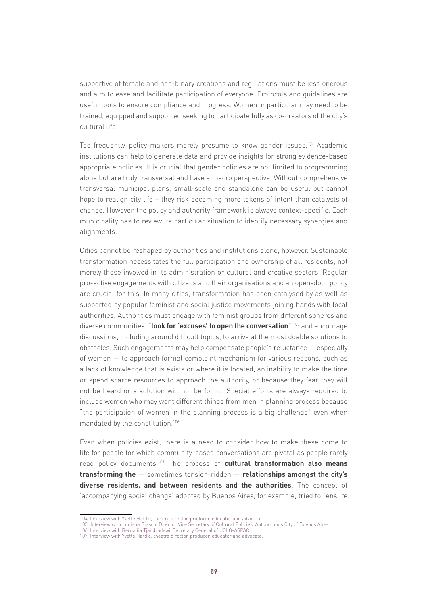supportive of female and non-binary creations and regulations must be less onerous and aim to ease and facilitate participation of everyone. Protocols and guidelines are useful tools to ensure compliance and progress. Women in particular may need to be trained, equipped and supported seeking to participate fully as co-creators of the city's cultural life.

Too frequently, policy-makers merely presume to know gender issues.104 Academic institutions can help to generate data and provide insights for strong evidence-based appropriate policies. It is crucial that gender policies are not limited to programming alone but are truly transversal and have a macro perspective. Without comprehensive transversal municipal plans, small-scale and standalone can be useful but cannot hope to realign city life – they risk becoming more tokens of intent than catalysts of change. However, the policy and authority framework is always context-specific. Each municipality has to review its particular situation to identify necessary synergies and alignments.

Cities cannot be reshaped by authorities and institutions alone, however. Sustainable transformation necessitates the full participation and ownership of all residents, not merely those involved in its administration or cultural and creative sectors. Regular pro-active engagements with citizens and their organisations and an open-door policy are crucial for this. In many cities, transformation has been catalysed by as well as supported by popular feminist and social justice movements joining hands with local authorities. Authorities must engage with feminist groups from different spheres and diverse communities, "**look for 'excuses' to open the conversation**",105 and encourage discussions, including around difficult topics, to arrive at the most doable solutions to obstacles. Such engagements may help compensate people's reluctance ― especially of women ― to approach formal complaint mechanism for various reasons, such as a lack of knowledge that is exists or where it is located, an inability to make the time or spend scarce resources to approach the authority, or because they fear they will not be heard or a solution will not be found. Special efforts are always required to include women who may want different things from men in planning process because "the participation of women in the planning process is a big challenge" even when mandated by the constitution.106

Even when policies exist, there is a need to consider how to make these come to life for people for which community-based conversations are pivotal as people rarely read policy documents.107 The process of **cultural transformation also means transforming the** ― sometimes tension-ridden ― **relationships amongst the city's diverse residents, and between residents and the authorities**. The concept of 'accompanying social change' adopted by Buenos Aires, for example, tried to "ensure

<sup>104</sup> Interview with Yvette Hardie, theatre director, producer, educator and advocate.

<sup>105</sup> Interview with Luciana Blasco, Director Vice Secretary of Cultural Policies, Autonomous City of Buenos Aires.

<sup>106</sup> Interview with Bernadia Tjandradewi, Secretary General of UCLG-ASPAC.

<sup>107</sup> Interview with Yvette Hardie, theatre director, producer, educator and advocate.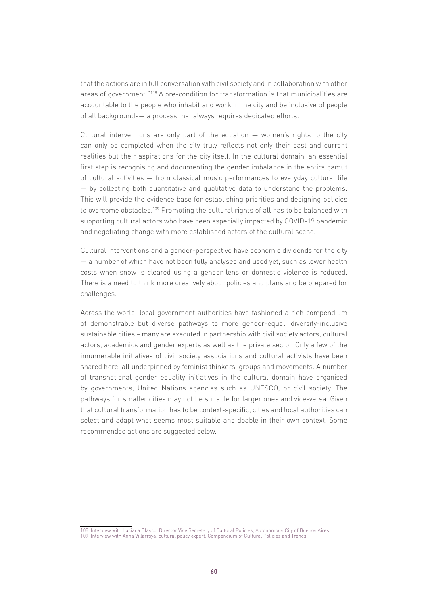that the actions are in full conversation with civil society and in collaboration with other areas of government."108 A pre-condition for transformation is that municipalities are accountable to the people who inhabit and work in the city and be inclusive of people of all backgrounds― a process that always requires dedicated efforts.

Cultural interventions are only part of the equation ― women's rights to the city can only be completed when the city truly reflects not only their past and current realities but their aspirations for the city itself. In the cultural domain, an essential first step is recognising and documenting the gender imbalance in the entire gamut of cultural activities ― from classical music performances to everyday cultural life ― by collecting both quantitative and qualitative data to understand the problems. This will provide the evidence base for establishing priorities and designing policies to overcome obstacles.109 Promoting the cultural rights of all has to be balanced with supporting cultural actors who have been especially impacted by COVID-19 pandemic and negotiating change with more established actors of the cultural scene.

Cultural interventions and a gender-perspective have economic dividends for the city ― a number of which have not been fully analysed and used yet, such as lower health costs when snow is cleared using a gender lens or domestic violence is reduced. There is a need to think more creatively about policies and plans and be prepared for challenges.

Across the world, local government authorities have fashioned a rich compendium of demonstrable but diverse pathways to more gender-equal, diversity-inclusive sustainable cities – many are executed in partnership with civil society actors, cultural actors, academics and gender experts as well as the private sector. Only a few of the innumerable initiatives of civil society associations and cultural activists have been shared here, all underpinned by feminist thinkers, groups and movements. A number of transnational gender equality initiatives in the cultural domain have organised by governments, United Nations agencies such as UNESCO, or civil society. The pathways for smaller cities may not be suitable for larger ones and vice-versa. Given that cultural transformation has to be context-specific, cities and local authorities can select and adapt what seems most suitable and doable in their own context. Some recommended actions are suggested below.

<sup>108</sup> Interview with Luciana Blasco, Director Vice Secretary of Cultural Policies, Autonomous City of Buenos Aires.

<sup>109</sup> Interview with Anna Villarroya, cultural policy expert, Compendium of Cultural Policies and Trends.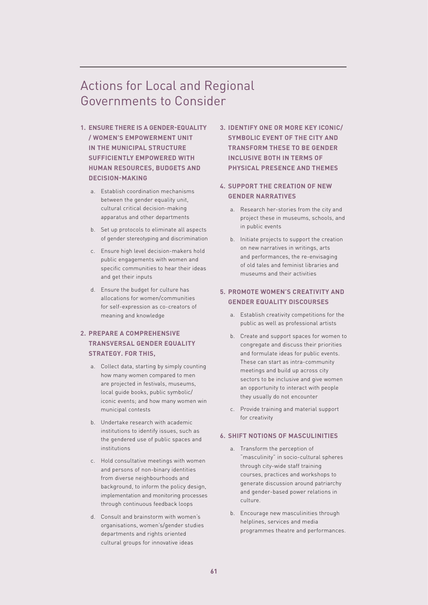### Actions for Local and Regional Governments to Consider

- **1. ENSURE THERE IS A GENDER-EQUALITY / WOMEN'S EMPOWERMENT UNIT IN THE MUNICIPAL STRUCTURE SUFFICIENTLY EMPOWERED WITH HUMAN RESOURCES, BUDGETS AND DECISION-MAKING**
	- a. Establish coordination mechanisms between the gender equality unit, cultural critical decision-making apparatus and other departments
	- b. Set up protocols to eliminate all aspects of gender stereotyping and discrimination
	- c. Ensure high level decision-makers hold public engagements with women and specific communities to hear their ideas and get their inputs
	- d. Ensure the budget for culture has allocations for women/communities for self-expression as co-creators of meaning and knowledge

### **2. PREPARE A COMPREHENSIVE TRANSVERSAL GENDER EQUALITY STRATEGY. FOR THIS,**

- a. Collect data, starting by simply counting how many women compared to men are projected in festivals, museums, local guide books, public symbolic/ iconic events; and how many women win municipal contests
- b. Undertake research with academic institutions to identify issues, such as the gendered use of public spaces and institutions
- c. Hold consultative meetings with women and persons of non-binary identities from diverse neighbourhoods and background, to inform the policy design, implementation and monitoring processes through continuous feedback loops
- d. Consult and brainstorm with women's organisations, women's/gender studies departments and rights oriented cultural groups for innovative ideas
- **3. IDENTIFY ONE OR MORE KEY ICONIC/ SYMBOLIC EVENT OF THE CITY AND TRANSFORM THESE TO BE GENDER INCLUSIVE BOTH IN TERMS OF PHYSICAL PRESENCE AND THEMES**
- **4. SUPPORT THE CREATION OF NEW GENDER NARRATIVES**
	- a. Research her-stories from the city and project these in museums, schools, and in public events
	- b. Initiate projects to support the creation on new narratives in writings, arts and performances, the re-envisaging of old tales and feminist libraries and museums and their activities

### **5. PROMOTE WOMEN'S CREATIVITY AND GENDER EQUALITY DISCOURSES**

- a. Establish creativity competitions for the public as well as professional artists
- b. Create and support spaces for women to congregate and discuss their priorities and formulate ideas for public events. These can start as intra-community meetings and build up across city sectors to be inclusive and give women an opportunity to interact with people they usually do not encounter
- c. Provide training and material support for creativity

#### **6. SHIFT NOTIONS OF MASCULINITIES**

- a. Transform the perception of "masculinity" in socio-cultural spheres through city-wide staff training courses, practices and workshops to generate discussion around patriarchy and gender-based power relations in culture.
- b. Encourage new masculinities through helplines, services and media programmes theatre and performances.